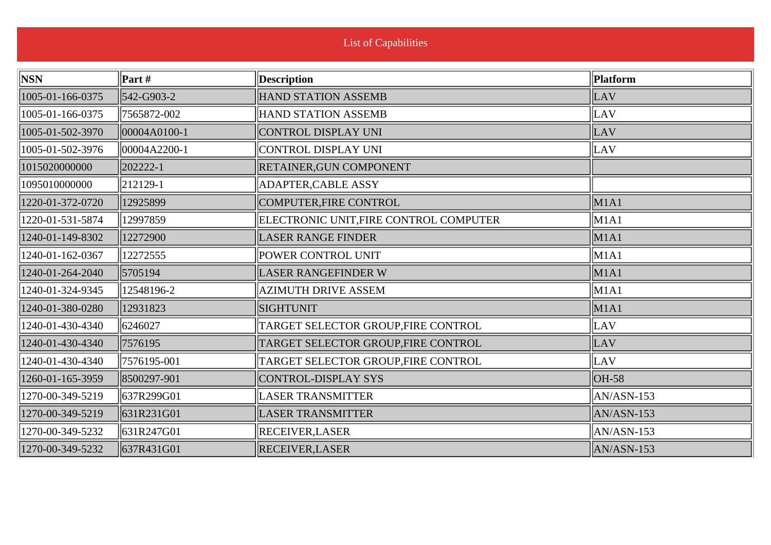| <b>NSN</b>       | Part #       | <b>Description</b>                     | Platform     |
|------------------|--------------|----------------------------------------|--------------|
| 1005-01-166-0375 | 542-G903-2   | <b>HAND STATION ASSEMB</b>             | LAV          |
| 1005-01-166-0375 | 7565872-002  | HAND STATION ASSEMB                    | LAV          |
| 1005-01-502-3970 | 00004A0100-1 | CONTROL DISPLAY UNI                    | LAV          |
| 1005-01-502-3976 | 00004A2200-1 | CONTROL DISPLAY UNI                    | LAV          |
| 1015020000000    | 202222-1     | <b>RETAINER, GUN COMPONENT</b>         |              |
| 1095010000000    | 212129-1     | ADAPTER, CABLE ASSY                    |              |
| 1220-01-372-0720 | 12925899     | COMPUTER, FIRE CONTROL                 | M1A1         |
| 1220-01-531-5874 | 12997859     | ELECTRONIC UNIT, FIRE CONTROL COMPUTER | M1A1         |
| 1240-01-149-8302 | 12272900     | <b>LASER RANGE FINDER</b>              | M1A1         |
| 1240-01-162-0367 | 12272555     | POWER CONTROL UNIT                     | M1A1         |
| 1240-01-264-2040 | 5705194      | <b>LASER RANGEFINDER W</b>             | M1A1         |
| 1240-01-324-9345 | 12548196-2   | <b>AZIMUTH DRIVE ASSEM</b>             | M1A1         |
| 1240-01-380-0280 | 12931823     | <b>SIGHTUNIT</b>                       | M1A1         |
| 1240-01-430-4340 | 6246027      | TARGET SELECTOR GROUP, FIRE CONTROL    | LAV          |
| 1240-01-430-4340 | 7576195      | TARGET SELECTOR GROUP, FIRE CONTROL    | LAV          |
| 1240-01-430-4340 | 7576195-001  | TARGET SELECTOR GROUP, FIRE CONTROL    | LAV          |
| 1260-01-165-3959 | 8500297-901  | CONTROL-DISPLAY SYS                    | $OH-58$      |
| 1270-00-349-5219 | 637R299G01   | <b>LASER TRANSMITTER</b>               | AN/ASN-153   |
| 1270-00-349-5219 | 631R231G01   | <b>LASER TRANSMITTER</b>               | $AN/ASN-153$ |
| 1270-00-349-5232 | 631R247G01   | <b>RECEIVER, LASER</b>                 | AN/ASN-153   |
| 1270-00-349-5232 | 637R431G01   | <b>RECEIVER, LASER</b>                 | $AN/ANN-153$ |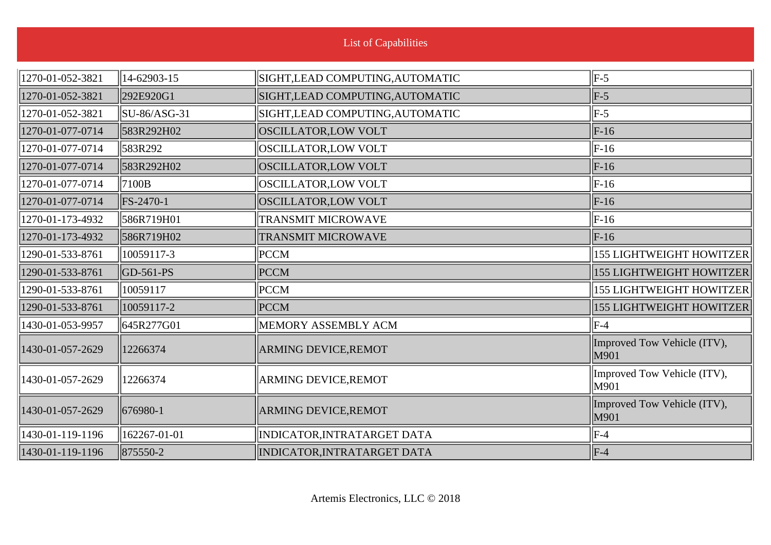|  | <b>List of Capabilities</b> |  |
|--|-----------------------------|--|
|  |                             |  |

| 1270-01-052-3821 | 14-62903-15                   | SIGHT, LEAD COMPUTING, AUTOMATIC | $\parallel$ F-5                     |
|------------------|-------------------------------|----------------------------------|-------------------------------------|
| 1270-01-052-3821 | 292E920G1                     | SIGHT, LEAD COMPUTING, AUTOMATIC | $F-5$                               |
| 1270-01-052-3821 | $\left  SU-86/ASG-31 \right $ | SIGHT, LEAD COMPUTING, AUTOMATIC | $\parallel$ F-5                     |
| 1270-01-077-0714 | 583R292H02                    | <b>OSCILLATOR, LOW VOLT</b>      | $\vert$ F-16                        |
| 1270-01-077-0714 | 583R292                       | OSCILLATOR,LOW VOLT              | $\vert$ F-16                        |
| 1270-01-077-0714 | 583R292H02                    | <b>OSCILLATOR, LOW VOLT</b>      | $\vert$ F-16                        |
| 1270-01-077-0714 | 7100B                         | OSCILLATOR,LOW VOLT              | $\vert$ F-16                        |
| 1270-01-077-0714 | FS-2470-1                     | <b>OSCILLATOR, LOW VOLT</b>      | $\vert$ F-16                        |
| 1270-01-173-4932 | 586R719H01                    | <b>TRANSMIT MICROWAVE</b>        | $\vert$ F-16                        |
| 1270-01-173-4932 | 586R719H02                    | <b>TRANSMIT MICROWAVE</b>        | $\vert$ F-16                        |
| 1290-01-533-8761 | 10059117-3                    | <b>PCCM</b>                      | <b>155 LIGHTWEIGHT HOWITZER</b>     |
| 1290-01-533-8761 | $ GD-561-PS$                  | <b>PCCM</b>                      | <b>155 LIGHTWEIGHT HOWITZER</b>     |
| 1290-01-533-8761 | 10059117                      | <b>PCCM</b>                      | <b>155 LIGHTWEIGHT HOWITZER</b>     |
| 1290-01-533-8761 | 10059117-2                    | <b>PCCM</b>                      | <b>155 LIGHTWEIGHT HOWITZER</b>     |
| 1430-01-053-9957 | 645R277G01                    | MEMORY ASSEMBLY ACM              | $\parallel$ F-4                     |
| 1430-01-057-2629 | 12266374                      | <b>ARMING DEVICE, REMOT</b>      | Improved Tow Vehicle (ITV),<br>M901 |
| 1430-01-057-2629 | 12266374                      | <b>ARMING DEVICE,REMOT</b>       | Improved Tow Vehicle (ITV),<br>M901 |
| 1430-01-057-2629 | $ 676980-1$                   | <b>ARMING DEVICE, REMOT</b>      | Improved Tow Vehicle (ITV),<br>M901 |
| 1430-01-119-1196 | 162267-01-01                  | INDICATOR, INTRATARGET DATA      | $\parallel$ F-4                     |
| 1430-01-119-1196 | 875550-2                      | INDICATOR, INTRATARGET DATA      | $\parallel$ F-4                     |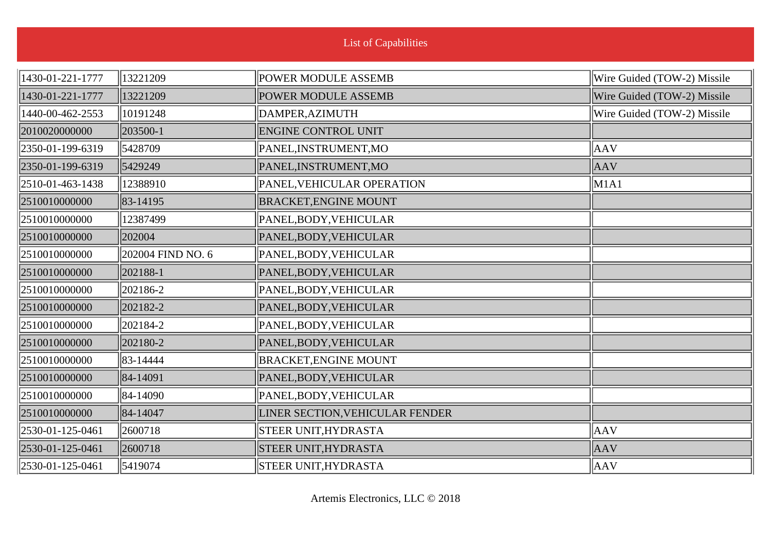| <b>List of Capabilities</b> |                   |                                 |                             |
|-----------------------------|-------------------|---------------------------------|-----------------------------|
| 1430-01-221-1777            | 13221209          | <b>POWER MODULE ASSEMB</b>      | Wire Guided (TOW-2) Missile |
| 1430-01-221-1777            | 13221209          | <b>POWER MODULE ASSEMB</b>      | Wire Guided (TOW-2) Missile |
| 1440-00-462-2553            | 10191248          | DAMPER, AZIMUTH                 | Wire Guided (TOW-2) Missile |
| 2010020000000               | 203500-1          | <b>ENGINE CONTROL UNIT</b>      |                             |
| 2350-01-199-6319            | 5428709           | PANEL, INSTRUMENT, MO           | AAV                         |
| 2350-01-199-6319            | 5429249           | PANEL, INSTRUMENT, MO           | <b>AAV</b>                  |
| 2510-01-463-1438            | 12388910          | PANEL, VEHICULAR OPERATION      | $\vert$ M1A1                |
| 2510010000000               | 83-14195          | <b>BRACKET, ENGINE MOUNT</b>    |                             |
| 2510010000000               | 12387499          | PANEL, BODY, VEHICULAR          |                             |
| 2510010000000               | 202004            | PANEL, BODY, VEHICULAR          |                             |
| 2510010000000               | 202004 FIND NO. 6 | PANEL, BODY, VEHICULAR          |                             |
| 2510010000000               | 202188-1          | PANEL, BODY, VEHICULAR          |                             |
| 2510010000000               | 202186-2          | PANEL, BODY, VEHICULAR          |                             |
| 2510010000000               | 202182-2          | PANEL, BODY, VEHICULAR          |                             |
| 2510010000000               | 202184-2          | PANEL, BODY, VEHICULAR          |                             |
| 2510010000000               | 202180-2          | PANEL, BODY, VEHICULAR          |                             |
| 2510010000000               | 83-14444          | <b>BRACKET, ENGINE MOUNT</b>    |                             |
| 2510010000000               | 84-14091          | PANEL, BODY, VEHICULAR          |                             |
| 2510010000000               | 84-14090          | PANEL, BODY, VEHICULAR          |                             |
| 2510010000000               | 84-14047          | LINER SECTION, VEHICULAR FENDER |                             |
| 2530-01-125-0461            | 2600718           | STEER UNIT, HYDRASTA            | AAV                         |
| 2530-01-125-0461            | 2600718           | <b>STEER UNIT, HYDRASTA</b>     | <b>AAV</b>                  |
| 2530-01-125-0461            | 5419074           | <b>STEER UNIT, HYDRASTA</b>     | $\parallel$ AAV             |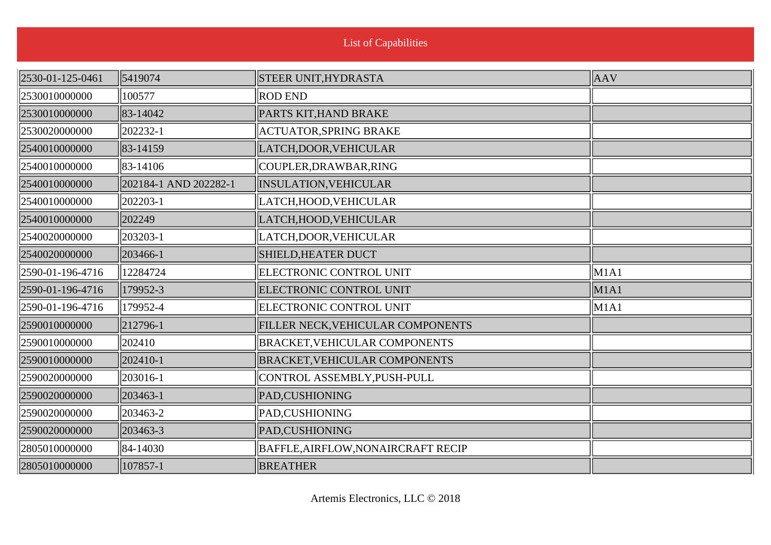| 2530-01-125-0461 | 5419074                  | STEER UNIT, HYDRASTA                      | $\parallel$ AAV |
|------------------|--------------------------|-------------------------------------------|-----------------|
| 2530010000000    | 100577                   | <b>ROD END</b>                            |                 |
| 2530010000000    | 83-14042                 | PARTS KIT, HAND BRAKE                     |                 |
| 2530020000000    | $ 202232 - 1$            | <b>ACTUATOR, SPRING BRAKE</b>             |                 |
| 2540010000000    | 83-14159                 | LATCH, DOOR, VEHICULAR                    |                 |
| 2540010000000    | 83-14106                 | COUPLER, DRAWBAR, RING                    |                 |
| 2540010000000    | 202184-1 AND 202282-1    | <b>INSULATION, VEHICULAR</b>              |                 |
| 2540010000000    | 202203-1                 | LATCH, HOOD, VEHICULAR                    |                 |
| 2540010000000    | 202249                   | LATCH, HOOD, VEHICULAR                    |                 |
| 2540020000000    | 203203-1                 | LATCH, DOOR, VEHICULAR                    |                 |
| 2540020000000    | 203466-1                 | <b>SHIELD, HEATER DUCT</b>                |                 |
| 2590-01-196-4716 | 12284724                 | ELECTRONIC CONTROL UNIT                   | M1A1            |
| 2590-01-196-4716 | 179952-3                 | ELECTRONIC CONTROL UNIT                   | M1A1            |
| 2590-01-196-4716 | 179952-4                 | <b>ELECTRONIC CONTROL UNIT</b>            | M1A1            |
| 2590010000000    | 212796-1                 | FILLER NECK, VEHICULAR COMPONENTS         |                 |
| 2590010000000    | 202410                   | <b>BRACKET, VEHICULAR COMPONENTS</b>      |                 |
| 2590010000000    | 202410-1                 | <b>BRACKET, VEHICULAR COMPONENTS</b>      |                 |
| 2590020000000    | 203016-1                 | CONTROL ASSEMBLY, PUSH-PULL               |                 |
| 2590020000000    | 203463-1                 | PAD, CUSHIONING                           |                 |
| 2590020000000    | $\vert 203463 - 2 \vert$ | PAD, CUSHIONING                           |                 |
| 2590020000000    | 203463-3                 | PAD, CUSHIONING                           |                 |
| 2805010000000    | 84-14030                 | <b>BAFFLE, AIRFLOW, NONAIRCRAFT RECIP</b> |                 |
| 2805010000000    | 107857-1                 | <b>BREATHER</b>                           |                 |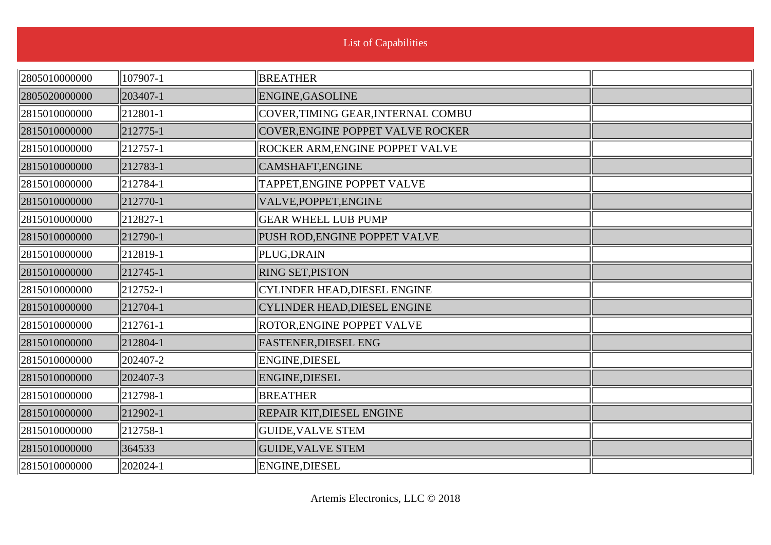| 2805010000000 | 107907-1             | <b>BREATHER</b>                        |  |
|---------------|----------------------|----------------------------------------|--|
| 2805020000000 | $ 203407 - 1$        | ENGINE, GASOLINE                       |  |
| 2815010000000 | $\ 212801-1$         | COVER,TIMING GEAR,INTERNAL COMBU       |  |
| 2815010000000 | $ 212775-1$          | COVER, ENGINE POPPET VALVE ROCKER      |  |
| 2815010000000 | $\ 212757-1$         | <b>ROCKER ARM, ENGINE POPPET VALVE</b> |  |
| 2815010000000 | $ 212783-1$          | CAMSHAFT, ENGINE                       |  |
| 2815010000000 | $\parallel$ 212784-1 | TAPPET, ENGINE POPPET VALVE            |  |
| 2815010000000 | $ 212770-1$          | VALVE, POPPET, ENGINE                  |  |
| 2815010000000 | $\ 212827 - 1$       | <b>GEAR WHEEL LUB PUMP</b>             |  |
| 2815010000000 | $ 212790-1$          | PUSH ROD, ENGINE POPPET VALVE          |  |
| 2815010000000 | $\ 212819-1$         | PLUG, DRAIN                            |  |
| 2815010000000 | $\ 212745-1$         | <b>RING SET, PISTON</b>                |  |
| 2815010000000 | $\ 212752 - 1$       | CYLINDER HEAD, DIESEL ENGINE           |  |
| 2815010000000 | $ 212704-1$          | <b>CYLINDER HEAD, DIESEL ENGINE</b>    |  |
| 2815010000000 | $\ 212761-1$         | ROTOR, ENGINE POPPET VALVE             |  |
| 2815010000000 | $ 212804-1$          | <b>FASTENER, DIESEL ENG</b>            |  |
| 2815010000000 | 202407-2             | ENGINE, DIESEL                         |  |
| 2815010000000 | 202407-3             | ENGINE, DIESEL                         |  |
| 2815010000000 | $\ 212798-1$         | <b>BREATHER</b>                        |  |
| 2815010000000 | $ 212902-1 $         | REPAIR KIT, DIESEL ENGINE              |  |
| 2815010000000 | $\parallel$ 212758-1 | <b>GUIDE, VALVE STEM</b>               |  |
| 2815010000000 | 364533               | <b>GUIDE, VALVE STEM</b>               |  |
| 2815010000000 | $ 202024-1$          | <b>ENGINE, DIESEL</b>                  |  |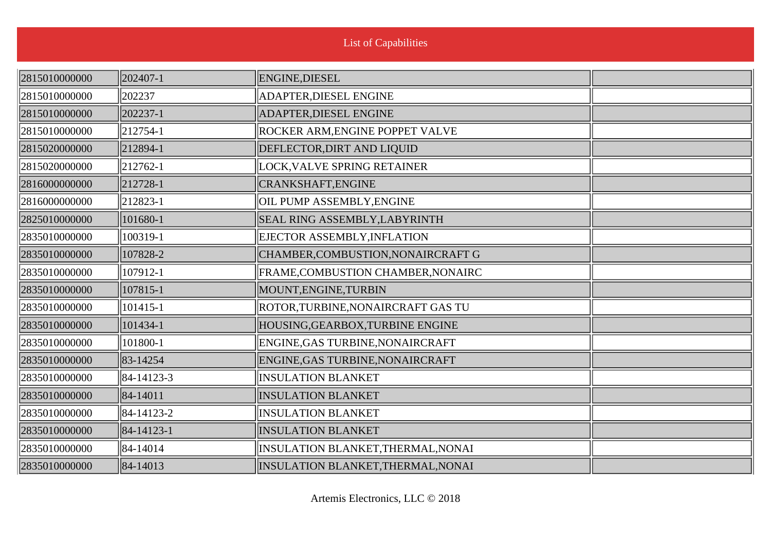| 2815010000000 | 202407-1    | ENGINE, DIESEL                         |  |
|---------------|-------------|----------------------------------------|--|
| 2815010000000 | 202237      | <b>ADAPTER, DIESEL ENGINE</b>          |  |
| 2815010000000 | 202237-1    | <b>ADAPTER, DIESEL ENGINE</b>          |  |
| 2815010000000 | $ 212754-1$ | <b>ROCKER ARM, ENGINE POPPET VALVE</b> |  |
| 2815020000000 | 212894-1    | DEFLECTOR, DIRT AND LIQUID             |  |
| 2815020000000 | 212762-1    | LOCK, VALVE SPRING RETAINER            |  |
| 2816000000000 | 212728-1    | CRANKSHAFT, ENGINE                     |  |
| 2816000000000 | 212823-1    | OIL PUMP ASSEMBLY, ENGINE              |  |
| 2825010000000 | 101680-1    | <b>SEAL RING ASSEMBLY, LABYRINTH</b>   |  |
| 2835010000000 | 100319-1    | EJECTOR ASSEMBLY, INFLATION            |  |
| 2835010000000 | 107828-2    | CHAMBER, COMBUSTION, NONAIRCRAFT G     |  |
| 2835010000000 | 107912-1    | FRAME, COMBUSTION CHAMBER, NONAIRC     |  |
| 2835010000000 | 107815-1    | MOUNT, ENGINE, TURBIN                  |  |
| 2835010000000 | 101415-1    | ROTOR, TURBINE, NONAIRCRAFT GAS TU     |  |
| 2835010000000 | 101434-1    | HOUSING, GEARBOX, TURBINE ENGINE       |  |
| 2835010000000 | 101800-1    | ENGINE, GAS TURBINE, NONAIRCRAFT       |  |
| 2835010000000 | 83-14254    | ENGINE, GAS TURBINE, NONAIRCRAFT       |  |
| 2835010000000 | 84-14123-3  | <b>INSULATION BLANKET</b>              |  |
| 2835010000000 | 84-14011    | <b>INSULATION BLANKET</b>              |  |
| 2835010000000 | 84-14123-2  | <b>INSULATION BLANKET</b>              |  |
| 2835010000000 | 84-14123-1  | <b>INSULATION BLANKET</b>              |  |
| 2835010000000 | 84-14014    | INSULATION BLANKET, THERMAL, NONAI     |  |
| 2835010000000 | 84-14013    | INSULATION BLANKET, THERMAL, NONAI     |  |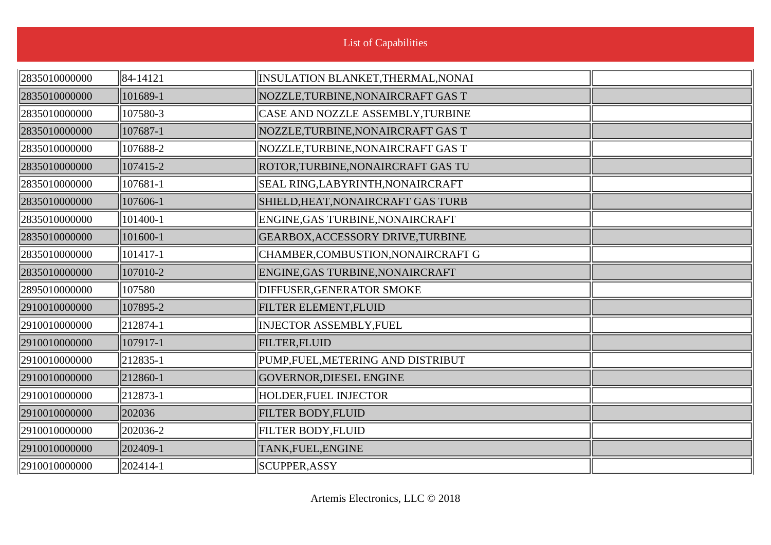| 2835010000000 | 84-14121     | INSULATION BLANKET, THERMAL, NONAI |  |
|---------------|--------------|------------------------------------|--|
| 2835010000000 | 101689-1     | NOZZLE, TURBINE, NONAIRCRAFT GAS T |  |
| 2835010000000 | 107580-3     | CASE AND NOZZLE ASSEMBLY, TURBINE  |  |
| 2835010000000 | 107687-1     | NOZZLE, TURBINE, NONAIRCRAFT GAS T |  |
| 2835010000000 | 107688-2     | NOZZLE, TURBINE, NONAIRCRAFT GAS T |  |
| 2835010000000 | 107415-2     | ROTOR, TURBINE, NONAIRCRAFT GAS TU |  |
| 2835010000000 | 107681-1     | SEAL RING, LABYRINTH, NONAIRCRAFT  |  |
| 2835010000000 | 107606-1     | SHIELD, HEAT, NONAIRCRAFT GAS TURB |  |
| 2835010000000 | 101400-1     | ENGINE, GAS TURBINE, NONAIRCRAFT   |  |
| 2835010000000 | 101600-1     | GEARBOX, ACCESSORY DRIVE, TURBINE  |  |
| 2835010000000 | 101417-1     | CHAMBER, COMBUSTION, NONAIRCRAFT G |  |
| 2835010000000 | 107010-2     | ENGINE, GAS TURBINE, NONAIRCRAFT   |  |
| 2895010000000 | 107580       | <b>DIFFUSER, GENERATOR SMOKE</b>   |  |
| 2910010000000 | 107895-2     | FILTER ELEMENT, FLUID              |  |
| 2910010000000 | $\ 212874-1$ | <b>INJECTOR ASSEMBLY, FUEL</b>     |  |
| 2910010000000 | 107917-1     | <b>FILTER, FLUID</b>               |  |
| 2910010000000 | $ 212835-1$  | PUMP, FUEL, METERING AND DISTRIBUT |  |
| 2910010000000 | 212860-1     | GOVERNOR, DIESEL ENGINE            |  |
| 2910010000000 | $\ 212873-1$ | <b>HOLDER, FUEL INJECTOR</b>       |  |
| 2910010000000 | 202036       | <b>FILTER BODY, FLUID</b>          |  |
| 2910010000000 | 202036-2     | <b>FILTER BODY, FLUID</b>          |  |
| 2910010000000 | $ 202409-1$  | TANK, FUEL, ENGINE                 |  |
| 2910010000000 | $ 202414-1$  | SCUPPER, ASSY                      |  |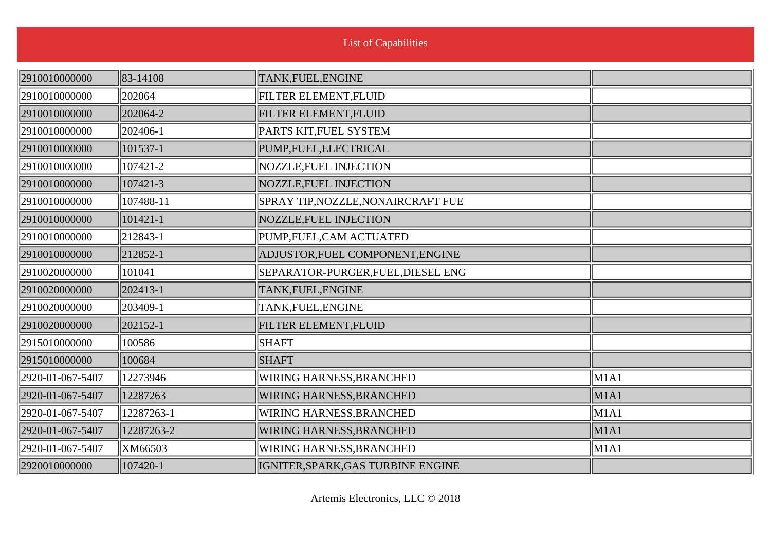| 2910010000000    | $\ 83-14108\ $ | TANK, FUEL, ENGINE                 |      |
|------------------|----------------|------------------------------------|------|
| 2910010000000    | 202064         | <b>FILTER ELEMENT, FLUID</b>       |      |
| 2910010000000    | 202064-2       | FILTER ELEMENT, FLUID              |      |
| 2910010000000    | $ 202406-1$    | PARTS KIT, FUEL SYSTEM             |      |
| 2910010000000    | 101537-1       | PUMP,FUEL,ELECTRICAL               |      |
| 2910010000000    | 107421-2       | NOZZLE, FUEL INJECTION             |      |
| 2910010000000    | 107421-3       | NOZZLE, FUEL INJECTION             |      |
| 2910010000000    | 107488-11      | SPRAY TIP, NOZZLE, NONAIRCRAFT FUE |      |
| 2910010000000    | $ 101421 - 1$  | NOZZLE, FUEL INJECTION             |      |
| 2910010000000    | $ 212843-1$    | PUMP, FUEL, CAM ACTUATED           |      |
| 2910010000000    | $ 212852-1$    | ADJUSTOR, FUEL COMPONENT, ENGINE   |      |
| 2910020000000    | 101041         | SEPARATOR-PURGER, FUEL, DIESEL ENG |      |
| 2910020000000    | 202413-1       | TANK, FUEL, ENGINE                 |      |
| 2910020000000    | 203409-1       | TANK, FUEL, ENGINE                 |      |
| 2910020000000    | $ 202152 - 1 $ | <b>FILTER ELEMENT, FLUID</b>       |      |
| 2915010000000    | 100586         | <b>SHAFT</b>                       |      |
| 2915010000000    | 100684         | <b>SHAFT</b>                       |      |
| 2920-01-067-5407 | 12273946       | WIRING HARNESS, BRANCHED           | M1A1 |
| 2920-01-067-5407 | 12287263       | <b>WIRING HARNESS, BRANCHED</b>    | M1A1 |
| 2920-01-067-5407 | 12287263-1     | WIRING HARNESS, BRANCHED           | M1A1 |
| 2920-01-067-5407 | 12287263-2     | <b>WIRING HARNESS, BRANCHED</b>    | M1A1 |
| 2920-01-067-5407 | XM66503        | <b>WIRING HARNESS, BRANCHED</b>    | M1A1 |
| 2920010000000    | 107420-1       | IGNITER, SPARK, GAS TURBINE ENGINE |      |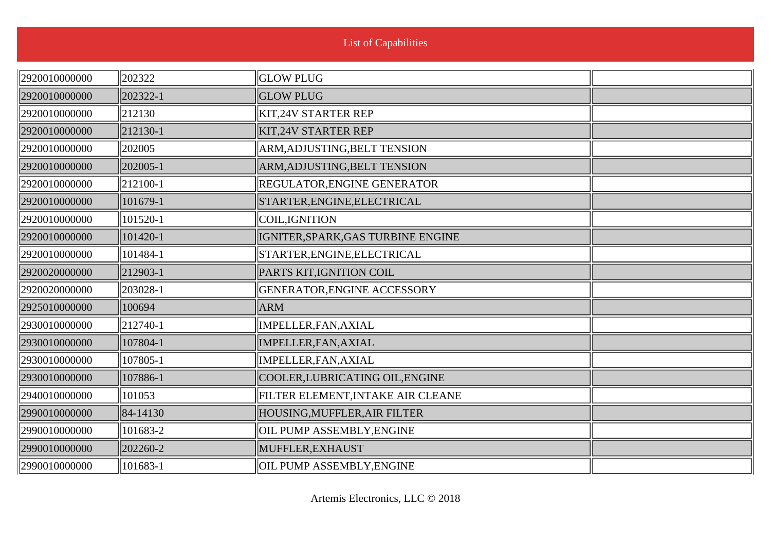÷.

| 2920010000000 | 202322   | <b>GLOW PLUG</b>                   |  |
|---------------|----------|------------------------------------|--|
| 2920010000000 | 202322-1 | <b>GLOW PLUG</b>                   |  |
| 2920010000000 | 212130   | <b>KIT,24V STARTER REP</b>         |  |
| 2920010000000 | 212130-1 | <b>KIT, 24V STARTER REP</b>        |  |
| 2920010000000 | 202005   | ARM, ADJUSTING, BELT TENSION       |  |
| 2920010000000 | 202005-1 | ARM, ADJUSTING, BELT TENSION       |  |
| 2920010000000 | 212100-1 | <b>REGULATOR, ENGINE GENERATOR</b> |  |
| 2920010000000 | 101679-1 | STARTER, ENGINE, ELECTRICAL        |  |
| 2920010000000 | 101520-1 | COIL, IGNITION                     |  |
| 2920010000000 | 101420-1 | IGNITER, SPARK, GAS TURBINE ENGINE |  |
| 2920010000000 | 101484-1 | STARTER, ENGINE, ELECTRICAL        |  |
| 2920020000000 | 212903-1 | PARTS KIT, IGNITION COIL           |  |
| 2920020000000 | 203028-1 | GENERATOR, ENGINE ACCESSORY        |  |
| 2925010000000 | 100694   | <b>ARM</b>                         |  |
| 2930010000000 | 212740-1 | IMPELLER, FAN, AXIAL               |  |
| 2930010000000 | 107804-1 | IMPELLER, FAN, AXIAL               |  |
| 2930010000000 | 107805-1 | IMPELLER, FAN, AXIAL               |  |
| 2930010000000 | 107886-1 | COOLER, LUBRICATING OIL, ENGINE    |  |
| 2940010000000 | 101053   | FILTER ELEMENT, INTAKE AIR CLEANE  |  |
| 2990010000000 | 84-14130 | HOUSING, MUFFLER, AIR FILTER       |  |
| 2990010000000 | 101683-2 | OIL PUMP ASSEMBLY, ENGINE          |  |
| 2990010000000 | 202260-2 | MUFFLER, EXHAUST                   |  |
| 2990010000000 | 101683-1 | OIL PUMP ASSEMBLY, ENGINE          |  |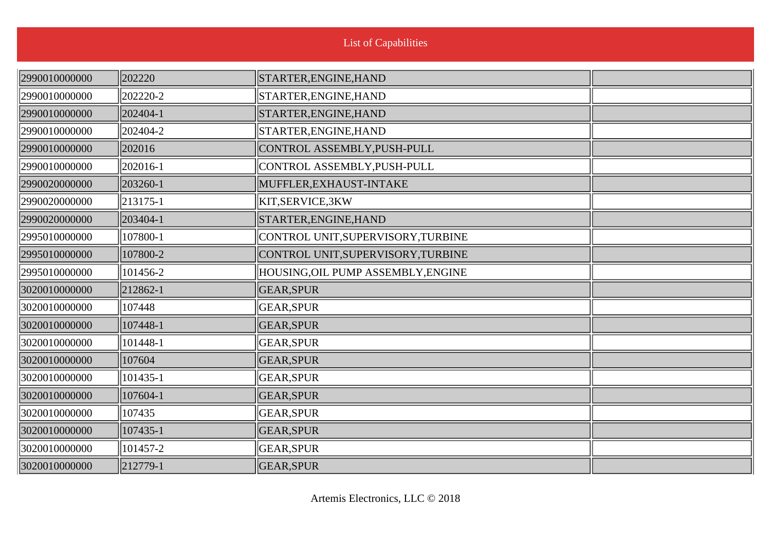| 2990010000000 | 202220       | STARTER, ENGINE, HAND              |  |
|---------------|--------------|------------------------------------|--|
| 2990010000000 | 202220-2     | STARTER, ENGINE, HAND              |  |
| 2990010000000 | $ 202404-1$  | STARTER, ENGINE, HAND              |  |
| 2990010000000 | 202404-2     | STARTER, ENGINE, HAND              |  |
| 2990010000000 | 202016       | CONTROL ASSEMBLY, PUSH-PULL        |  |
| 2990010000000 | 202016-1     | CONTROL ASSEMBLY, PUSH-PULL        |  |
| 2990020000000 | $ 203260-1 $ | MUFFLER, EXHAUST-INTAKE            |  |
| 2990020000000 | $\ 213175-1$ | KIT,SERVICE,3KW                    |  |
| 2990020000000 | $ 203404-1$  | STARTER, ENGINE, HAND              |  |
| 2995010000000 | 107800-1     | CONTROL UNIT, SUPERVISORY, TURBINE |  |
| 2995010000000 | 107800-2     | CONTROL UNIT, SUPERVISORY, TURBINE |  |
| 2995010000000 | 101456-2     | HOUSING, OIL PUMP ASSEMBLY, ENGINE |  |
| 3020010000000 | 212862-1     | <b>GEAR, SPUR</b>                  |  |
| 3020010000000 | 107448       | GEAR, SPUR                         |  |
| 3020010000000 | 107448-1     | <b>GEAR, SPUR</b>                  |  |
| 3020010000000 | 101448-1     | GEAR, SPUR                         |  |
| 3020010000000 | 107604       | <b>GEAR, SPUR</b>                  |  |
| 3020010000000 | $ 101435-1$  | GEAR, SPUR                         |  |
| 3020010000000 | 107604-1     | <b>GEAR, SPUR</b>                  |  |
| 3020010000000 | 107435       | <b>GEAR, SPUR</b>                  |  |
| 3020010000000 | 107435-1     | <b>GEAR, SPUR</b>                  |  |
| 3020010000000 | 101457-2     | GEAR, SPUR                         |  |
| 3020010000000 | 212779-1     | <b>GEAR, SPUR</b>                  |  |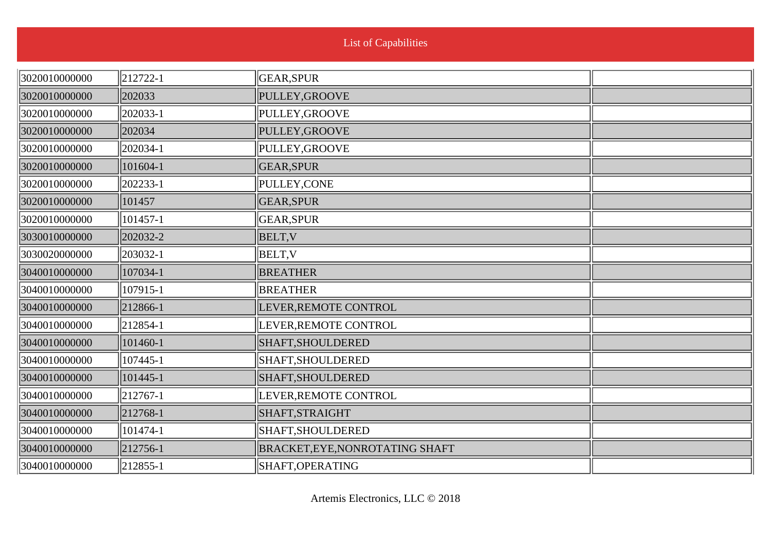|               |                      | <b>List of Capabilities</b>     |  |
|---------------|----------------------|---------------------------------|--|
|               |                      |                                 |  |
| 3020010000000 | $\parallel$ 212722-1 | GEAR, SPUR                      |  |
| 3020010000000 | 202033               | PULLEY, GROOVE                  |  |
| 3020010000000 | 202033-1             | PULLEY, GROOVE                  |  |
| 3020010000000 | 202034               | PULLEY, GROOVE                  |  |
| 3020010000000 | 202034-1             | PULLEY, GROOVE                  |  |
| 3020010000000 | 101604-1             | GEAR, SPUR                      |  |
| 3020010000000 | 202233-1             | PULLEY, CONE                    |  |
| 3020010000000 | 101457               | <b>GEAR, SPUR</b>               |  |
| 3020010000000 | 101457-1             | GEAR, SPUR                      |  |
| 3030010000000 | 202032-2             | <b>BELT, V</b>                  |  |
| 3030020000000 | 203032-1             | BELT, V                         |  |
| 3040010000000 | 107034-1             | <b>BREATHER</b>                 |  |
| 3040010000000 | 107915-1             | BREATHER                        |  |
| 3040010000000 | 212866-1             | LEVER, REMOTE CONTROL           |  |
| 3040010000000 | $\parallel$ 212854-1 | LEVER, REMOTE CONTROL           |  |
| 3040010000000 | 101460-1             | SHAFT, SHOULDERED               |  |
| 3040010000000 | 107445-1             | SHAFT, SHOULDERED               |  |
| 3040010000000 | 101445-1             | SHAFT, SHOULDERED               |  |
| 3040010000000 | $\parallel$ 212767-1 | LEVER, REMOTE CONTROL           |  |
| 3040010000000 | 212768-1             | SHAFT, STRAIGHT                 |  |
| 3040010000000 | $ 101474-1$          | SHAFT, SHOULDERED               |  |
| 3040010000000 | 212756-1             | BRACKET, EYE, NONROTATING SHAFT |  |
| 3040010000000 | $\ 212855 - 1$       | SHAFT, OPERATING                |  |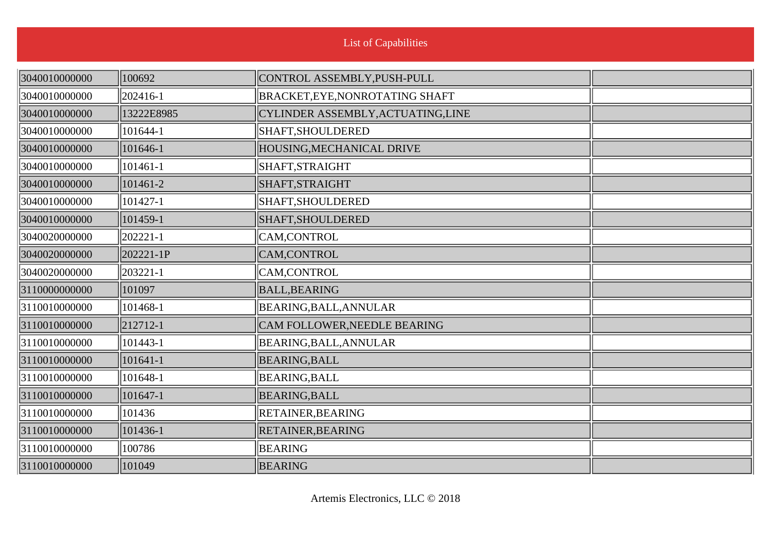| 3040010000000 | 100692         | CONTROL ASSEMBLY, PUSH-PULL        |  |
|---------------|----------------|------------------------------------|--|
| 3040010000000 | 202416-1       | BRACKET, EYE, NONROTATING SHAFT    |  |
| 3040010000000 | 13222E8985     | CYLINDER ASSEMBLY, ACTUATING, LINE |  |
| 3040010000000 | 101644-1       | SHAFT, SHOULDERED                  |  |
| 3040010000000 | 101646-1       | HOUSING, MECHANICAL DRIVE          |  |
| 3040010000000 | $ 101461 - 1$  | SHAFT, STRAIGHT                    |  |
| 3040010000000 | 101461-2       | SHAFT, STRAIGHT                    |  |
| 3040010000000 | 101427-1       | SHAFT, SHOULDERED                  |  |
| 3040010000000 | 101459-1       | SHAFT, SHOULDERED                  |  |
| 3040020000000 | 202221-1       | CAM,CONTROL                        |  |
| 3040020000000 | 202221-1P      | CAM,CONTROL                        |  |
| 3040020000000 | $\ 203221-1\ $ | CAM,CONTROL                        |  |
| 3110000000000 | 101097         | <b>BALL, BEARING</b>               |  |
| 3110010000000 | 101468-1       | BEARING, BALL, ANNULAR             |  |
| 3110010000000 | 212712-1       | CAM FOLLOWER, NEEDLE BEARING       |  |
| 3110010000000 | 101443-1       | BEARING, BALL, ANNULAR             |  |
| 3110010000000 | 101641-1       | <b>BEARING, BALL</b>               |  |
| 3110010000000 | $ 101648-1$    | BEARING, BALL                      |  |
| 3110010000000 | 101647-1       | BEARING, BALL                      |  |
| 3110010000000 | 101436         | <b>RETAINER, BEARING</b>           |  |
| 3110010000000 | 101436-1       | RETAINER, BEARING                  |  |
| 3110010000000 | 100786         | <b>BEARING</b>                     |  |
| 3110010000000 | 101049         | <b>BEARING</b>                     |  |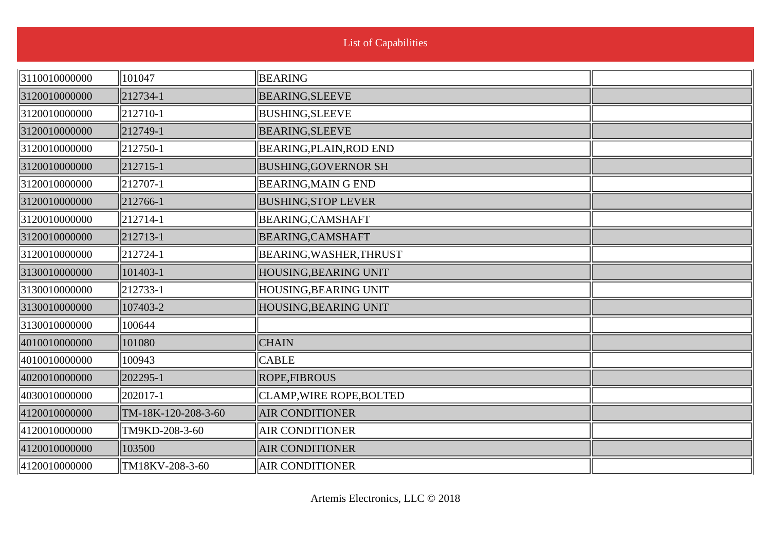| 3110010000000 | 101047              | <b>BEARING</b>              |  |
|---------------|---------------------|-----------------------------|--|
| 3120010000000 | 212734-1            | <b>BEARING, SLEEVE</b>      |  |
| 3120010000000 | 212710-1            | <b>BUSHING, SLEEVE</b>      |  |
| 3120010000000 | 212749-1            | <b>BEARING, SLEEVE</b>      |  |
| 3120010000000 | 212750-1            | BEARING, PLAIN, ROD END     |  |
| 3120010000000 | 212715-1            | <b>BUSHING, GOVERNOR SH</b> |  |
| 3120010000000 | 212707-1            | <b>BEARING, MAIN G END</b>  |  |
| 3120010000000 | 212766-1            | <b>BUSHING, STOP LEVER</b>  |  |
| 3120010000000 | $ 212714-1$         | <b>BEARING, CAMSHAFT</b>    |  |
| 3120010000000 | 212713-1            | <b>BEARING, CAMSHAFT</b>    |  |
| 3120010000000 | 212724-1            | BEARING, WASHER, THRUST     |  |
| 3130010000000 | 101403-1            | HOUSING, BEARING UNIT       |  |
| 3130010000000 | 212733-1            | HOUSING, BEARING UNIT       |  |
| 3130010000000 | 107403-2            | HOUSING, BEARING UNIT       |  |
| 3130010000000 | 100644              |                             |  |
| 4010010000000 | 101080              | <b>CHAIN</b>                |  |
| 4010010000000 | 100943              | <b>CABLE</b>                |  |
| 4020010000000 | 202295-1            | <b>ROPE,FIBROUS</b>         |  |
| 4030010000000 | 202017-1            | CLAMP, WIRE ROPE, BOLTED    |  |
| 4120010000000 | TM-18K-120-208-3-60 | <b>AIR CONDITIONER</b>      |  |
| 4120010000000 | TM9KD-208-3-60      | <b>AIR CONDITIONER</b>      |  |
| 4120010000000 | 103500              | <b>AIR CONDITIONER</b>      |  |
| 4120010000000 | TM18KV-208-3-60     | <b>AIR CONDITIONER</b>      |  |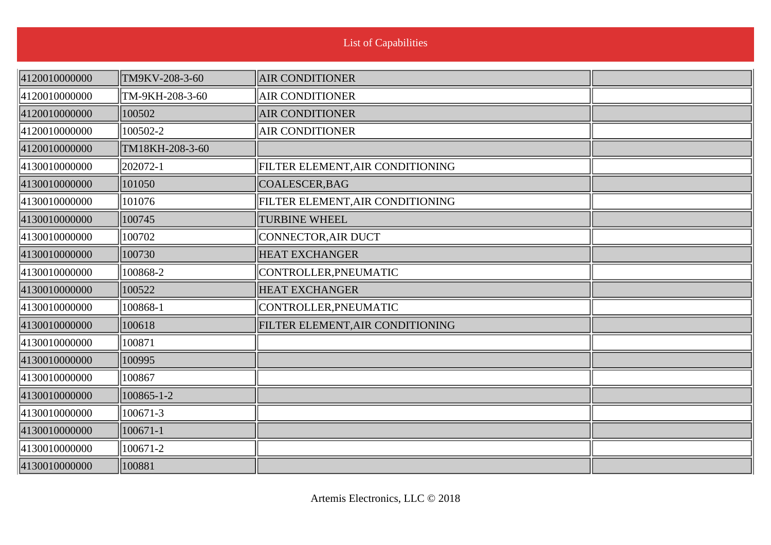| 4120010000000 | TM9KV-208-3-60  | <b>AIR CONDITIONER</b>           |  |
|---------------|-----------------|----------------------------------|--|
| 4120010000000 | TM-9KH-208-3-60 | <b>AIR CONDITIONER</b>           |  |
| 4120010000000 | 100502          | <b>AIR CONDITIONER</b>           |  |
| 4120010000000 | 100502-2        | <b>AIR CONDITIONER</b>           |  |
| 4120010000000 | TM18KH-208-3-60 |                                  |  |
| 4130010000000 | 202072-1        | FILTER ELEMENT, AIR CONDITIONING |  |
| 4130010000000 | 101050          | COALESCER, BAG                   |  |
| 4130010000000 | 101076          | FILTER ELEMENT, AIR CONDITIONING |  |
| 4130010000000 | 100745          | <b>TURBINE WHEEL</b>             |  |
| 4130010000000 | 100702          | CONNECTOR, AIR DUCT              |  |
| 4130010000000 | 100730          | <b>HEAT EXCHANGER</b>            |  |
| 4130010000000 | 100868-2        | CONTROLLER, PNEUMATIC            |  |
| 4130010000000 | 100522          | <b>HEAT EXCHANGER</b>            |  |
| 4130010000000 | 100868-1        | CONTROLLER, PNEUMATIC            |  |
| 4130010000000 | 100618          | FILTER ELEMENT, AIR CONDITIONING |  |
| 4130010000000 | 100871          |                                  |  |
| 4130010000000 | 100995          |                                  |  |
| 4130010000000 | 100867          |                                  |  |
| 4130010000000 | 100865-1-2      |                                  |  |
| 4130010000000 | 100671-3        |                                  |  |
| 4130010000000 | 100671-1        |                                  |  |
| 4130010000000 | 100671-2        |                                  |  |
| 4130010000000 | 100881          |                                  |  |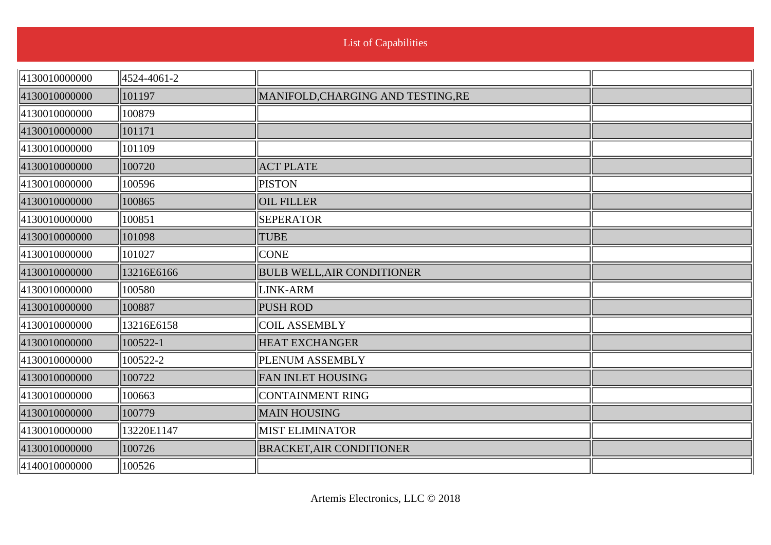|  | <b>List of Capabilities</b> |
|--|-----------------------------|
|  |                             |

| 4130010000000 | 4524-4061-2 |                                    |  |
|---------------|-------------|------------------------------------|--|
| 4130010000000 | 101197      | MANIFOLD, CHARGING AND TESTING, RE |  |
| 4130010000000 | 100879      |                                    |  |
| 4130010000000 | 101171      |                                    |  |
| 4130010000000 | 101109      |                                    |  |
| 4130010000000 | 100720      | <b>ACT PLATE</b>                   |  |
| 4130010000000 | 100596      | <b>PISTON</b>                      |  |
| 4130010000000 | 100865      | <b>OIL FILLER</b>                  |  |
| 4130010000000 | 100851      | <b>SEPERATOR</b>                   |  |
| 4130010000000 | 101098      | <b>TUBE</b>                        |  |
| 4130010000000 | 101027      | <b>CONE</b>                        |  |
| 4130010000000 | 13216E6166  | <b>BULB WELL, AIR CONDITIONER</b>  |  |
| 4130010000000 | 100580      | LINK-ARM                           |  |
| 4130010000000 | 100887      | <b>PUSH ROD</b>                    |  |
| 4130010000000 | 13216E6158  | <b>COIL ASSEMBLY</b>               |  |
| 4130010000000 | 100522-1    | <b>HEAT EXCHANGER</b>              |  |
| 4130010000000 | 100522-2    | <b>PLENUM ASSEMBLY</b>             |  |
| 4130010000000 | 100722      | <b>FAN INLET HOUSING</b>           |  |
| 4130010000000 | 100663      | CONTAINMENT RING                   |  |
| 4130010000000 | 100779      | <b>MAIN HOUSING</b>                |  |
| 4130010000000 | 13220E1147  | <b>MIST ELIMINATOR</b>             |  |
| 4130010000000 | 100726      | <b>BRACKET, AIR CONDITIONER</b>    |  |
| 4140010000000 | 100526      |                                    |  |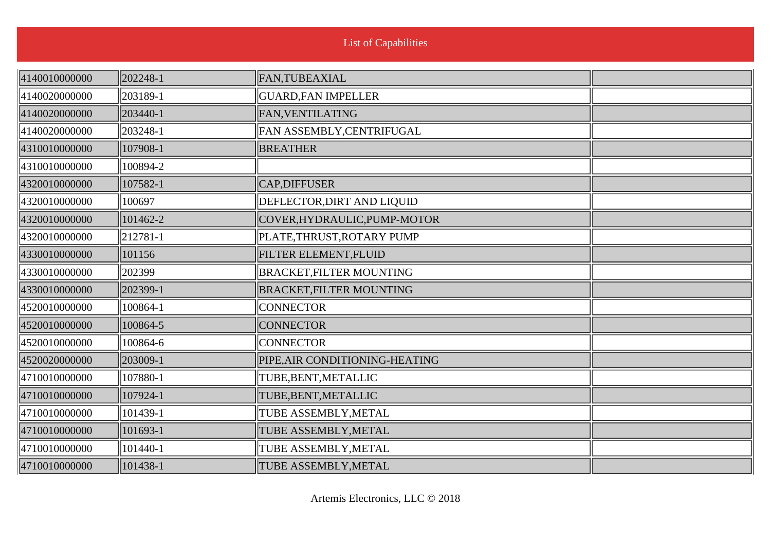| 4140010000000 | 202248-1 | FAN, TUBEAXIAL                  |  |
|---------------|----------|---------------------------------|--|
| 4140020000000 | 203189-1 | <b>GUARD, FAN IMPELLER</b>      |  |
| 4140020000000 | 203440-1 | FAN, VENTILATING                |  |
| 4140020000000 | 203248-1 | FAN ASSEMBLY, CENTRIFUGAL       |  |
| 4310010000000 | 107908-1 | <b>BREATHER</b>                 |  |
| 4310010000000 | 100894-2 |                                 |  |
| 4320010000000 | 107582-1 | <b>CAP, DIFFUSER</b>            |  |
| 4320010000000 | 100697   | DEFLECTOR, DIRT AND LIQUID      |  |
| 4320010000000 | 101462-2 | COVER, HYDRAULIC, PUMP-MOTOR    |  |
| 4320010000000 | 212781-1 | PLATE, THRUST, ROTARY PUMP      |  |
| 4330010000000 | 101156   | FILTER ELEMENT, FLUID           |  |
| 4330010000000 | 202399   | <b>BRACKET, FILTER MOUNTING</b> |  |
| 4330010000000 | 202399-1 | <b>BRACKET, FILTER MOUNTING</b> |  |
| 4520010000000 | 100864-1 | <b>CONNECTOR</b>                |  |
| 4520010000000 | 100864-5 | <b>CONNECTOR</b>                |  |
| 4520010000000 | 100864-6 | <b>CONNECTOR</b>                |  |
| 4520020000000 | 203009-1 | PIPE, AIR CONDITIONING-HEATING  |  |
| 4710010000000 | 107880-1 | TUBE, BENT, METALLIC            |  |
| 4710010000000 | 107924-1 | TUBE, BENT, METALLIC            |  |
| 4710010000000 | 101439-1 | TUBE ASSEMBLY, METAL            |  |
| 4710010000000 | 101693-1 | TUBE ASSEMBLY, METAL            |  |
| 4710010000000 | 101440-1 | TUBE ASSEMBLY, METAL            |  |
| 4710010000000 | 101438-1 | TUBE ASSEMBLY, METAL            |  |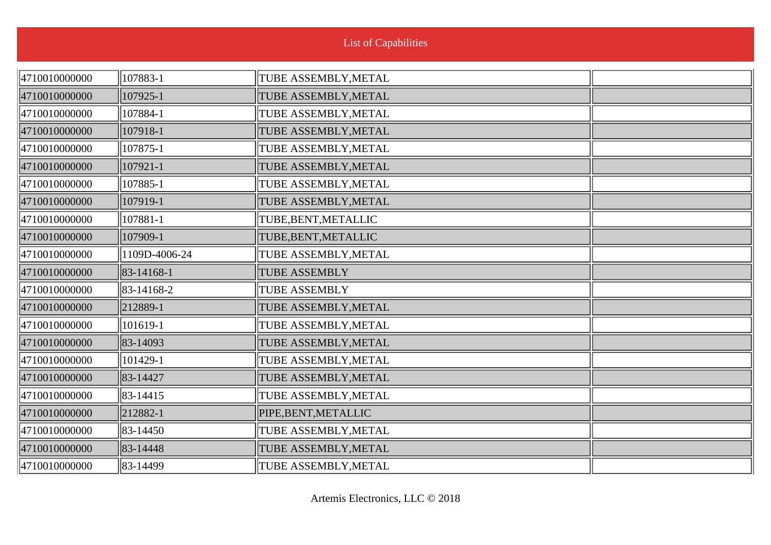| 4710010000000 | 107883-1      | TUBE ASSEMBLY, METAL |  |
|---------------|---------------|----------------------|--|
| 4710010000000 | 107925-1      | TUBE ASSEMBLY, METAL |  |
| 4710010000000 | 107884-1      | TUBE ASSEMBLY, METAL |  |
| 4710010000000 | 107918-1      | TUBE ASSEMBLY, METAL |  |
| 4710010000000 | 107875-1      | TUBE ASSEMBLY, METAL |  |
| 4710010000000 | 107921-1      | TUBE ASSEMBLY, METAL |  |
| 4710010000000 | 107885-1      | TUBE ASSEMBLY, METAL |  |
| 4710010000000 | 107919-1      | TUBE ASSEMBLY, METAL |  |
| 4710010000000 | 107881-1      | TUBE, BENT, METALLIC |  |
| 4710010000000 | 107909-1      | TUBE, BENT, METALLIC |  |
| 4710010000000 | 1109D-4006-24 | TUBE ASSEMBLY, METAL |  |
| 4710010000000 | 83-14168-1    | <b>TUBE ASSEMBLY</b> |  |
| 4710010000000 | 83-14168-2    | <b>TUBE ASSEMBLY</b> |  |
| 4710010000000 | 212889-1      | TUBE ASSEMBLY, METAL |  |
| 4710010000000 | 101619-1      | TUBE ASSEMBLY, METAL |  |
| 4710010000000 | 83-14093      | TUBE ASSEMBLY, METAL |  |
| 4710010000000 | 101429-1      | TUBE ASSEMBLY, METAL |  |
| 4710010000000 | 83-14427      | TUBE ASSEMBLY, METAL |  |
| 4710010000000 | 83-14415      | TUBE ASSEMBLY, METAL |  |
| 4710010000000 | 212882-1      | PIPE, BENT, METALLIC |  |
| 4710010000000 | 83-14450      | TUBE ASSEMBLY, METAL |  |
| 4710010000000 | 83-14448      | TUBE ASSEMBLY, METAL |  |
| 4710010000000 | 83-14499      | TUBE ASSEMBLY, METAL |  |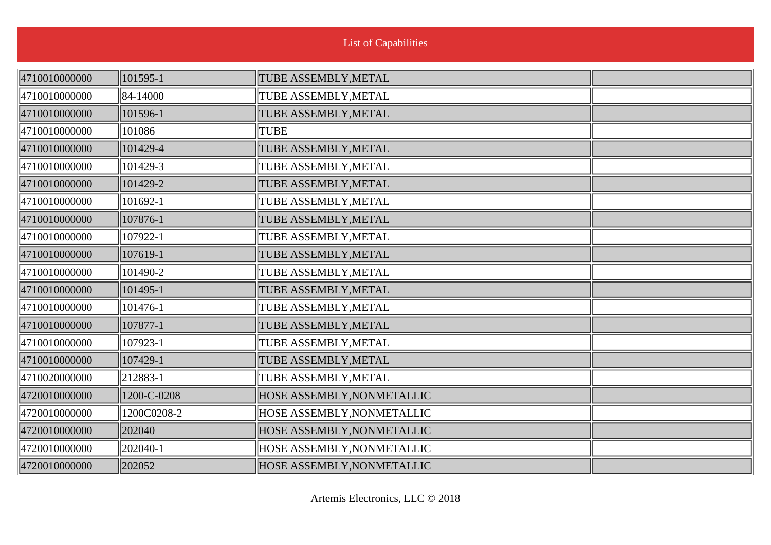| 4710010000000 | 101595-1    | TUBE ASSEMBLY, METAL       |  |
|---------------|-------------|----------------------------|--|
| 4710010000000 | 84-14000    | TUBE ASSEMBLY, METAL       |  |
| 4710010000000 | 101596-1    | TUBE ASSEMBLY, METAL       |  |
| 4710010000000 | 101086      | TUBE                       |  |
| 4710010000000 | 101429-4    | TUBE ASSEMBLY, METAL       |  |
| 4710010000000 | 101429-3    | TUBE ASSEMBLY, METAL       |  |
| 4710010000000 | 101429-2    | TUBE ASSEMBLY, METAL       |  |
| 4710010000000 | 101692-1    | TUBE ASSEMBLY, METAL       |  |
| 4710010000000 | 107876-1    | TUBE ASSEMBLY, METAL       |  |
| 4710010000000 | 107922-1    | TUBE ASSEMBLY, METAL       |  |
| 4710010000000 | 107619-1    | TUBE ASSEMBLY, METAL       |  |
| 4710010000000 | 101490-2    | TUBE ASSEMBLY, METAL       |  |
| 4710010000000 | 101495-1    | TUBE ASSEMBLY, METAL       |  |
| 4710010000000 | 101476-1    | TUBE ASSEMBLY, METAL       |  |
| 4710010000000 | 107877-1    | TUBE ASSEMBLY, METAL       |  |
| 4710010000000 | 107923-1    | TUBE ASSEMBLY, METAL       |  |
| 4710010000000 | 107429-1    | TUBE ASSEMBLY, METAL       |  |
| 4710020000000 | 212883-1    | TUBE ASSEMBLY, METAL       |  |
| 4720010000000 | 1200-C-0208 | HOSE ASSEMBLY, NONMETALLIC |  |
| 4720010000000 | 1200C0208-2 | HOSE ASSEMBLY, NONMETALLIC |  |
| 4720010000000 | 202040      | HOSE ASSEMBLY, NONMETALLIC |  |
| 4720010000000 | 202040-1    | HOSE ASSEMBLY, NONMETALLIC |  |
| 4720010000000 | 202052      | HOSE ASSEMBLY, NONMETALLIC |  |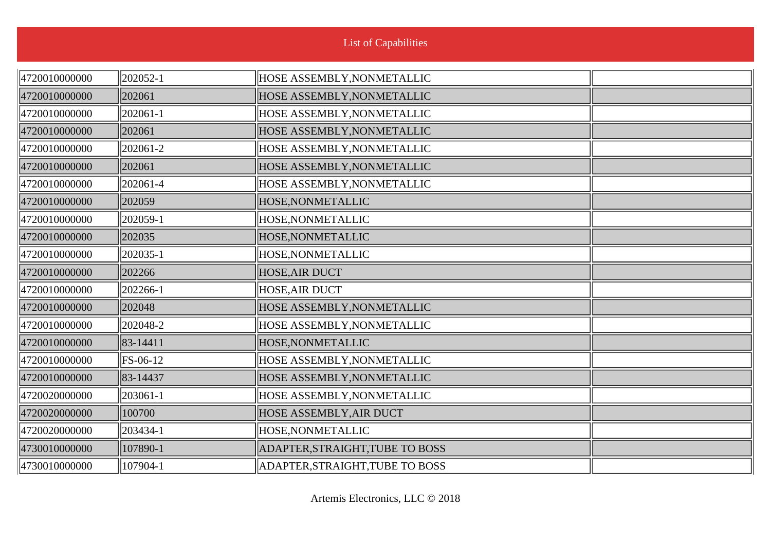| 4720010000000 | $\parallel$ 202052-1 | HOSE ASSEMBLY, NONMETALLIC        |  |
|---------------|----------------------|-----------------------------------|--|
| 4720010000000 | 202061               | HOSE ASSEMBLY, NONMETALLIC        |  |
| 4720010000000 | $ 202061-1$          | <b>HOSE ASSEMBLY, NONMETALLIC</b> |  |
| 4720010000000 | 202061               | <b>HOSE ASSEMBLY, NONMETALLIC</b> |  |
| 4720010000000 | 202061-2             | <b>HOSE ASSEMBLY, NONMETALLIC</b> |  |
| 4720010000000 | 202061               | HOSE ASSEMBLY, NONMETALLIC        |  |
| 4720010000000 | $\parallel$ 202061-4 | <b>HOSE ASSEMBLY, NONMETALLIC</b> |  |
| 4720010000000 | 202059               | <b>HOSE, NONMETALLIC</b>          |  |
| 4720010000000 | 202059-1             | HOSE, NONMETALLIC                 |  |
| 4720010000000 | 202035               | HOSE, NONMETALLIC                 |  |
| 4720010000000 | 202035-1             | <b>HOSE, NONMETALLIC</b>          |  |
| 4720010000000 | 202266               | <b>HOSE, AIR DUCT</b>             |  |
| 4720010000000 | $ 202266-1$          | <b>HOSE, AIR DUCT</b>             |  |
| 4720010000000 | 202048               | HOSE ASSEMBLY, NONMETALLIC        |  |
| 4720010000000 | 202048-2             | <b>HOSE ASSEMBLY, NONMETALLIC</b> |  |
| 4720010000000 | $ 83-14411 $         | <b>HOSE, NONMETALLIC</b>          |  |
| 4720010000000 | $\ $ FS-06-12        | <b>HOSE ASSEMBLY, NONMETALLIC</b> |  |
| 4720010000000 | 83-14437             | <b>HOSE ASSEMBLY, NONMETALLIC</b> |  |
| 4720020000000 | $\ 203061 - 1$       | <b>HOSE ASSEMBLY, NONMETALLIC</b> |  |
| 4720020000000 | 100700               | <b>HOSE ASSEMBLY, AIR DUCT</b>    |  |
| 4720020000000 | $\parallel$ 203434-1 | <b>HOSE, NONMETALLIC</b>          |  |
| 4730010000000 | 107890-1             | ADAPTER, STRAIGHT, TUBE TO BOSS   |  |
| 4730010000000 | 107904-1             | ADAPTER, STRAIGHT, TUBE TO BOSS   |  |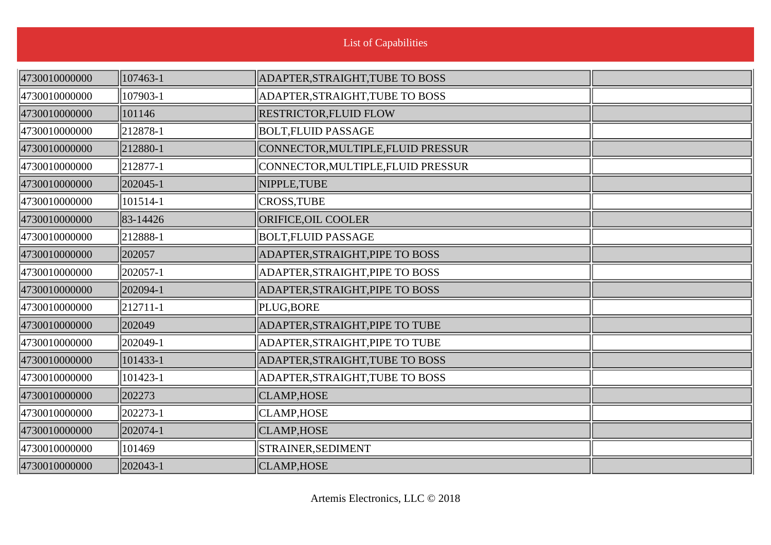| 4730010000000 | 107463-1     | ADAPTER, STRAIGHT, TUBE TO BOSS    |  |
|---------------|--------------|------------------------------------|--|
| 4730010000000 | 107903-1     | ADAPTER, STRAIGHT, TUBE TO BOSS    |  |
| 4730010000000 | 101146       | <b>RESTRICTOR, FLUID FLOW</b>      |  |
| 4730010000000 | $\ 212878-1$ | <b>BOLT, FLUID PASSAGE</b>         |  |
| 4730010000000 | 212880-1     | CONNECTOR, MULTIPLE, FLUID PRESSUR |  |
| 4730010000000 | $ 212877-1$  | CONNECTOR, MULTIPLE, FLUID PRESSUR |  |
| 4730010000000 | $ 202045-1$  | NIPPLE, TUBE                       |  |
| 4730010000000 | 101514-1     | CROSS, TUBE                        |  |
| 4730010000000 | 83-14426     | ORIFICE, OIL COOLER                |  |
| 4730010000000 | 212888-1     | <b>BOLT, FLUID PASSAGE</b>         |  |
| 4730010000000 | 202057       | ADAPTER, STRAIGHT, PIPE TO BOSS    |  |
| 4730010000000 | 202057-1     | ADAPTER, STRAIGHT, PIPE TO BOSS    |  |
| 4730010000000 | 202094-1     | ADAPTER, STRAIGHT, PIPE TO BOSS    |  |
| 4730010000000 | $ 212711-1$  | PLUG, BORE                         |  |
| 4730010000000 | 202049       | ADAPTER, STRAIGHT, PIPE TO TUBE    |  |
| 4730010000000 | 202049-1     | ADAPTER, STRAIGHT, PIPE TO TUBE    |  |
| 4730010000000 | 101433-1     | ADAPTER, STRAIGHT, TUBE TO BOSS    |  |
| 4730010000000 | $ 101423-1$  | ADAPTER, STRAIGHT, TUBE TO BOSS    |  |
| 4730010000000 | 202273       | <b>CLAMP, HOSE</b>                 |  |
| 4730010000000 | 202273-1     | CLAMP, HOSE                        |  |
| 4730010000000 | 202074-1     | <b>CLAMP, HOSE</b>                 |  |
| 4730010000000 | 101469       | STRAINER, SEDIMENT                 |  |
| 4730010000000 | 202043-1     | CLAMP, HOSE                        |  |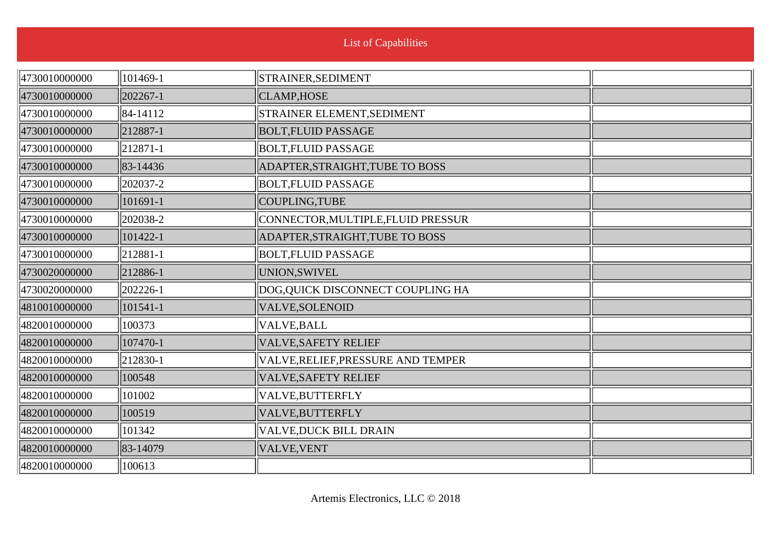| 4730010000000 | 101469-1 | STRAINER, SEDIMENT                 |  |
|---------------|----------|------------------------------------|--|
| 4730010000000 | 202267-1 | <b>CLAMP, HOSE</b>                 |  |
| 4730010000000 | 84-14112 | STRAINER ELEMENT, SEDIMENT         |  |
| 4730010000000 | 212887-1 | <b>BOLT, FLUID PASSAGE</b>         |  |
| 4730010000000 | 212871-1 | <b>BOLT, FLUID PASSAGE</b>         |  |
| 4730010000000 | 83-14436 | ADAPTER, STRAIGHT, TUBE TO BOSS    |  |
| 4730010000000 | 202037-2 | <b>BOLT, FLUID PASSAGE</b>         |  |
| 4730010000000 | 101691-1 | COUPLING, TUBE                     |  |
| 4730010000000 | 202038-2 | CONNECTOR, MULTIPLE, FLUID PRESSUR |  |
| 4730010000000 | 101422-1 | ADAPTER, STRAIGHT, TUBE TO BOSS    |  |
| 4730010000000 | 212881-1 | <b>BOLT, FLUID PASSAGE</b>         |  |
| 4730020000000 | 212886-1 | UNION, SWIVEL                      |  |
| 4730020000000 | 202226-1 | DOG,QUICK DISCONNECT COUPLING HA   |  |
| 4810010000000 | 101541-1 | VALVE, SOLENOID                    |  |
| 4820010000000 | 100373   | VALVE, BALL                        |  |
| 4820010000000 | 107470-1 | <b>VALVE, SAFETY RELIEF</b>        |  |
| 4820010000000 | 212830-1 | VALVE, RELIEF, PRESSURE AND TEMPER |  |
| 4820010000000 | 100548   | VALVE, SAFETY RELIEF               |  |
| 4820010000000 | 101002   | VALVE, BUTTERFLY                   |  |
| 4820010000000 | 100519   | VALVE, BUTTERFLY                   |  |
| 4820010000000 | 101342   | <b>VALVE, DUCK BILL DRAIN</b>      |  |
| 4820010000000 | 83-14079 | <b>VALVE, VENT</b>                 |  |
| 4820010000000 | 100613   |                                    |  |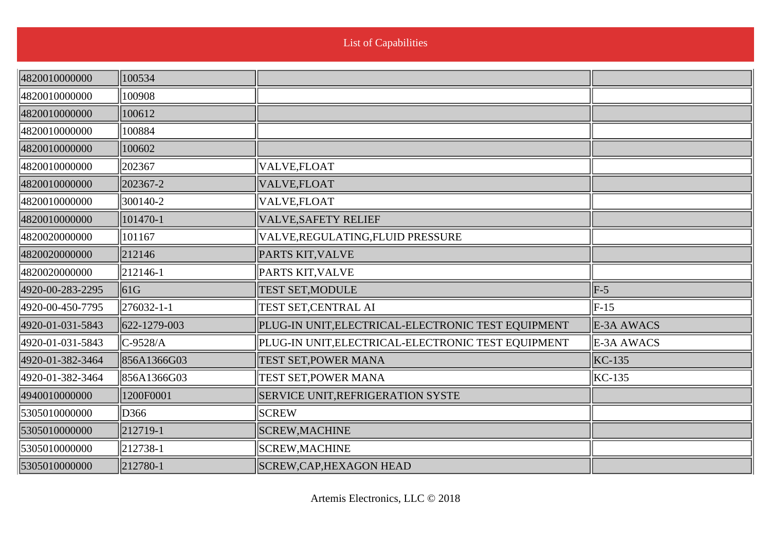n.

| 4820010000000    | 100534          |                                                    |              |
|------------------|-----------------|----------------------------------------------------|--------------|
| 4820010000000    | 100908          |                                                    |              |
| 4820010000000    | 100612          |                                                    |              |
| 4820010000000    | 100884          |                                                    |              |
| 4820010000000    | 100602          |                                                    |              |
| 4820010000000    | 202367          | VALVE, FLOAT                                       |              |
| 4820010000000    | 202367-2        | VALVE,FLOAT                                        |              |
| 4820010000000    | 300140-2        | VALVE,FLOAT                                        |              |
| 4820010000000    | 101470-1        | <b>VALVE, SAFETY RELIEF</b>                        |              |
| 4820020000000    | 101167          | VALVE, REGULATING, FLUID PRESSURE                  |              |
| 4820020000000    | 212146          | PARTS KIT, VALVE                                   |              |
| 4820020000000    | $ 212146-1$     | <b>PARTS KIT, VALVE</b>                            |              |
| 4920-00-283-2295 | $\parallel$ 61G | <b>TEST SET, MODULE</b>                            | $ F-5 $      |
| 4920-00-450-7795 | 276032-1-1      | TEST SET, CENTRAL AI                               | $\vert$ F-15 |
| 4920-01-031-5843 | 622-1279-003    | PLUG-IN UNIT, ELECTRICAL-ELECTRONIC TEST EQUIPMENT | E-3A AWACS   |
| 4920-01-031-5843 | $ C-9528/A$     | PLUG-IN UNIT, ELECTRICAL-ELECTRONIC TEST EQUIPMENT | E-3A AWACS   |
| 4920-01-382-3464 | 856A1366G03     | <b>TEST SET, POWER MANA</b>                        | $KC-135$     |
| 4920-01-382-3464 | 856A1366G03     | TEST SET, POWER MANA                               | $KC-135$     |
| 4940010000000    | 1200F0001       | <b>SERVICE UNIT, REFRIGERATION SYSTE</b>           |              |
| 5305010000000    | D366            | <b>SCREW</b>                                       |              |
| 5305010000000    | $ 212719-1$     | <b>SCREW, MACHINE</b>                              |              |
| 5305010000000    | $ 212738-1$     | <b>SCREW, MACHINE</b>                              |              |
| 5305010000000    | 212780-1        | SCREW, CAP, HEXAGON HEAD                           |              |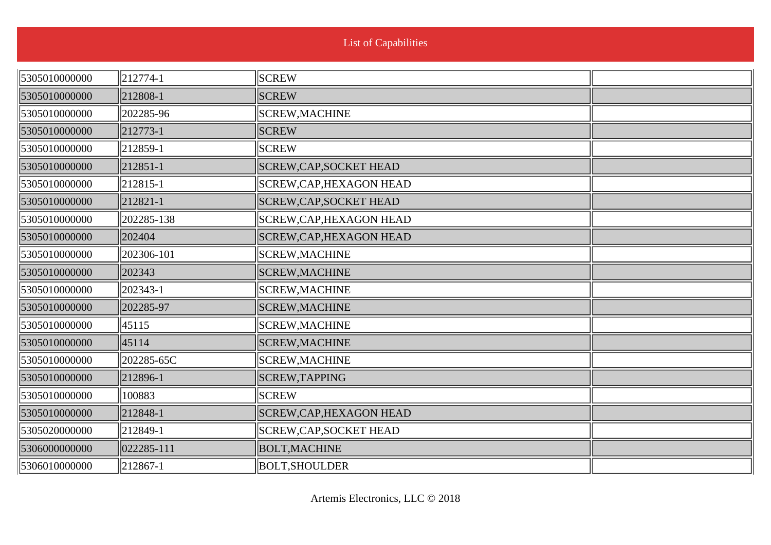| 5305010000000 | 212774-1   | <b>SCREW</b>                    |  |
|---------------|------------|---------------------------------|--|
| 5305010000000 | 212808-1   | <b>SCREW</b>                    |  |
| 5305010000000 | 202285-96  | SCREW, MACHINE                  |  |
| 5305010000000 | 212773-1   | <b>SCREW</b>                    |  |
| 5305010000000 | 212859-1   | <b>SCREW</b>                    |  |
| 5305010000000 | 212851-1   | <b>SCREW, CAP, SOCKET HEAD</b>  |  |
| 5305010000000 | 212815-1   | SCREW, CAP, HEXAGON HEAD        |  |
| 5305010000000 | 212821-1   | SCREW, CAP, SOCKET HEAD         |  |
| 5305010000000 | 202285-138 | SCREW, CAP, HEXAGON HEAD        |  |
| 5305010000000 | 202404     | SCREW, CAP, HEXAGON HEAD        |  |
| 5305010000000 | 202306-101 | SCREW, MACHINE                  |  |
| 5305010000000 | 202343     | <b>SCREW, MACHINE</b>           |  |
| 5305010000000 | 202343-1   | SCREW, MACHINE                  |  |
| 5305010000000 | 202285-97  | SCREW, MACHINE                  |  |
| 5305010000000 | 45115      | <b>SCREW, MACHINE</b>           |  |
| 5305010000000 | 45114      | <b>SCREW, MACHINE</b>           |  |
| 5305010000000 | 202285-65C | SCREW, MACHINE                  |  |
| 5305010000000 | 212896-1   | SCREW, TAPPING                  |  |
| 5305010000000 | 100883     | <b>SCREW</b>                    |  |
| 5305010000000 | 212848-1   | <b>SCREW, CAP, HEXAGON HEAD</b> |  |
| 5305020000000 | 212849-1   | SCREW, CAP, SOCKET HEAD         |  |
| 5306000000000 | 022285-111 | <b>BOLT, MACHINE</b>            |  |
| 5306010000000 | 212867-1   | <b>BOLT, SHOULDER</b>           |  |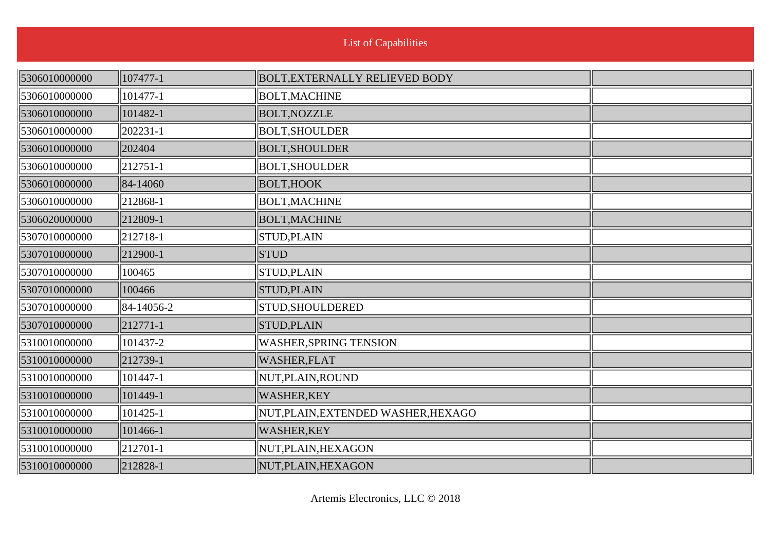| 5306010000000 | 107477-1         | <b>BOLT, EXTERNALLY RELIEVED BODY</b> |  |
|---------------|------------------|---------------------------------------|--|
| 5306010000000 | 101477-1         | <b>BOLT, MACHINE</b>                  |  |
| 5306010000000 | 101482-1         | <b>BOLT, NOZZLE</b>                   |  |
| 5306010000000 | $ 202231-1$      | <b>BOLT, SHOULDER</b>                 |  |
| 5306010000000 | 202404           | <b>BOLT, SHOULDER</b>                 |  |
| 5306010000000 | $\ 212751-1$     | <b>BOLT, SHOULDER</b>                 |  |
| 5306010000000 | 84-14060         | <b>BOLT, HOOK</b>                     |  |
| 5306010000000 | $\ 212868-1$     | <b>BOLT, MACHINE</b>                  |  |
| 5306020000000 | 212809-1         | <b>BOLT, MACHINE</b>                  |  |
| 5307010000000 | $\ 212718-1$     | <b>STUD, PLAIN</b>                    |  |
| 5307010000000 | 212900-1         | <b>STUD</b>                           |  |
| 5307010000000 | 100465           | STUD, PLAIN                           |  |
| 5307010000000 | 100466           | STUD, PLAIN                           |  |
| 5307010000000 | $\ 84-14056-2\ $ | STUD, SHOULDERED                      |  |
| 5307010000000 | $\ 212771-1$     | <b>STUD, PLAIN</b>                    |  |
| 5310010000000 | 101437-2         | <b>WASHER, SPRING TENSION</b>         |  |
| 5310010000000 | 212739-1         | WASHER, FLAT                          |  |
| 5310010000000 | 101447-1         | NUT, PLAIN, ROUND                     |  |
| 5310010000000 | 101449-1         | <b>WASHER,KEY</b>                     |  |
| 5310010000000 | 101425-1         | NUT, PLAIN, EXTENDED WASHER, HEXAGO   |  |
| 5310010000000 | 101466-1         | <b>WASHER,KEY</b>                     |  |
| 5310010000000 | $\ 212701-1$     | NUT, PLAIN, HEXAGON                   |  |
| 5310010000000 | $\ 212828-1$     | NUT, PLAIN, HEXAGON                   |  |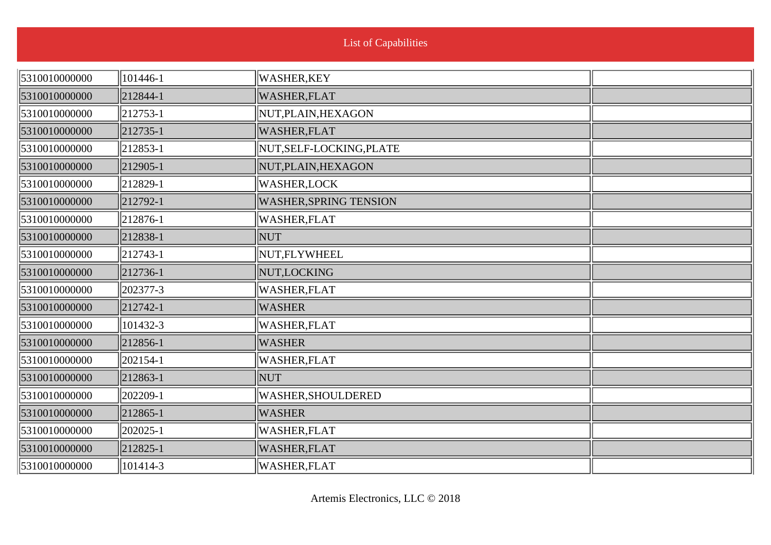| <b>List of Capabilities</b> |  |
|-----------------------------|--|

| 5310010000000 | 101446-1     | WASHER,KEY                    |  |
|---------------|--------------|-------------------------------|--|
| 5310010000000 | 212844-1     | WASHER, FLAT                  |  |
| 5310010000000 | $ 212753-1 $ | NUT, PLAIN, HEXAGON           |  |
| 5310010000000 | 212735-1     | WASHER,FLAT                   |  |
| 5310010000000 | 212853-1     | NUT, SELF-LOCKING, PLATE      |  |
| 5310010000000 | 212905-1     | NUT, PLAIN, HEXAGON           |  |
| 5310010000000 | 212829-1     | <b>WASHER,LOCK</b>            |  |
| 5310010000000 | 212792-1     | <b>WASHER, SPRING TENSION</b> |  |
| 5310010000000 | 212876-1     | WASHER, FLAT                  |  |
| 5310010000000 | 212838-1     | NUT                           |  |
| 5310010000000 | $ 212743-1 $ | NUT,FLYWHEEL                  |  |
| 5310010000000 | 212736-1     | NUT,LOCKING                   |  |
| 5310010000000 | 202377-3     | WASHER, FLAT                  |  |
| 5310010000000 | 212742-1     | <b>WASHER</b>                 |  |
| 5310010000000 | 101432-3     | WASHER, FLAT                  |  |
| 5310010000000 | 212856-1     | WASHER                        |  |
| 5310010000000 | 202154-1     | WASHER, FLAT                  |  |
| 5310010000000 | 212863-1     | NUT                           |  |
| 5310010000000 | 202209-1     | WASHER, SHOULDERED            |  |
| 5310010000000 | 212865-1     | <b>WASHER</b>                 |  |
| 5310010000000 | 202025-1     | WASHER, FLAT                  |  |
| 5310010000000 | 212825-1     | WASHER, FLAT                  |  |
| 5310010000000 | 101414-3     | WASHER, FLAT                  |  |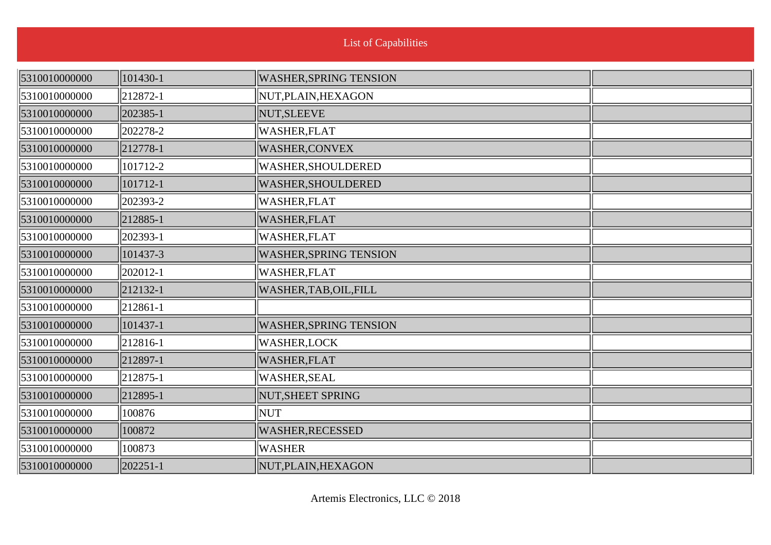| 5310010000000 | 101430-1       | <b>WASHER, SPRING TENSION</b> |  |
|---------------|----------------|-------------------------------|--|
| 5310010000000 | $ 212872-1$    | NUT, PLAIN, HEXAGON           |  |
| 5310010000000 | 202385-1       | NUT, SLEEVE                   |  |
| 5310010000000 | 202278-2       | <b>WASHER,FLAT</b>            |  |
| 5310010000000 | 212778-1       | <b>WASHER,CONVEX</b>          |  |
| 5310010000000 | 101712-2       | <b>WASHER, SHOULDERED</b>     |  |
| 5310010000000 | 101712-1       | <b>WASHER, SHOULDERED</b>     |  |
| 5310010000000 | 202393-2       | <b>WASHER,FLAT</b>            |  |
| 5310010000000 | 212885-1       | <b>WASHER, FLAT</b>           |  |
| 5310010000000 | 202393-1       | WASHER, FLAT                  |  |
| 5310010000000 | 101437-3       | <b>WASHER, SPRING TENSION</b> |  |
| 5310010000000 | 202012-1       | <b>WASHER, FLAT</b>           |  |
| 5310010000000 | $ 212132-1$    | WASHER, TAB, OIL, FILL        |  |
| 5310010000000 | $\ 212861 - 1$ |                               |  |
| 5310010000000 | 101437-1       | <b>WASHER, SPRING TENSION</b> |  |
| 5310010000000 | $ 212816-1$    | <b>WASHER,LOCK</b>            |  |
| 5310010000000 | $ 212897-1$    | <b>WASHER,FLAT</b>            |  |
| 5310010000000 | 212875-1       | <b>WASHER, SEAL</b>           |  |
| 5310010000000 | 212895-1       | NUT, SHEET SPRING             |  |
| 5310010000000 | 100876         | NUT                           |  |
| 5310010000000 | 100872         | WASHER, RECESSED              |  |
| 5310010000000 | 100873         | WASHER                        |  |
| 5310010000000 | 202251-1       | NUT, PLAIN, HEXAGON           |  |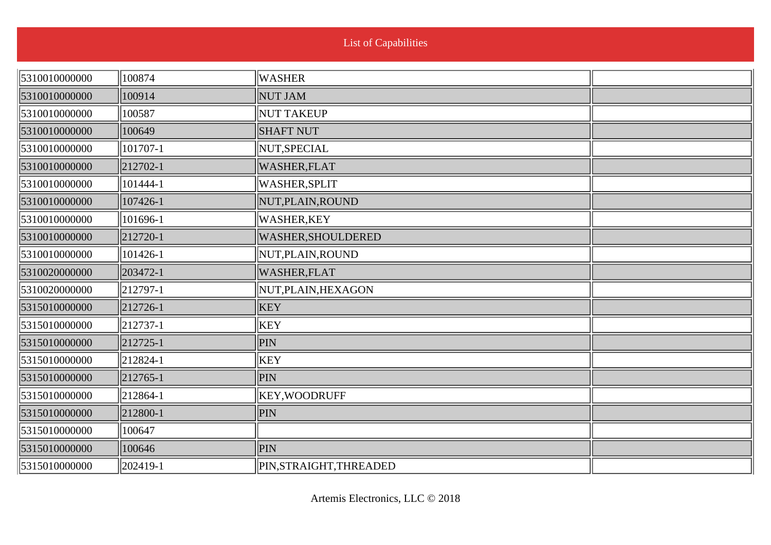| 5310010000000 | 100874                      | WASHER                  |  |
|---------------|-----------------------------|-------------------------|--|
| 5310010000000 | 100914                      | <b>NUT JAM</b>          |  |
| 5310010000000 | 100587                      | NUT TAKEUP              |  |
| 5310010000000 | 100649                      | <b>SHAFT NUT</b>        |  |
| 5310010000000 | 101707-1                    | NUT, SPECIAL            |  |
| 5310010000000 | $\left  212702 - 1 \right $ | WASHER, FLAT            |  |
| 5310010000000 | 101444-1                    | <b>WASHER, SPLIT</b>    |  |
| 5310010000000 | 107426-1                    | NUT, PLAIN, ROUND       |  |
| 5310010000000 | 101696-1                    | <b>WASHER,KEY</b>       |  |
| 5310010000000 | $\left  212720 - 1 \right $ | WASHER, SHOULDERED      |  |
| 5310010000000 | 101426-1                    | NUT, PLAIN, ROUND       |  |
| 5310020000000 | $ 203472-1$                 | WASHER, FLAT            |  |
| 5310020000000 | $\ 212797-1$                | NUT, PLAIN, HEXAGON     |  |
| 5315010000000 | $ 212726-1$                 | <b>KEY</b>              |  |
| 5315010000000 | $\ 212737-1$                | KEY                     |  |
| 5315010000000 | $ 212725-1$                 | PIN                     |  |
| 5315010000000 | $ 212824-1$                 | KEY                     |  |
| 5315010000000 | $ 212765-1$                 | PIN                     |  |
| 5315010000000 | $\ 212864 - 1$              | KEY, WOODRUFF           |  |
| 5315010000000 | 212800-1                    | PIN                     |  |
| 5315010000000 | 100647                      |                         |  |
| 5315010000000 | 100646                      | PIN                     |  |
| 5315010000000 | $ 202419-1$                 | PIN, STRAIGHT, THREADED |  |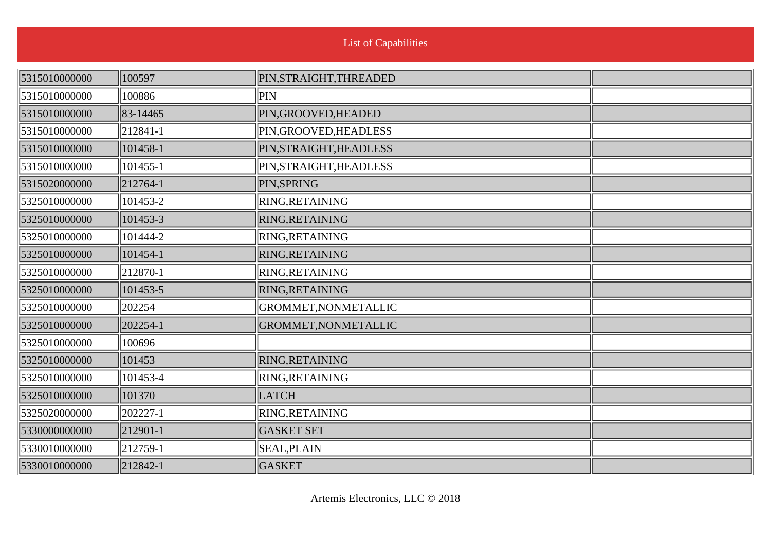| 5315010000000 | 100597        | PIN, STRAIGHT, THREADED |  |
|---------------|---------------|-------------------------|--|
| 5315010000000 | 100886        | PIN                     |  |
| 5315010000000 | 83-14465      | PIN, GROOVED, HEADED    |  |
| 5315010000000 | $ 212841-1$   | PIN, GROOVED, HEADLESS  |  |
| 5315010000000 | 101458-1      | PIN, STRAIGHT, HEADLESS |  |
| 5315010000000 | $ 101455 - 1$ | PIN, STRAIGHT, HEADLESS |  |
| 5315020000000 | $ 212764-1$   | PIN, SPRING             |  |
| 5325010000000 | 101453-2      | RING, RETAINING         |  |
| 5325010000000 | 101453-3      | RING, RETAINING         |  |
| 5325010000000 | 101444-2      | RING, RETAINING         |  |
| 5325010000000 | $ 101454-1$   | RING, RETAINING         |  |
| 5325010000000 | $\ 212870-1$  | RING, RETAINING         |  |
| 5325010000000 | 101453-5      | RING, RETAINING         |  |
| 5325010000000 | 202254        | GROMMET, NONMETALLIC    |  |
| 5325010000000 | 202254-1      | GROMMET, NONMETALLIC    |  |
| 5325010000000 | 100696        |                         |  |
| 5325010000000 | 101453        | RING, RETAINING         |  |
| 5325010000000 | 101453-4      | RING, RETAINING         |  |
| 5325010000000 | 101370        | <b>LATCH</b>            |  |
| 5325020000000 | 202227-1      | RING, RETAINING         |  |
| 5330000000000 | $ 212901-1$   | <b>GASKET SET</b>       |  |
| 5330010000000 | $ 212759-1$   | <b>SEAL, PLAIN</b>      |  |
| 5330010000000 | 212842-1      | <b>GASKET</b>           |  |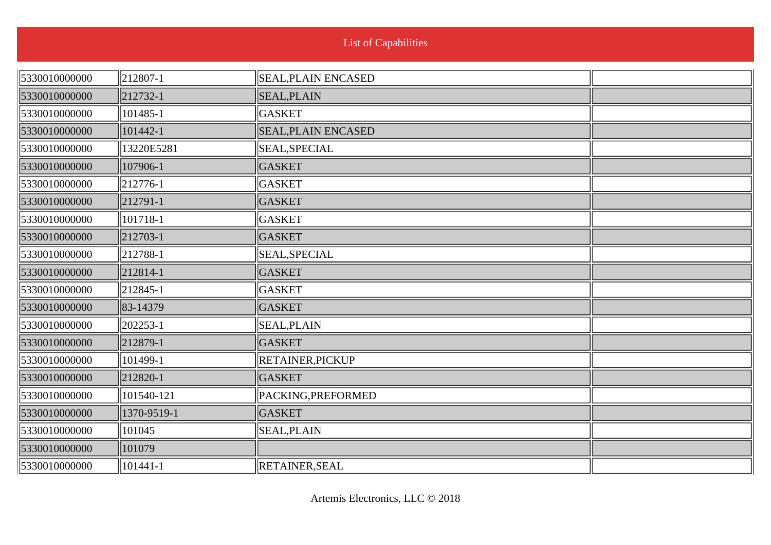| <b>List of Capabilities</b> |  |  |
|-----------------------------|--|--|
|                             |  |  |

| 5330010000000 | 212807-1    | SEAL, PLAIN ENCASED        |  |
|---------------|-------------|----------------------------|--|
| 5330010000000 | 212732-1    | <b>SEAL, PLAIN</b>         |  |
| 5330010000000 | 101485-1    | <b>GASKET</b>              |  |
| 5330010000000 | 101442-1    | <b>SEAL, PLAIN ENCASED</b> |  |
| 5330010000000 | 13220E5281  | SEAL, SPECIAL              |  |
| 5330010000000 | 107906-1    | <b>GASKET</b>              |  |
| 5330010000000 | 212776-1    | <b>GASKET</b>              |  |
| 5330010000000 | $ 212791-1$ | <b>GASKET</b>              |  |
| 5330010000000 | 101718-1    | <b>GASKET</b>              |  |
| 5330010000000 | 212703-1    | <b>GASKET</b>              |  |
| 5330010000000 | 212788-1    | SEAL, SPECIAL              |  |
| 5330010000000 | 212814-1    | <b>GASKET</b>              |  |
| 5330010000000 | 212845-1    | <b>GASKET</b>              |  |
| 5330010000000 | 83-14379    | <b>GASKET</b>              |  |
| 5330010000000 | 202253-1    | <b>SEAL, PLAIN</b>         |  |
| 5330010000000 | 212879-1    | <b>GASKET</b>              |  |
| 5330010000000 | 101499-1    | <b>RETAINER, PICKUP</b>    |  |
| 5330010000000 | 212820-1    | <b>GASKET</b>              |  |
| 5330010000000 | 101540-121  | PACKING, PREFORMED         |  |
| 5330010000000 | 1370-9519-1 | <b>GASKET</b>              |  |
| 5330010000000 | 101045      | <b>SEAL, PLAIN</b>         |  |
| 5330010000000 | 101079      |                            |  |
| 5330010000000 | 101441-1    | <b>RETAINER, SEAL</b>      |  |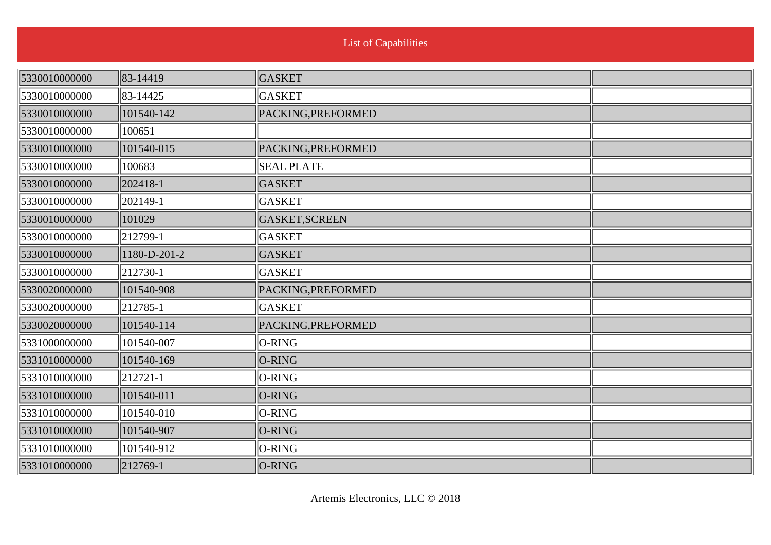| 5330010000000 | 83-14419             | <b>GASKET</b>      |  |
|---------------|----------------------|--------------------|--|
| 5330010000000 | 83-14425             | GASKET             |  |
| 5330010000000 | 101540-142           | PACKING, PREFORMED |  |
| 5330010000000 | 100651               |                    |  |
| 5330010000000 | 101540-015           | PACKING, PREFORMED |  |
| 5330010000000 | 100683               | <b>SEAL PLATE</b>  |  |
| 5330010000000 | 202418-1             | <b>GASKET</b>      |  |
| 5330010000000 | 202149-1             | <b>GASKET</b>      |  |
| 5330010000000 | 101029               | GASKET, SCREEN     |  |
| 5330010000000 | $\parallel$ 212799-1 | <b>GASKET</b>      |  |
| 5330010000000 | 1180-D-201-2         | <b>GASKET</b>      |  |
| 5330010000000 | $\ 212730-1\ $       | GASKET             |  |
| 5330020000000 | 101540-908           | PACKING, PREFORMED |  |
| 5330020000000 | $\parallel$ 212785-1 | <b>GASKET</b>      |  |
| 5330020000000 | 101540-114           | PACKING, PREFORMED |  |
| 5331000000000 | 101540-007           | O-RING             |  |
| 5331010000000 | 101540-169           | O-RING             |  |
| 5331010000000 | $\ 212721-1$         | O-RING             |  |
| 5331010000000 | 101540-011           | O-RING             |  |
| 5331010000000 | 101540-010           | O-RING             |  |
| 5331010000000 | 101540-907           | O-RING             |  |
| 5331010000000 | 101540-912           | O-RING             |  |
| 5331010000000 | 212769-1             | O-RING             |  |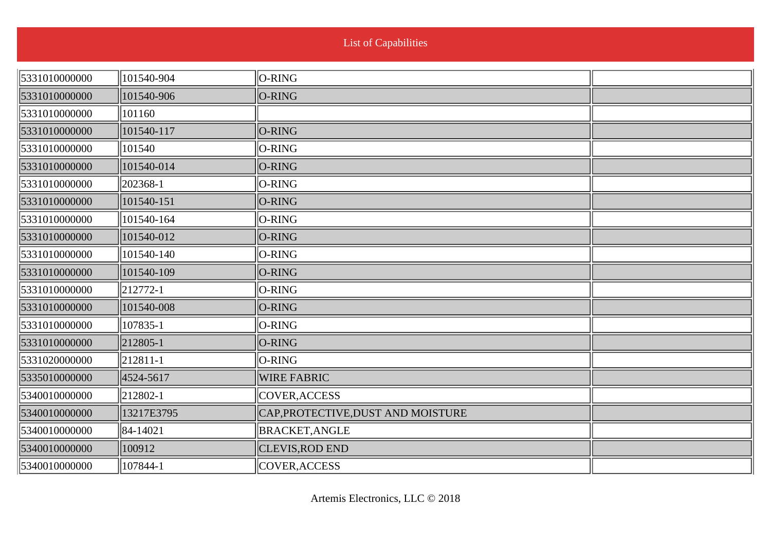|  | <b>List of Capabilities</b> |  |  |
|--|-----------------------------|--|--|
|  |                             |  |  |
|  |                             |  |  |

| 5331010000000 | 101540-904  | $\ O-RING\ $                       |  |
|---------------|-------------|------------------------------------|--|
| 5331010000000 | 101540-906  | $O-RING$                           |  |
| 5331010000000 | 101160      |                                    |  |
| 5331010000000 | 101540-117  | O-RING                             |  |
| 5331010000000 | 101540      | $O-RING$                           |  |
| 5331010000000 | 101540-014  | $O-RING$                           |  |
| 5331010000000 | 202368-1    | $O-RING$                           |  |
| 5331010000000 | 101540-151  | $O-RING$                           |  |
| 5331010000000 | 101540-164  | $O-RING$                           |  |
| 5331010000000 | 101540-012  | $O-RING$                           |  |
| 5331010000000 | 101540-140  | $O-RING$                           |  |
| 5331010000000 | 101540-109  | $O-RING$                           |  |
| 5331010000000 | $ 212772-1$ | $O-RING$                           |  |
| 5331010000000 | 101540-008  | $O-RING$                           |  |
| 5331010000000 | 107835-1    | $ O-RING $                         |  |
| 5331010000000 | 212805-1    | $O-RING$                           |  |
| 5331020000000 | $ 212811-1$ | $O-RING$                           |  |
| 5335010000000 | 4524-5617   | <b>WIRE FABRIC</b>                 |  |
| 5340010000000 | 212802-1    | COVER, ACCESS                      |  |
| 5340010000000 | 13217E3795  | CAP, PROTECTIVE, DUST AND MOISTURE |  |
| 5340010000000 | 84-14021    | <b>BRACKET, ANGLE</b>              |  |
| 5340010000000 | 100912      | <b>CLEVIS, ROD END</b>             |  |
| 5340010000000 | 107844-1    | COVER, ACCESS                      |  |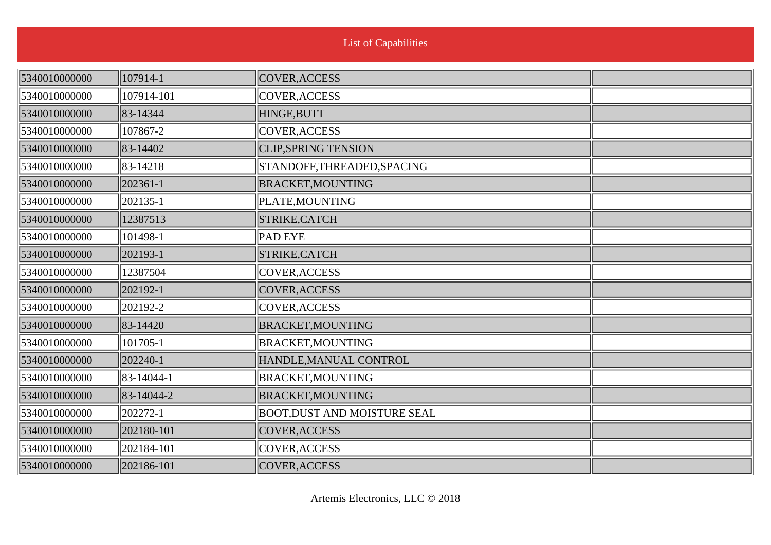| List of Capabilities |  |  |
|----------------------|--|--|
|                      |  |  |

| 5340010000000 | 107914-1   | COVER, ACCESS                      |  |
|---------------|------------|------------------------------------|--|
| 5340010000000 | 107914-101 | COVER, ACCESS                      |  |
| 5340010000000 | 83-14344   | HINGE, BUTT                        |  |
| 5340010000000 | 107867-2   | COVER, ACCESS                      |  |
| 5340010000000 | 83-14402   | <b>CLIP, SPRING TENSION</b>        |  |
| 5340010000000 | 83-14218   | STANDOFF, THREADED, SPACING        |  |
| 5340010000000 | 202361-1   | <b>BRACKET, MOUNTING</b>           |  |
| 5340010000000 | 202135-1   | PLATE, MOUNTING                    |  |
| 5340010000000 | 12387513   | STRIKE, CATCH                      |  |
| 5340010000000 | 101498-1   | <b>PAD EYE</b>                     |  |
| 5340010000000 | 202193-1   | STRIKE, CATCH                      |  |
| 5340010000000 | 12387504   | COVER, ACCESS                      |  |
| 5340010000000 | 202192-1   | COVER, ACCESS                      |  |
| 5340010000000 | 202192-2   | COVER, ACCESS                      |  |
| 5340010000000 | 83-14420   | <b>BRACKET, MOUNTING</b>           |  |
| 5340010000000 | 101705-1   | <b>BRACKET, MOUNTING</b>           |  |
| 5340010000000 | 202240-1   | HANDLE, MANUAL CONTROL             |  |
| 5340010000000 | 83-14044-1 | <b>BRACKET, MOUNTING</b>           |  |
| 5340010000000 | 83-14044-2 | <b>BRACKET, MOUNTING</b>           |  |
| 5340010000000 | 202272-1   | <b>BOOT,DUST AND MOISTURE SEAL</b> |  |
| 5340010000000 | 202180-101 | <b>COVER, ACCESS</b>               |  |
| 5340010000000 | 202184-101 | COVER, ACCESS                      |  |
| 5340010000000 | 202186-101 | COVER, ACCESS                      |  |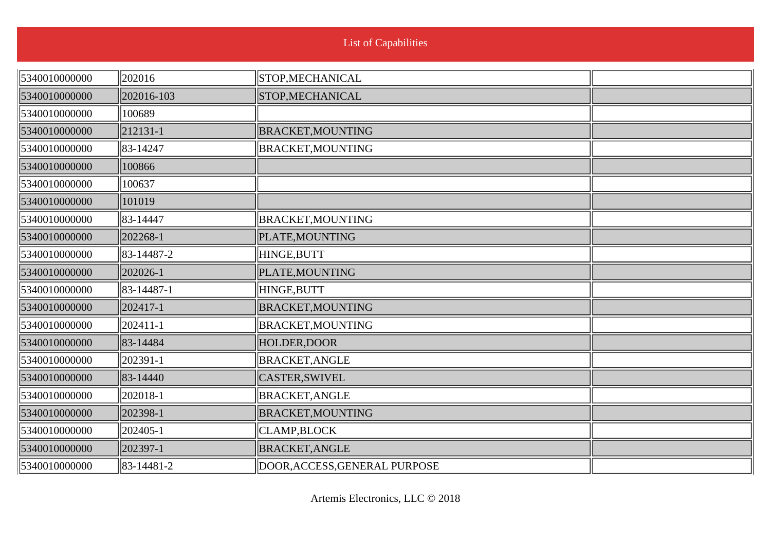| <b>List of Capabilities</b> |  |  |
|-----------------------------|--|--|

| 5340010000000 | 202016     | STOP, MECHANICAL              |  |
|---------------|------------|-------------------------------|--|
| 5340010000000 | 202016-103 | STOP, MECHANICAL              |  |
| 5340010000000 | 100689     |                               |  |
| 5340010000000 | 212131-1   | <b>BRACKET, MOUNTING</b>      |  |
| 5340010000000 | 83-14247   | <b>BRACKET, MOUNTING</b>      |  |
| 5340010000000 | 100866     |                               |  |
| 5340010000000 | 100637     |                               |  |
| 5340010000000 | 101019     |                               |  |
| 5340010000000 | 83-14447   | <b>BRACKET, MOUNTING</b>      |  |
| 5340010000000 | 202268-1   | PLATE, MOUNTING               |  |
| 5340010000000 | 83-14487-2 | HINGE, BUTT                   |  |
| 5340010000000 | 202026-1   | PLATE, MOUNTING               |  |
| 5340010000000 | 83-14487-1 | HINGE, BUTT                   |  |
| 5340010000000 | 202417-1   | <b>BRACKET, MOUNTING</b>      |  |
| 5340010000000 | 202411-1   | <b>BRACKET, MOUNTING</b>      |  |
| 5340010000000 | 83-14484   | HOLDER, DOOR                  |  |
| 5340010000000 | 202391-1   | <b>BRACKET, ANGLE</b>         |  |
| 5340010000000 | 83-14440   | CASTER, SWIVEL                |  |
| 5340010000000 | 202018-1   | <b>BRACKET, ANGLE</b>         |  |
| 5340010000000 | 202398-1   | <b>BRACKET, MOUNTING</b>      |  |
| 5340010000000 | 202405-1   | CLAMP, BLOCK                  |  |
| 5340010000000 | 202397-1   | <b>BRACKET, ANGLE</b>         |  |
| 5340010000000 | 83-14481-2 | DOOR, ACCESS, GENERAL PURPOSE |  |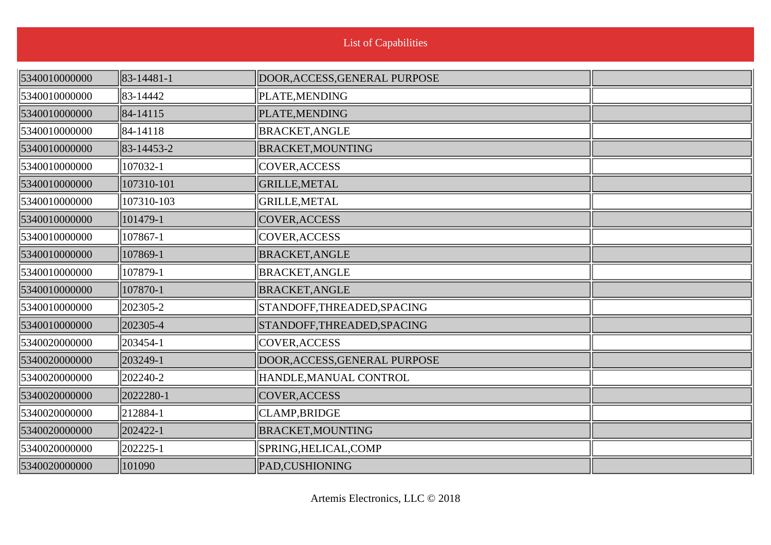| <b>List of Capabilities</b> |                                 |                               |  |  |
|-----------------------------|---------------------------------|-------------------------------|--|--|
| 5340010000000               | $\left  83 - 14481 - 1 \right $ | DOOR, ACCESS, GENERAL PURPOSE |  |  |
| 5340010000000               | 83-14442                        | PLATE, MENDING                |  |  |
| 5340010000000               | $\ 84 - 14115\ $                | PLATE, MENDING                |  |  |
| 5340010000000               | 84-14118                        | <b>BRACKET, ANGLE</b>         |  |  |
| 5340010000000               | $\left  83 - 14453 - 2 \right $ | <b>BRACKET, MOUNTING</b>      |  |  |
| 5340010000000               | 107032-1                        | COVER, ACCESS                 |  |  |
| 5340010000000               | 107310-101                      | <b>GRILLE, METAL</b>          |  |  |
| 5340010000000               | 107310-103                      | GRILLE, METAL                 |  |  |
| 5340010000000               | 101479-1                        | COVER, ACCESS                 |  |  |
| 5340010000000               | 107867-1                        | COVER, ACCESS                 |  |  |
| 5340010000000               | 107869-1                        | <b>BRACKET, ANGLE</b>         |  |  |
| 5340010000000               | 107879-1                        | <b>BRACKET, ANGLE</b>         |  |  |
| 5340010000000               | 107870-1                        | <b>BRACKET, ANGLE</b>         |  |  |
| 5340010000000               | 202305-2                        | STANDOFF, THREADED, SPACING   |  |  |
| 5340010000000               | 202305-4                        | STANDOFF, THREADED, SPACING   |  |  |
| 5340020000000               | 203454-1                        | COVER, ACCESS                 |  |  |
| 5340020000000               | 203249-1                        | DOOR, ACCESS, GENERAL PURPOSE |  |  |
| 5340020000000               | 202240-2                        | HANDLE, MANUAL CONTROL        |  |  |
| 5340020000000               | 2022280-1                       | COVER, ACCESS                 |  |  |
| 5340020000000               | 212884-1                        | CLAMP, BRIDGE                 |  |  |
| 5340020000000               | 202422-1                        | <b>BRACKET, MOUNTING</b>      |  |  |
| 5340020000000               | 202225-1                        | SPRING, HELICAL, COMP         |  |  |
| 5340020000000               | 101090                          | PAD, CUSHIONING               |  |  |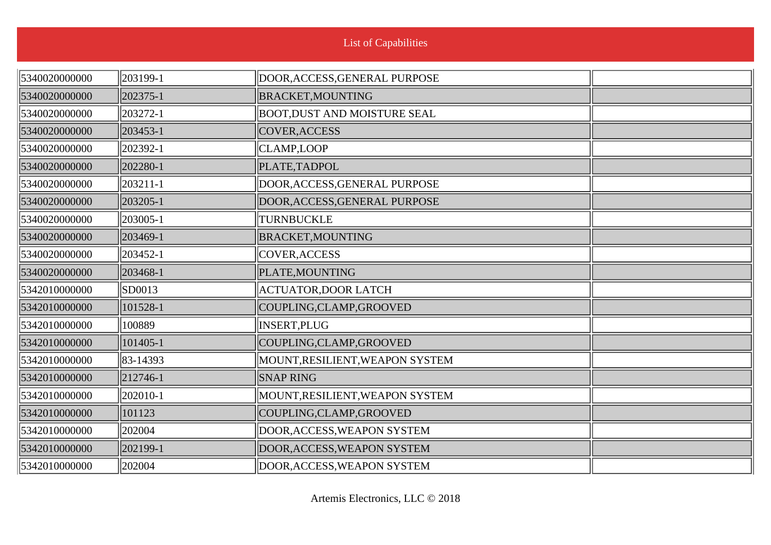| <b>List of Capabilities</b> |             |                                    |  |  |
|-----------------------------|-------------|------------------------------------|--|--|
| 5340020000000               | 203199-1    | DOOR, ACCESS, GENERAL PURPOSE      |  |  |
| 5340020000000               | 202375-1    | <b>BRACKET, MOUNTING</b>           |  |  |
| 5340020000000               | 203272-1    | <b>BOOT,DUST AND MOISTURE SEAL</b> |  |  |
| 5340020000000               | 203453-1    | COVER, ACCESS                      |  |  |
| 5340020000000               | 202392-1    | CLAMP,LOOP                         |  |  |
| 5340020000000               | 202280-1    | PLATE, TADPOL                      |  |  |
| 5340020000000               | 203211-1    | DOOR, ACCESS, GENERAL PURPOSE      |  |  |
| 5340020000000               | 203205-1    | DOOR, ACCESS, GENERAL PURPOSE      |  |  |
| 5340020000000               | 203005-1    | TURNBUCKLE                         |  |  |
| 5340020000000               | 203469-1    | <b>BRACKET, MOUNTING</b>           |  |  |
| 5340020000000               | 203452-1    | COVER, ACCESS                      |  |  |
| 5340020000000               | 203468-1    | PLATE, MOUNTING                    |  |  |
| 5342010000000               | SD0013      | <b>ACTUATOR,DOOR LATCH</b>         |  |  |
| 5342010000000               | 101528-1    | COUPLING, CLAMP, GROOVED           |  |  |
| 5342010000000               | 100889      | INSERT, PLUG                       |  |  |
| 5342010000000               | 101405-1    | COUPLING, CLAMP, GROOVED           |  |  |
| 5342010000000               | 83-14393    | MOUNT, RESILIENT, WEAPON SYSTEM    |  |  |
| 5342010000000               | $ 212746-1$ | <b>SNAP RING</b>                   |  |  |
| 5342010000000               | 202010-1    | MOUNT, RESILIENT, WEAPON SYSTEM    |  |  |
| 5342010000000               | 101123      | COUPLING, CLAMP, GROOVED           |  |  |
| 5342010000000               | 202004      | DOOR, ACCESS, WEAPON SYSTEM        |  |  |
| 5342010000000               | 202199-1    | DOOR, ACCESS, WEAPON SYSTEM        |  |  |
| 5342010000000               | 202004      | DOOR, ACCESS, WEAPON SYSTEM        |  |  |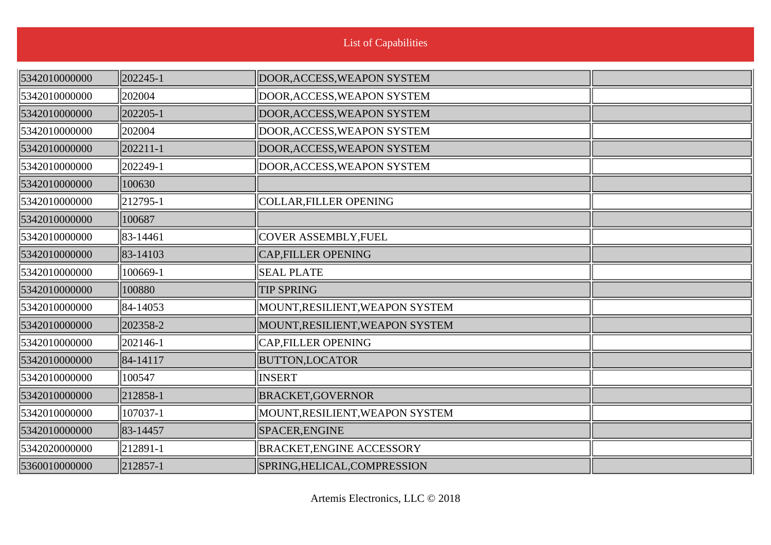| 5342010000000 | 202245-1      | DOOR, ACCESS, WEAPON SYSTEM      |  |
|---------------|---------------|----------------------------------|--|
| 5342010000000 | 202004        | DOOR, ACCESS, WEAPON SYSTEM      |  |
| 5342010000000 | 202205-1      | DOOR, ACCESS, WEAPON SYSTEM      |  |
| 5342010000000 | 202004        | DOOR, ACCESS, WEAPON SYSTEM      |  |
| 5342010000000 | 202211-1      | DOOR, ACCESS, WEAPON SYSTEM      |  |
| 5342010000000 | 202249-1      | DOOR, ACCESS, WEAPON SYSTEM      |  |
| 5342010000000 | 100630        |                                  |  |
| 5342010000000 | $ 212795-1$   | COLLAR, FILLER OPENING           |  |
| 5342010000000 | 100687        |                                  |  |
| 5342010000000 | 83-14461      | <b>COVER ASSEMBLY, FUEL</b>      |  |
| 5342010000000 | $ 83 - 14103$ | <b>CAP,FILLER OPENING</b>        |  |
| 5342010000000 | 100669-1      | <b>SEAL PLATE</b>                |  |
| 5342010000000 | 100880        | <b>TIP SPRING</b>                |  |
| 5342010000000 | 84-14053      | MOUNT, RESILIENT, WEAPON SYSTEM  |  |
| 5342010000000 | 202358-2      | MOUNT, RESILIENT, WEAPON SYSTEM  |  |
| 5342010000000 | $ 202146-1$   | CAP, FILLER OPENING              |  |
| 5342010000000 | 84-14117      | <b>BUTTON,LOCATOR</b>            |  |
| 5342010000000 | 100547        | INSERT                           |  |
| 5342010000000 | $ 212858-1$   | <b>BRACKET,GOVERNOR</b>          |  |
| 5342010000000 | 107037-1      | MOUNT, RESILIENT, WEAPON SYSTEM  |  |
| 5342010000000 | 83-14457      | SPACER, ENGINE                   |  |
| 5342020000000 | $ 212891-1$   | <b>BRACKET, ENGINE ACCESSORY</b> |  |
| 5360010000000 | 212857-1      | SPRING, HELICAL, COMPRESSION     |  |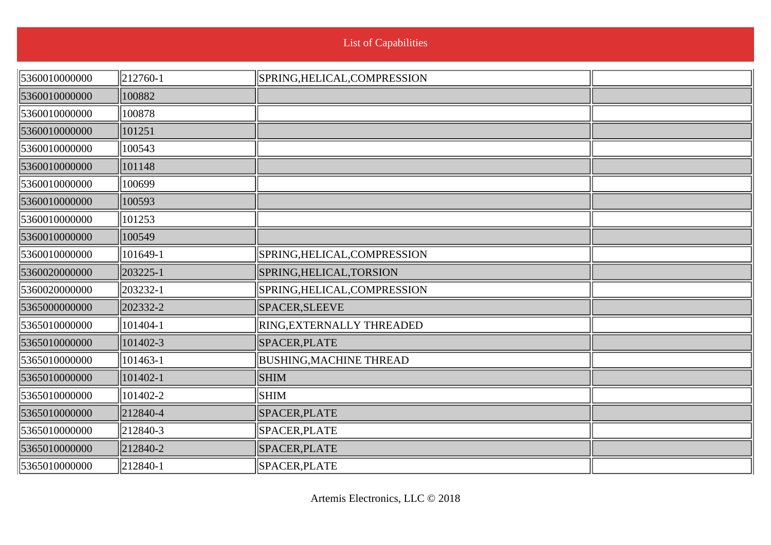| <b>List of Capabilities</b> |                      |                                |  |  |
|-----------------------------|----------------------|--------------------------------|--|--|
| 5360010000000               | $\ 212760-1$         | SPRING, HELICAL, COMPRESSION   |  |  |
| 5360010000000               | 100882               |                                |  |  |
| 5360010000000               | 100878               |                                |  |  |
| 5360010000000               | 101251               |                                |  |  |
| 5360010000000               | 100543               |                                |  |  |
| 5360010000000               | 101148               |                                |  |  |
| 5360010000000               | 100699               |                                |  |  |
| 5360010000000               | 100593               |                                |  |  |
| 5360010000000               | 101253               |                                |  |  |
| 5360010000000               | 100549               |                                |  |  |
| 5360010000000               | 101649-1             | SPRING, HELICAL, COMPRESSION   |  |  |
| 5360020000000               | 203225-1             | SPRING, HELICAL, TORSION       |  |  |
| 5360020000000               | 203232-1             | SPRING, HELICAL, COMPRESSION   |  |  |
| 5365000000000               | 202332-2             | SPACER, SLEEVE                 |  |  |
| 5365010000000               | 101404-1             | RING, EXTERNALLY THREADED      |  |  |
| 5365010000000               | 101402-3             | SPACER, PLATE                  |  |  |
| 5365010000000               | 101463-1             | <b>BUSHING, MACHINE THREAD</b> |  |  |
| 5365010000000               | 101402-1             | <b>SHIM</b>                    |  |  |
| 5365010000000               | 101402-2             | <b>SHIM</b>                    |  |  |
| 5365010000000               | $\parallel$ 212840-4 | SPACER, PLATE                  |  |  |
| 5365010000000               | $\parallel$ 212840-3 | SPACER, PLATE                  |  |  |
| 5365010000000               | 212840-2             | SPACER, PLATE                  |  |  |
| 5365010000000               | $\parallel$ 212840-1 | SPACER, PLATE                  |  |  |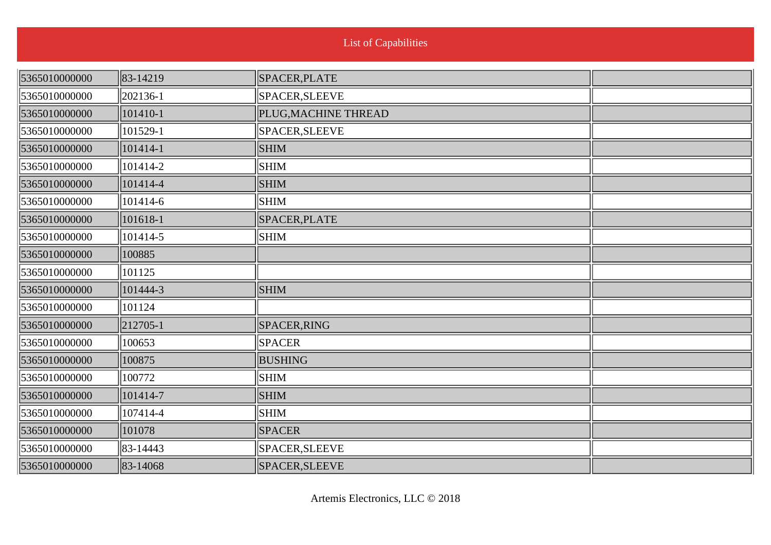| <b>List of Capabilities</b> |  |  |
|-----------------------------|--|--|

| 5365010000000 | 83-14219 | SPACER, PLATE        |  |
|---------------|----------|----------------------|--|
| 5365010000000 | 202136-1 | SPACER, SLEEVE       |  |
| 5365010000000 | 101410-1 | PLUG, MACHINE THREAD |  |
| 5365010000000 | 101529-1 | SPACER, SLEEVE       |  |
| 5365010000000 | 101414-1 | <b>SHIM</b>          |  |
| 5365010000000 | 101414-2 | <b>SHIM</b>          |  |
| 5365010000000 | 101414-4 | <b>SHIM</b>          |  |
| 5365010000000 | 101414-6 | <b>SHIM</b>          |  |
| 5365010000000 | 101618-1 | SPACER, PLATE        |  |
| 5365010000000 | 101414-5 | $\vert$ SHIM         |  |
| 5365010000000 | 100885   |                      |  |
| 5365010000000 | 101125   |                      |  |
| 5365010000000 | 101444-3 | <b>SHIM</b>          |  |
| 5365010000000 | 101124   |                      |  |
| 5365010000000 | 212705-1 | SPACER, RING         |  |
| 5365010000000 | 100653   | <b>SPACER</b>        |  |
| 5365010000000 | 100875   | <b>BUSHING</b>       |  |
| 5365010000000 | 100772   | SHIM                 |  |
| 5365010000000 | 101414-7 | <b>SHIM</b>          |  |
| 5365010000000 | 107414-4 | <b>SHIM</b>          |  |
| 5365010000000 | 101078   | <b>SPACER</b>        |  |
| 5365010000000 | 83-14443 | SPACER, SLEEVE       |  |
| 5365010000000 | 83-14068 | SPACER, SLEEVE       |  |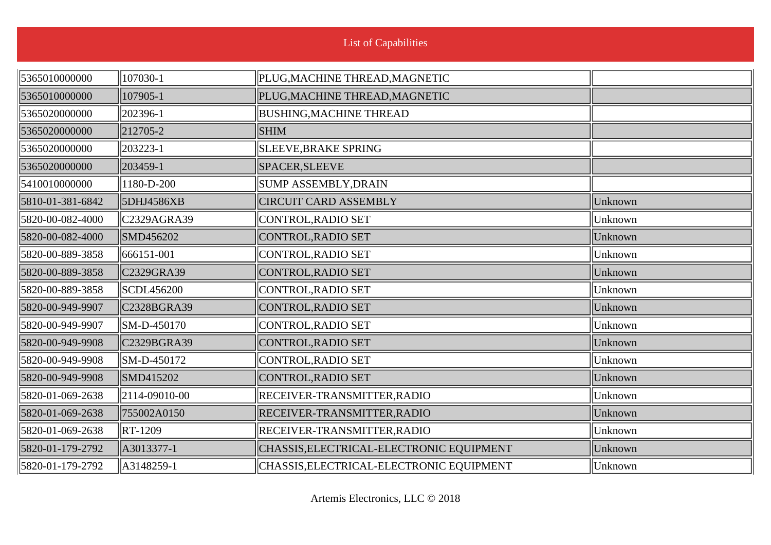| 5365010000000    | 107030-1                             | PLUG, MACHINE THREAD, MAGNETIC           |         |
|------------------|--------------------------------------|------------------------------------------|---------|
| 5365010000000    | 107905-1                             | PLUG, MACHINE THREAD, MAGNETIC           |         |
| 5365020000000    | 202396-1                             | <b>BUSHING, MACHINE THREAD</b>           |         |
| 5365020000000    | 212705-2                             | <b>SHIM</b>                              |         |
| 5365020000000    | 203223-1                             | SLEEVE, BRAKE SPRING                     |         |
| 5365020000000    | 203459-1                             | SPACER, SLEEVE                           |         |
| 5410010000000    | 1180-D-200                           | SUMP ASSEMBLY, DRAIN                     |         |
| 5810-01-381-6842 | 5DHJ4586XB                           | <b>CIRCUIT CARD ASSEMBLY</b>             | Unknown |
| 5820-00-082-4000 | $\parallel$ C <sub>2329</sub> AGRA39 | CONTROL, RADIO SET                       | Unknown |
| 5820-00-082-4000 | SMD456202                            | CONTROL, RADIO SET                       | Unknown |
| 5820-00-889-3858 | $\  666151 - 001$                    | CONTROL, RADIO SET                       | Unknown |
| 5820-00-889-3858 | CC329GRA39                           | CONTROL, RADIO SET                       | Unknown |
| 5820-00-889-3858 | SCDL456200                           | CONTROL, RADIO SET                       | Unknown |
| 5820-00-949-9907 | CC328BGRA39                          | CONTROL, RADIO SET                       | Unknown |
| 5820-00-949-9907 | SM-D-450170                          | CONTROL, RADIO SET                       | Unknown |
| 5820-00-949-9908 | C2329BGRA39                          | CONTROL, RADIO SET                       | Unknown |
| 5820-00-949-9908 | $\ $ SM-D-450172                     | CONTROL, RADIO SET                       | Unknown |
| 5820-00-949-9908 | SMD415202                            | CONTROL, RADIO SET                       | Unknown |
| 5820-01-069-2638 | $\parallel$ 2114-09010-00            | RECEIVER-TRANSMITTER, RADIO              | Unknown |
| 5820-01-069-2638 | 755002A0150                          | RECEIVER-TRANSMITTER, RADIO              | Unknown |
| 5820-01-069-2638 | $\ $ RT-1209                         | RECEIVER-TRANSMITTER, RADIO              | Unknown |
| 5820-01-179-2792 | A3013377-1                           | CHASSIS, ELECTRICAL-ELECTRONIC EQUIPMENT | Unknown |
| 5820-01-179-2792 | $\parallel$ A3148259-1               | CHASSIS, ELECTRICAL-ELECTRONIC EQUIPMENT | Unknown |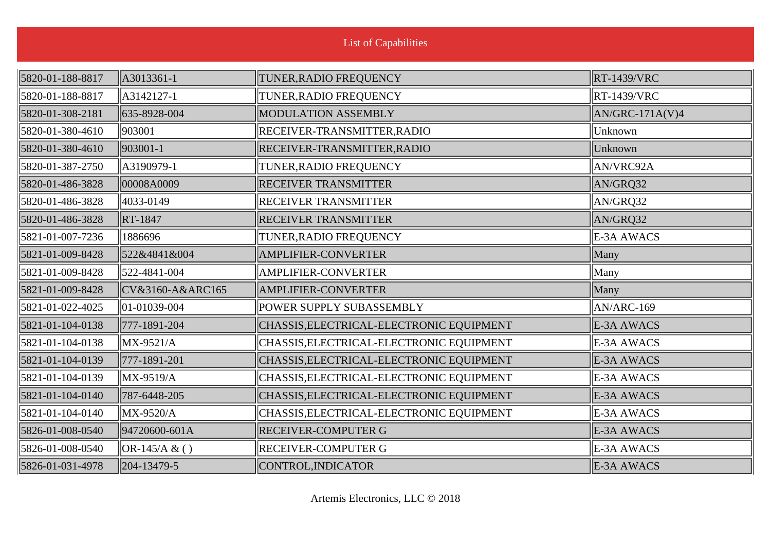| <b>List of Capabilities</b> |                   |                                          |                    |
|-----------------------------|-------------------|------------------------------------------|--------------------|
| 5820-01-188-8817            | A3013361-1        | TUNER, RADIO FREQUENCY                   | <b>RT-1439/VRC</b> |
| 5820-01-188-8817            | A3142127-1        | TUNER, RADIO FREQUENCY                   | <b>RT-1439/VRC</b> |
| 5820-01-308-2181            | 635-8928-004      | MODULATION ASSEMBLY                      | $AN/GRC-171A(V)4$  |
| 5820-01-380-4610            | 903001            | RECEIVER-TRANSMITTER, RADIO              | Unknown            |
| 5820-01-380-4610            | 903001-1          | RECEIVER-TRANSMITTER, RADIO              | Unknown            |
| 5820-01-387-2750            | A3190979-1        | TUNER, RADIO FREQUENCY                   | AN/VRC92A          |
| 5820-01-486-3828            | 00008A0009        | <b>RECEIVER TRANSMITTER</b>              | AN/GRQ32           |
| 5820-01-486-3828            | 4033-0149         | <b>RECEIVER TRANSMITTER</b>              | AN/GRQ32           |
| 5820-01-486-3828            | RT-1847           | <b>RECEIVER TRANSMITTER</b>              | AN/GRQ32           |
| 5821-01-007-7236            | 1886696           | TUNER, RADIO FREQUENCY                   | E-3A AWACS         |
| 5821-01-009-8428            | 522&4841&004      | <b>AMPLIFIER-CONVERTER</b>               | Many               |
| 5821-01-009-8428            | 522-4841-004      | <b>AMPLIFIER-CONVERTER</b>               | Many               |
| 5821-01-009-8428            | CV&3160-A&ARC165  | <b>AMPLIFIER-CONVERTER</b>               | Many               |
| 5821-01-022-4025            | 01-01039-004      | POWER SUPPLY SUBASSEMBLY                 | AN/ARC-169         |
| 5821-01-104-0138            | 777-1891-204      | CHASSIS, ELECTRICAL-ELECTRONIC EQUIPMENT | E-3A AWACS         |
| 5821-01-104-0138            | MX-9521/A         | CHASSIS, ELECTRICAL-ELECTRONIC EQUIPMENT | E-3A AWACS         |
| 5821-01-104-0139            | 777-1891-201      | CHASSIS, ELECTRICAL-ELECTRONIC EQUIPMENT | E-3A AWACS         |
| 5821-01-104-0139            | $\vert$ MX-9519/A | CHASSIS, ELECTRICAL-ELECTRONIC EQUIPMENT | E-3A AWACS         |
| 5821-01-104-0140            | 787-6448-205      | CHASSIS, ELECTRICAL-ELECTRONIC EQUIPMENT | E-3A AWACS         |
| 5821-01-104-0140            | $\vert$ MX-9520/A | CHASSIS, ELECTRICAL-ELECTRONIC EQUIPMENT | E-3A AWACS         |
| 5826-01-008-0540            | 94720600-601A     | <b>RECEIVER-COMPUTER G</b>               | E-3A AWACS         |
| 5826-01-008-0540            | $ OR-145/A & ( )$ | <b>RECEIVER-COMPUTER G</b>               | E-3A AWACS         |
| 5826-01-031-4978            | 204-13479-5       | CONTROL, INDICATOR                       | E-3A AWACS         |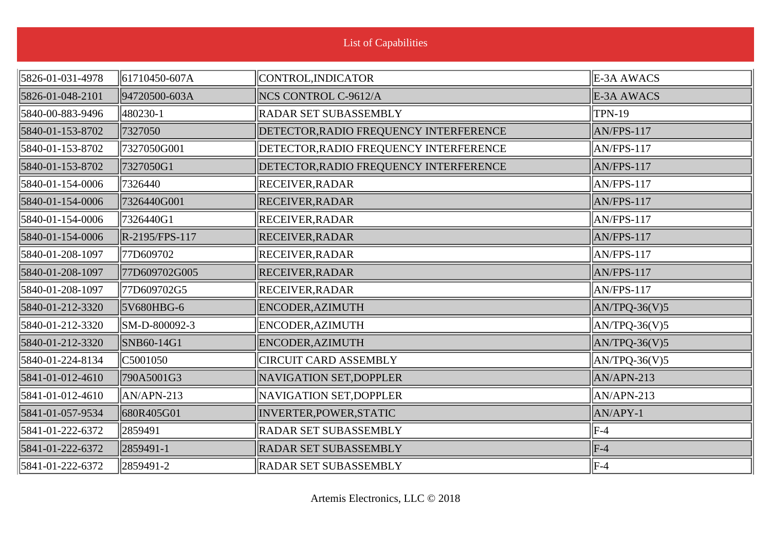| <b>List of Capabilities</b> |                           |                                        |                         |
|-----------------------------|---------------------------|----------------------------------------|-------------------------|
| 5826-01-031-4978            | $\parallel$ 61710450-607A | CONTROL, INDICATOR                     | E-3A AWACS              |
| 5826-01-048-2101            | 94720500-603A             | NCS CONTROL C-9612/A                   | E-3A AWACS              |
| 5840-00-883-9496            | 480230-1                  | <b>RADAR SET SUBASSEMBLY</b>           | <b>TPN-19</b>           |
| 5840-01-153-8702            | 7327050                   | DETECTOR, RADIO FREQUENCY INTERFERENCE | AN/FPS-117              |
| 5840-01-153-8702            | 7327050G001               | DETECTOR, RADIO FREQUENCY INTERFERENCE | AN/FPS-117              |
| 5840-01-153-8702            | 7327050G1                 | DETECTOR, RADIO FREQUENCY INTERFERENCE | AN/FPS-117              |
| 5840-01-154-0006            | 7326440                   | <b>RECEIVER, RADAR</b>                 | AN/FPS-117              |
| 5840-01-154-0006            | 7326440G001               | <b>RECEIVER, RADAR</b>                 | AN/FPS-117              |
| 5840-01-154-0006            | 7326440G1                 | <b>RECEIVER, RADAR</b>                 | AN/FPS-117              |
| 5840-01-154-0006            | R-2195/FPS-117            | <b>RECEIVER, RADAR</b>                 | $AN/FPS-117$            |
| 5840-01-208-1097            | 77D609702                 | <b>RECEIVER, RADAR</b>                 | AN/FPS-117              |
| 5840-01-208-1097            | 77D609702G005             | <b>RECEIVER, RADAR</b>                 | $AN/FPS-117$            |
| 5840-01-208-1097            | 77D609702G5               | <b>RECEIVER, RADAR</b>                 | $AN/FPS-117$            |
| 5840-01-212-3320            | 5V680HBG-6                | ENCODER, AZIMUTH                       | $AN/TPQ-36(V)5$         |
| 5840-01-212-3320            | SM-D-800092-3             | ENCODER, AZIMUTH                       | $\text{AN/TPQ-36(V)}$ 5 |
| 5840-01-212-3320            | SNB60-14G1                | ENCODER, AZIMUTH                       | $AN/TPQ-36(V)5$         |
| 5840-01-224-8134            | C5001050                  | <b>CIRCUIT CARD ASSEMBLY</b>           | $AN/TPQ-36(V)5$         |
| 5841-01-012-4610            | 790A5001G3                | NAVIGATION SET, DOPPLER                | $AN/APN-213$            |
| 5841-01-012-4610            | $\vert$ AN/APN-213        | NAVIGATION SET, DOPPLER                | AN/APN-213              |
| 5841-01-057-9534            | 680R405G01                | INVERTER, POWER, STATIC                | AN/APY-1                |
| 5841-01-222-6372            | 2859491                   | <b>RADAR SET SUBASSEMBLY</b>           | $ F-4 $                 |
| 5841-01-222-6372            | 2859491-1                 | <b>RADAR SET SUBASSEMBLY</b>           | $F-4$                   |
| 5841-01-222-6372            | 2859491-2                 | <b>RADAR SET SUBASSEMBLY</b>           | $\parallel$ F-4         |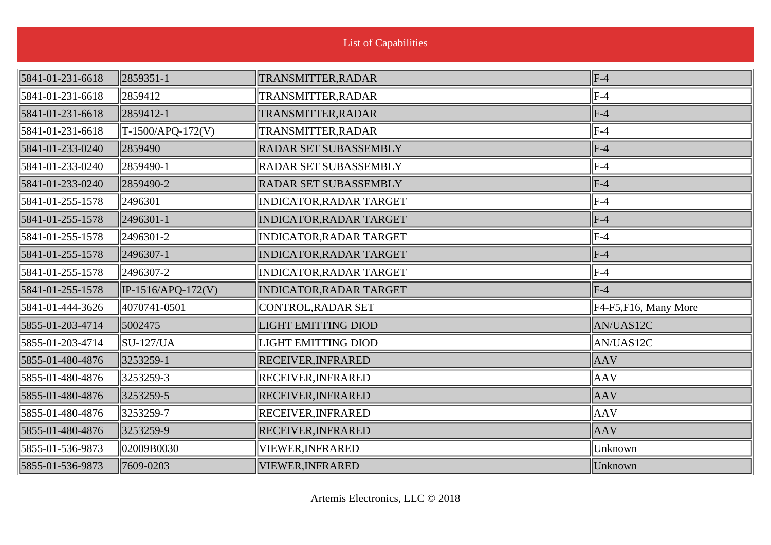| 5841-01-231-6618 | 2859351-1                                        | TRANSMITTER, RADAR             | $\parallel$ F-4       |
|------------------|--------------------------------------------------|--------------------------------|-----------------------|
| 5841-01-231-6618 | $\parallel$ 2859412                              | TRANSMITTER, RADAR             | $ F-4 $               |
| 5841-01-231-6618 | 2859412-1                                        | TRANSMITTER, RADAR             | $F-4$                 |
| 5841-01-231-6618 | $\left\ T\text{-}1500\text{/APQ-}172(V)\right\ $ | TRANSMITTER, RADAR             | $ F-4 $               |
| 5841-01-233-0240 | 2859490                                          | RADAR SET SUBASSEMBLY          | $F-4$                 |
| 5841-01-233-0240 | $\parallel$ 2859490-1                            | <b>RADAR SET SUBASSEMBLY</b>   | $ F-4 $               |
| 5841-01-233-0240 | 2859490-2                                        | RADAR SET SUBASSEMBLY          | $F-4$                 |
| 5841-01-255-1578 | 2496301                                          | INDICATOR, RADAR TARGET        | $ F-4 $               |
| 5841-01-255-1578 | 2496301-1                                        | <b>INDICATOR, RADAR TARGET</b> | $F-4$                 |
| 5841-01-255-1578 | $\parallel$ 2496301-2                            | <b>INDICATOR, RADAR TARGET</b> | $ F-4 $               |
| 5841-01-255-1578 | 2496307-1                                        | INDICATOR, RADAR TARGET        | $F-4$                 |
| 5841-01-255-1578 | $\parallel$ 2496307-2                            | <b>INDICATOR, RADAR TARGET</b> | $ F-4 $               |
| 5841-01-255-1578 | $\left\vert$ IP-1516/APQ-172(V)                  | <b>INDICATOR, RADAR TARGET</b> | $F-4$                 |
| 5841-01-444-3626 | 4070741-0501                                     | CONTROL, RADAR SET             | F4-F5, F16, Many More |
| 5855-01-203-4714 | 5002475                                          | <b>LIGHT EMITTING DIOD</b>     | AN/UAS12C             |
| 5855-01-203-4714 | $\parallel$ SU-127/UA                            | <b>LIGHT EMITTING DIOD</b>     | AN/UAS12C             |
| 5855-01-480-4876 | 3253259-1                                        | <b>RECEIVER, INFRARED</b>      | <b>AAV</b>            |
| 5855-01-480-4876 | 3253259-3                                        | <b>RECEIVER, INFRARED</b>      | AAV                   |
| 5855-01-480-4876 | 3253259-5                                        | <b>RECEIVER, INFRARED</b>      | <b>AAV</b>            |
| 5855-01-480-4876 | 3253259-7                                        | <b>RECEIVER, INFRARED</b>      | <b>AAV</b>            |
| 5855-01-480-4876 | 3253259-9                                        | <b>RECEIVER, INFRARED</b>      | <b>AAV</b>            |
| 5855-01-536-9873 | 02009B0030                                       | VIEWER, INFRARED               | Unknown               |
| 5855-01-536-9873 | 7609-0203                                        | VIEWER, INFRARED               | Unknown               |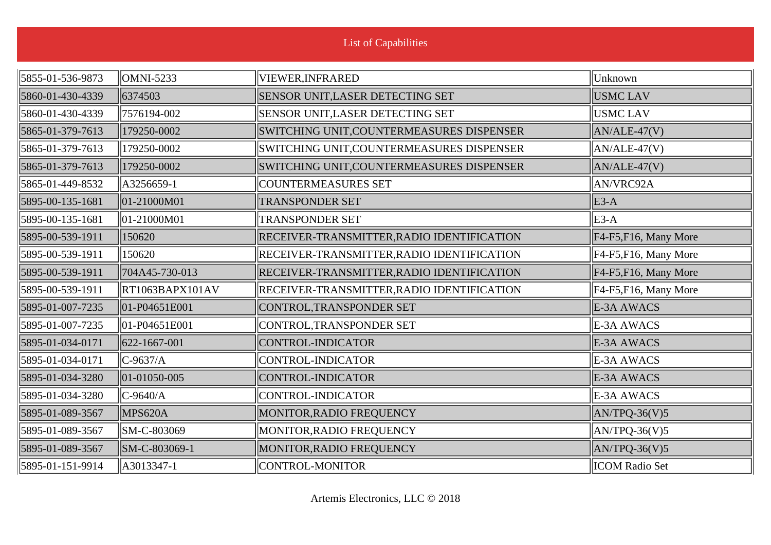| 5855-01-536-9873 | $\ $ OMNI-5233               | VIEWER, INFRARED                           | Unknown               |
|------------------|------------------------------|--------------------------------------------|-----------------------|
| 5860-01-430-4339 | 6374503                      | SENSOR UNIT, LASER DETECTING SET           | <b>USMC LAV</b>       |
| 5860-01-430-4339 | 7576194-002                  | <b>SENSOR UNIT, LASER DETECTING SET</b>    | <b>USMC LAV</b>       |
| 5865-01-379-7613 | 179250-0002                  | SWITCHING UNIT, COUNTERMEASURES DISPENSER  | $AN/ALE-47(V)$        |
| 5865-01-379-7613 | 179250-0002                  | SWITCHING UNIT,COUNTERMEASURES DISPENSER   | AN/ALE-47(V)          |
| 5865-01-379-7613 | 179250-0002                  | SWITCHING UNIT,COUNTERMEASURES DISPENSER   | $AN/ALE-47(V)$        |
| 5865-01-449-8532 | A3256659-1                   | <b>COUNTERMEASURES SET</b>                 | AN/VRC92A             |
| 5895-00-135-1681 | $\vert$ 01-21000M01          | <b>TRANSPONDER SET</b>                     | $E3-A$                |
| 5895-00-135-1681 | $\ 01 - 21000M01$            | <b>TRANSPONDER SET</b>                     | $E3-A$                |
| 5895-00-539-1911 | 150620                       | RECEIVER-TRANSMITTER, RADIO IDENTIFICATION | F4-F5, F16, Many More |
| 5895-00-539-1911 | 150620                       | RECEIVER-TRANSMITTER, RADIO IDENTIFICATION | F4-F5, F16, Many More |
| 5895-00-539-1911 | 704A45-730-013               | RECEIVER-TRANSMITTER, RADIO IDENTIFICATION | F4-F5, F16, Many More |
| 5895-00-539-1911 | $\left\Vert$ RT1063BAPX101AV | RECEIVER-TRANSMITTER, RADIO IDENTIFICATION | F4-F5, F16, Many More |
| 5895-01-007-7235 | 01-P04651E001                | CONTROL, TRANSPONDER SET                   | E-3A AWACS            |
| 5895-01-007-7235 | $\parallel$ 01-P04651E001    | CONTROL, TRANSPONDER SET                   | E-3A AWACS            |
| 5895-01-034-0171 | $ 622 - 1667 - 001 $         | CONTROL-INDICATOR                          | E-3A AWACS            |
| 5895-01-034-0171 | $ C-9637/A $                 | CONTROL-INDICATOR                          | E-3A AWACS            |
| 5895-01-034-3280 | $ 01-01050-005$              | CONTROL-INDICATOR                          | E-3A AWACS            |
| 5895-01-034-3280 | $ C-9640/A$                  | CONTROL-INDICATOR                          | E-3A AWACS            |
| 5895-01-089-3567 | MPS620A                      | MONITOR, RADIO FREQUENCY                   | $AN/TPQ-36(V)5$       |
| 5895-01-089-3567 | SM-C-803069                  | MONITOR, RADIO FREQUENCY                   | $AN/TPQ-36(V)5$       |
| 5895-01-089-3567 | SM-C-803069-1                | MONITOR, RADIO FREQUENCY                   | $AN/TPQ-36(V)5$       |
| 5895-01-151-9914 | $\parallel$ A3013347-1       | CONTROL-MONITOR                            | <b>ICOM Radio Set</b> |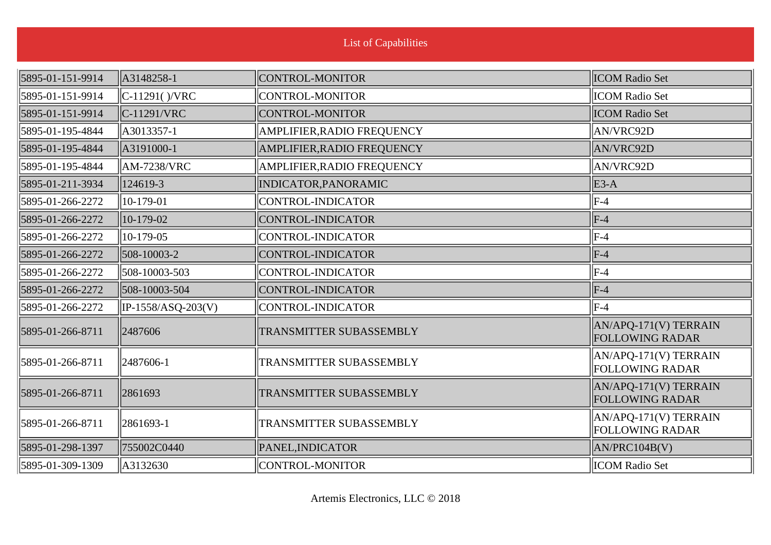|                  |                    | <b>List of Capabilities</b> |                                                 |
|------------------|--------------------|-----------------------------|-------------------------------------------------|
| 5895-01-151-9914 | A3148258-1         | CONTROL-MONITOR             | <b>ICOM Radio Set</b>                           |
| 5895-01-151-9914 | $C-11291() / VRC$  | CONTROL-MONITOR             | <b>ICOM Radio Set</b>                           |
| 5895-01-151-9914 | $C-11291/VRC$      | CONTROL-MONITOR             | <b>ICOM Radio Set</b>                           |
| 5895-01-195-4844 | A3013357-1         | AMPLIFIER, RADIO FREQUENCY  | AN/VRC92D                                       |
| 5895-01-195-4844 | A3191000-1         | AMPLIFIER, RADIO FREQUENCY  | <b>AN/VRC92D</b>                                |
| 5895-01-195-4844 | <b>AM-7238/VRC</b> | AMPLIFIER, RADIO FREQUENCY  | AN/VRC92D                                       |
| 5895-01-211-3934 | 124619-3           | INDICATOR, PANORAMIC        | $E3-A$                                          |
| 5895-01-266-2272 | 10-179-01          | CONTROL-INDICATOR           | $ F-4 $                                         |
| 5895-01-266-2272 | 10-179-02          | CONTROL-INDICATOR           | $F-4$                                           |
| 5895-01-266-2272 | 10-179-05          | CONTROL-INDICATOR           | $ F-4 $                                         |
| 5895-01-266-2272 | 508-10003-2        | CONTROL-INDICATOR           | $F-4$                                           |
| 5895-01-266-2272 | 508-10003-503      | CONTROL-INDICATOR           | $ F-4 $                                         |
| 5895-01-266-2272 | 508-10003-504      | CONTROL-INDICATOR           | $F-4$                                           |
| 5895-01-266-2272 | IP-1558/ASQ-203(V) | CONTROL-INDICATOR           | $F-4$                                           |
| 5895-01-266-8711 | 2487606            | TRANSMITTER SUBASSEMBLY     | AN/APQ-171(V) TERRAIN<br><b>FOLLOWING RADAR</b> |
| 5895-01-266-8711 | 2487606-1          | TRANSMITTER SUBASSEMBLY     | AN/APQ-171(V) TERRAIN<br><b>FOLLOWING RADAR</b> |
| 5895-01-266-8711 | 2861693            | TRANSMITTER SUBASSEMBLY     | AN/APQ-171(V) TERRAIN<br><b>FOLLOWING RADAR</b> |
| 5895-01-266-8711 | 2861693-1          | TRANSMITTER SUBASSEMBLY     | AN/APQ-171(V) TERRAIN<br><b>FOLLOWING RADAR</b> |
| 5895-01-298-1397 | 755002C0440        | PANEL, INDICATOR            | AN/PRC104B(V)                                   |
| 5895-01-309-1309 | A3132630           | CONTROL-MONITOR             | <b>ICOM</b> Radio Set                           |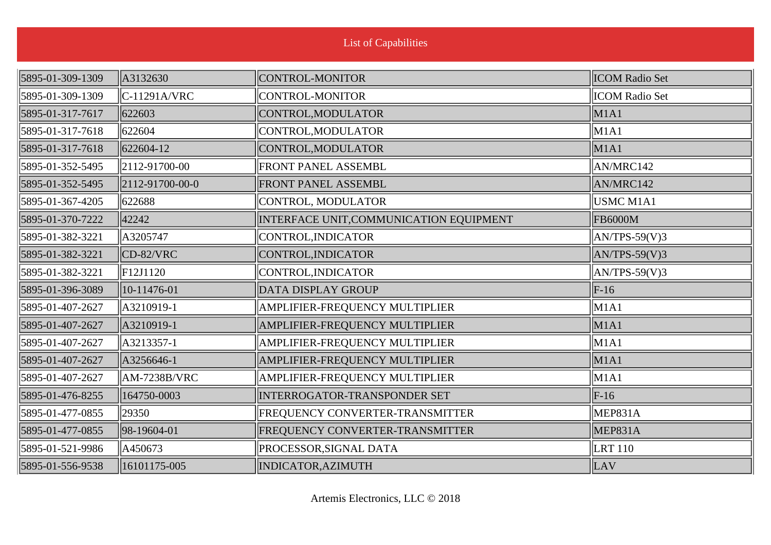| 5895-01-309-1309 | $\parallel$ A3132630           | CONTROL-MONITOR                         | <b>ICOM</b> Radio Set |
|------------------|--------------------------------|-----------------------------------------|-----------------------|
| 5895-01-309-1309 | $ C-11291A/VRC $               | CONTROL-MONITOR                         | <b>ICOM Radio Set</b> |
| 5895-01-317-7617 | 622603                         | CONTROL, MODULATOR                      | M1A1                  |
| 5895-01-317-7618 | $\ $ 622604                    | CONTROL, MODULATOR                      | M1A1                  |
| 5895-01-317-7618 | $ 622604-12$                   | CONTROL, MODULATOR                      | M1A1                  |
| 5895-01-352-5495 | $\ 2112 - 91700 - 00$          | <b>FRONT PANEL ASSEMBL</b>              | AN/MRC142             |
| 5895-01-352-5495 | $\left 2112-91700-00-0\right $ | FRONT PANEL ASSEMBL                     | AN/MRC142             |
| 5895-01-367-4205 | 622688                         | CONTROL, MODULATOR                      | USMC M1A1             |
| 5895-01-370-7222 | 42242                          | INTERFACE UNIT, COMMUNICATION EQUIPMENT | <b>FB6000M</b>        |
| 5895-01-382-3221 | A3205747                       | CONTROL, INDICATOR                      | $AN/TPS-59(V)3$       |
| 5895-01-382-3221 | $CD-82/VRC$                    | CONTROL, INDICATOR                      | $AN/TPS-59(V)3$       |
| 5895-01-382-3221 | $\vert$ F12J1120               | CONTROL, INDICATOR                      | $AN/TPS-59(V)3$       |
| 5895-01-396-3089 | $ 10-11476-01$                 | DATA DISPLAY GROUP                      | $F-16$                |
| 5895-01-407-2627 | $\parallel$ A3210919-1         | AMPLIFIER-FREQUENCY MULTIPLIER          | M1A1                  |
| 5895-01-407-2627 | $\parallel$ A3210919-1         | AMPLIFIER-FREQUENCY MULTIPLIER          | M1A1                  |
| 5895-01-407-2627 | $\parallel$ A3213357-1         | AMPLIFIER-FREQUENCY MULTIPLIER          | M1A1                  |
| 5895-01-407-2627 | A3256646-1                     | AMPLIFIER-FREQUENCY MULTIPLIER          | M1A1                  |
| 5895-01-407-2627 | $\parallel$ AM-7238B/VRC       | AMPLIFIER-FREQUENCY MULTIPLIER          | M1A1                  |
| 5895-01-476-8255 | 164750-0003                    | INTERROGATOR-TRANSPONDER SET            | $F-16$                |
| 5895-01-477-0855 | 29350                          | FREQUENCY CONVERTER-TRANSMITTER         | MEP831A               |
| 5895-01-477-0855 | 98-19604-01                    | FREQUENCY CONVERTER-TRANSMITTER         | MEP831A               |
| 5895-01-521-9986 | $\ A450673\ $                  | PROCESSOR, SIGNAL DATA                  | <b>LRT</b> 110        |
| 5895-01-556-9538 | 16101175-005                   | INDICATOR, AZIMUTH                      | LAV                   |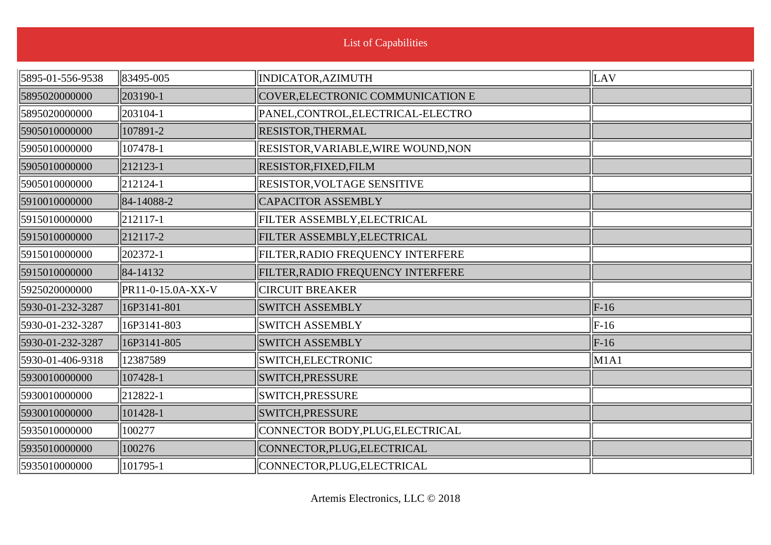| 5895-01-556-9538 | 83495-005         | INDICATOR, AZIMUTH                  | $\ $ LAV     |
|------------------|-------------------|-------------------------------------|--------------|
| 5895020000000    | 203190-1          | COVER, ELECTRONIC COMMUNICATION E   |              |
| 5895020000000    | 203104-1          | PANEL, CONTROL, ELECTRICAL-ELECTRO  |              |
| 5905010000000    | 107891-2          | RESISTOR, THERMAL                   |              |
| 5905010000000    | 107478-1          | RESISTOR, VARIABLE, WIRE WOUND, NON |              |
| 5905010000000    | 212123-1          | RESISTOR, FIXED, FILM               |              |
| 5905010000000    | 212124-1          | RESISTOR, VOLTAGE SENSITIVE         |              |
| 5910010000000    | 84-14088-2        | <b>CAPACITOR ASSEMBLY</b>           |              |
| 5915010000000    | $ 212117-1$       | FILTER ASSEMBLY, ELECTRICAL         |              |
| 5915010000000    | 212117-2          | FILTER ASSEMBLY, ELECTRICAL         |              |
| 5915010000000    | 202372-1          | FILTER, RADIO FREQUENCY INTERFERE   |              |
| 5915010000000    | 84-14132          | FILTER, RADIO FREQUENCY INTERFERE   |              |
| 5925020000000    | PR11-0-15.0A-XX-V | <b>CIRCUIT BREAKER</b>              |              |
| 5930-01-232-3287 | 16P3141-801       | <b>SWITCH ASSEMBLY</b>              | $\vert$ F-16 |
| 5930-01-232-3287 | 16P3141-803       | <b>SWITCH ASSEMBLY</b>              | $\vert$ F-16 |
| 5930-01-232-3287 | 16P3141-805       | <b>SWITCH ASSEMBLY</b>              | $\vert$ F-16 |
| 5930-01-406-9318 | 12387589          | SWITCH, ELECTRONIC                  | $\vert$ M1A1 |
| 5930010000000    | 107428-1          | SWITCH, PRESSURE                    |              |
| 5930010000000    | 212822-1          | <b>SWITCH, PRESSURE</b>             |              |
| 5930010000000    | $ 101428-1 $      | SWITCH, PRESSURE                    |              |
| 5935010000000    | 100277            | CONNECTOR BODY, PLUG, ELECTRICAL    |              |
| 5935010000000    | 100276            | CONNECTOR, PLUG, ELECTRICAL         |              |
| 5935010000000    | 101795-1          | CONNECTOR, PLUG, ELECTRICAL         |              |
|                  |                   |                                     |              |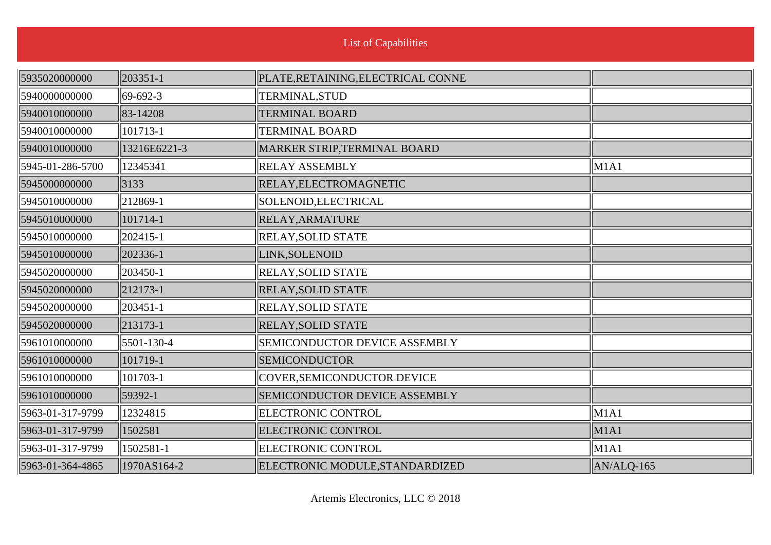| List of Capabilities |  |
|----------------------|--|

| 5935020000000    | 203351-1     | PLATE, RETAINING, ELECTRICAL CONNE |              |
|------------------|--------------|------------------------------------|--------------|
| 5940000000000    | $ 69-692-3 $ | TERMINAL, STUD                     |              |
| 5940010000000    | 83-14208     | <b>TERMINAL BOARD</b>              |              |
| 5940010000000    | 101713-1     | <b>TERMINAL BOARD</b>              |              |
| 5940010000000    | 13216E6221-3 | MARKER STRIP, TERMINAL BOARD       |              |
| 5945-01-286-5700 | 12345341     | <b>RELAY ASSEMBLY</b>              | M1A1         |
| 5945000000000    | 3133         | RELAY, ELECTROMAGNETIC             |              |
| 5945010000000    | 212869-1     | SOLENOID, ELECTRICAL               |              |
| 5945010000000    | 101714-1     | RELAY, ARMATURE                    |              |
| 5945010000000    | 202415-1     | <b>RELAY, SOLID STATE</b>          |              |
| 5945010000000    | 202336-1     | LINK, SOLENOID                     |              |
| 5945020000000    | 203450-1     | <b>RELAY, SOLID STATE</b>          |              |
| 5945020000000    | 212173-1     | <b>RELAY, SOLID STATE</b>          |              |
| 5945020000000    | 203451-1     | <b>RELAY, SOLID STATE</b>          |              |
| 5945020000000    | 213173-1     | <b>RELAY, SOLID STATE</b>          |              |
| 5961010000000    | 5501-130-4   | SEMICONDUCTOR DEVICE ASSEMBLY      |              |
| 5961010000000    | 101719-1     | <b>SEMICONDUCTOR</b>               |              |
| 5961010000000    | 101703-1     | COVER, SEMICONDUCTOR DEVICE        |              |
| 5961010000000    | 59392-1      | SEMICONDUCTOR DEVICE ASSEMBLY      |              |
| 5963-01-317-9799 | 12324815     | <b>ELECTRONIC CONTROL</b>          | M1A1         |
| 5963-01-317-9799 | 1502581      | <b>ELECTRONIC CONTROL</b>          | M1A1         |
| 5963-01-317-9799 | 1502581-1    | <b>ELECTRONIC CONTROL</b>          | M1A1         |
| 5963-01-364-4865 | 1970AS164-2  | ELECTRONIC MODULE, STANDARDIZED    | $AN/ALQ-165$ |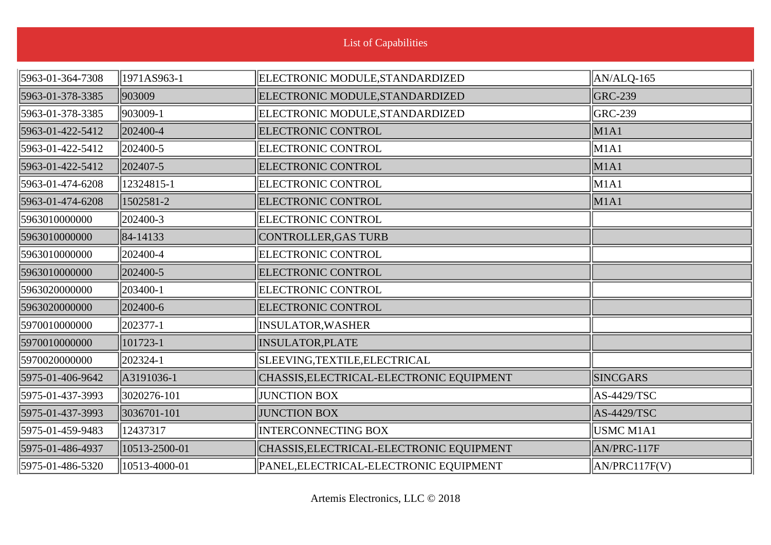|                  |               | <b>List of Capabilities</b>              |                            |
|------------------|---------------|------------------------------------------|----------------------------|
| 5963-01-364-7308 | 1971AS963-1   |                                          |                            |
|                  |               | ELECTRONIC MODULE, STANDARDIZED          | $\vert$ AN/ALQ-165         |
| 5963-01-378-3385 | 903009        | ELECTRONIC MODULE, STANDARDIZED          | <b>GRC-239</b>             |
| 5963-01-378-3385 | 903009-1      | ELECTRONIC MODULE, STANDARDIZED          | $ GRC-239 $                |
| 5963-01-422-5412 | 202400-4      | <b>ELECTRONIC CONTROL</b>                | M1A1                       |
| 5963-01-422-5412 | 202400-5      | ELECTRONIC CONTROL                       | $\parallel$ M1A1           |
| 5963-01-422-5412 | 202407-5      | <b>ELECTRONIC CONTROL</b>                | $\vert$ M1A1               |
| 5963-01-474-6208 | 12324815-1    | ELECTRONIC CONTROL                       | $\parallel$ M1A1           |
| 5963-01-474-6208 | 1502581-2     | <b>ELECTRONIC CONTROL</b>                | $\vert$ M1A1               |
| 5963010000000    | 202400-3      | <b>ELECTRONIC CONTROL</b>                |                            |
| 5963010000000    | 84-14133      | CONTROLLER, GAS TURB                     |                            |
| 5963010000000    | 202400-4      | <b>ELECTRONIC CONTROL</b>                |                            |
| 5963010000000    | 202400-5      | <b>ELECTRONIC CONTROL</b>                |                            |
| 5963020000000    | 203400-1      | ELECTRONIC CONTROL                       |                            |
| 5963020000000    | 202400-6      | <b>ELECTRONIC CONTROL</b>                |                            |
| 5970010000000    | 202377-1      | <b>INSULATOR, WASHER</b>                 |                            |
| 5970010000000    | 101723-1      | <b>INSULATOR, PLATE</b>                  |                            |
| 5970020000000    | 202324-1      | SLEEVING, TEXTILE, ELECTRICAL            |                            |
| 5975-01-406-9642 | A3191036-1    | CHASSIS, ELECTRICAL-ELECTRONIC EQUIPMENT | <b>SINCGARS</b>            |
| 5975-01-437-3993 | 3020276-101   | <b>JUNCTION BOX</b>                      | $AS-4429/TSC$              |
| 5975-01-437-3993 | 3036701-101   | <b>JUNCTION BOX</b>                      | AS-4429/TSC                |
| 5975-01-459-9483 | 12437317      | <b>INTERCONNECTING BOX</b>               | USMC M1A1                  |
| 5975-01-486-4937 | 10513-2500-01 | CHASSIS, ELECTRICAL-ELECTRONIC EQUIPMENT | AN/PRC-117F                |
| 5975-01-486-5320 | 10513-4000-01 | PANEL, ELECTRICAL-ELECTRONIC EQUIPMENT   | $\vert\vert$ AN/PRC117F(V) |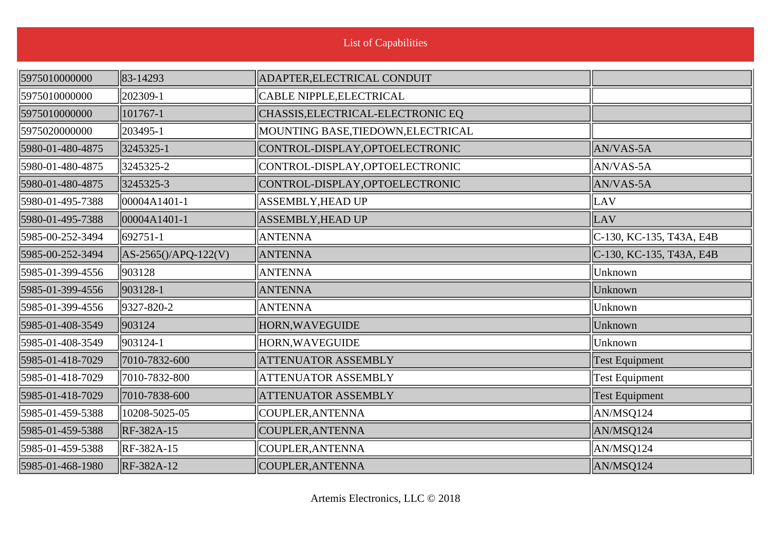| 5975010000000    | 83-14293                | ADAPTER, ELECTRICAL CONDUIT        |                          |
|------------------|-------------------------|------------------------------------|--------------------------|
| 5975010000000    | 202309-1                | CABLE NIPPLE, ELECTRICAL           |                          |
| 5975010000000    | 101767-1                | CHASSIS, ELECTRICAL-ELECTRONIC EQ  |                          |
| 5975020000000    | 203495-1                | MOUNTING BASE, TIEDOWN, ELECTRICAL |                          |
| 5980-01-480-4875 | 3245325-1               | CONTROL-DISPLAY, OPTOELECTRONIC    | AN/VAS-5A                |
| 5980-01-480-4875 | 3245325-2               | CONTROL-DISPLAY, OPTOELECTRONIC    | AN/VAS-5A                |
| 5980-01-480-4875 | 3245325-3               | CONTROL-DISPLAY, OPTOELECTRONIC    | AN/VAS-5A                |
| 5980-01-495-7388 | 00004A1401-1            | ASSEMBLY, HEAD UP                  | LAV                      |
| 5980-01-495-7388 | 00004A1401-1            | <b>ASSEMBLY, HEAD UP</b>           | LAV                      |
| 5985-00-252-3494 | 692751-1                | <b>ANTENNA</b>                     | C-130, KC-135, T43A, E4B |
| 5985-00-252-3494 | $AS-2565()$ /APQ-122(V) | <b>ANTENNA</b>                     | C-130, KC-135, T43A, E4B |
| 5985-01-399-4556 | 903128                  | <b>ANTENNA</b>                     | Unknown                  |
| 5985-01-399-4556 | 903128-1                | <b>ANTENNA</b>                     | Unknown                  |
| 5985-01-399-4556 | 9327-820-2              | <b>ANTENNA</b>                     | Unknown                  |
| 5985-01-408-3549 | 903124                  | HORN, WAVEGUIDE                    | Unknown                  |
| 5985-01-408-3549 | 903124-1                | HORN, WAVEGUIDE                    | Unknown                  |
| 5985-01-418-7029 | 7010-7832-600           | <b>ATTENUATOR ASSEMBLY</b>         | <b>Test Equipment</b>    |
| 5985-01-418-7029 | 7010-7832-800           | <b>ATTENUATOR ASSEMBLY</b>         | <b>Test Equipment</b>    |
| 5985-01-418-7029 | 7010-7838-600           | <b>ATTENUATOR ASSEMBLY</b>         | <b>Test Equipment</b>    |
| 5985-01-459-5388 | 10208-5025-05           | COUPLER, ANTENNA                   | AN/MSQ124                |
| 5985-01-459-5388 | RF-382A-15              | COUPLER, ANTENNA                   | AN/MSQ124                |
| 5985-01-459-5388 | RF-382A-15              | COUPLER, ANTENNA                   | AN/MSQ124                |
| 5985-01-468-1980 | RF-382A-12              | COUPLER, ANTENNA                   | AN/MSQ124                |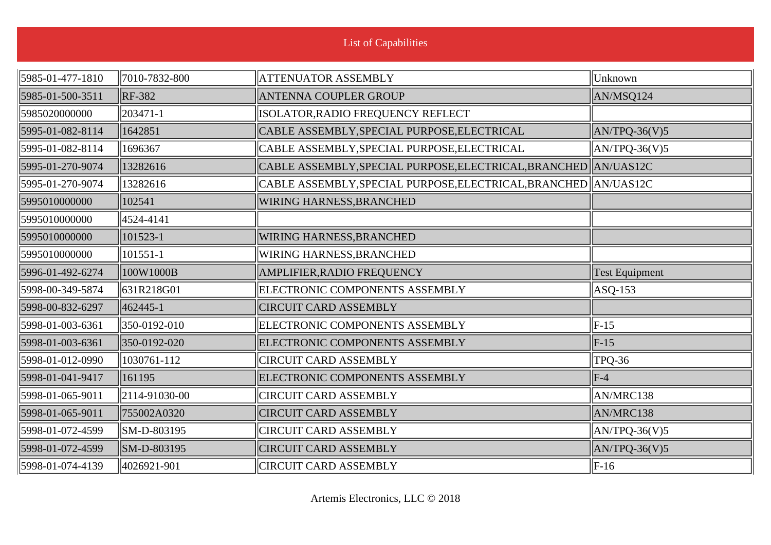| <b>List of Capabilities</b> |               |                                                                   |                       |
|-----------------------------|---------------|-------------------------------------------------------------------|-----------------------|
| 5985-01-477-1810            | 7010-7832-800 | <b>ATTENUATOR ASSEMBLY</b>                                        | Unknown               |
| 5985-01-500-3511            | <b>RF-382</b> | <b>ANTENNA COUPLER GROUP</b>                                      | AN/MSQ124             |
| 5985020000000               | 203471-1      | ISOLATOR, RADIO FREQUENCY REFLECT                                 |                       |
| 5995-01-082-8114            | 1642851       | CABLE ASSEMBLY, SPECIAL PURPOSE, ELECTRICAL                       | $AN/TPQ-36(V)5$       |
| 5995-01-082-8114            | 1696367       | CABLE ASSEMBLY, SPECIAL PURPOSE, ELECTRICAL                       | $AN/TPQ-36(V)5$       |
| 5995-01-270-9074            | 13282616      | CABLE ASSEMBLY, SPECIAL PURPOSE, ELECTRICAL, BRANCHED AN/UAS12C   |                       |
| 5995-01-270-9074            | 13282616      | CABLE ASSEMBLY, SPECIAL PURPOSE, ELECTRICAL, BRANCHED   AN/UAS12C |                       |
| 5995010000000               | 102541        | <b>WIRING HARNESS, BRANCHED</b>                                   |                       |
| 5995010000000               | 4524-4141     |                                                                   |                       |
| 5995010000000               | 101523-1      | <b>WIRING HARNESS, BRANCHED</b>                                   |                       |
| 5995010000000               | 101551-1      | <b>WIRING HARNESS, BRANCHED</b>                                   |                       |
| 5996-01-492-6274            | 100W1000B     | AMPLIFIER, RADIO FREQUENCY                                        | <b>Test Equipment</b> |
| 5998-00-349-5874            | 631R218G01    | ELECTRONIC COMPONENTS ASSEMBLY                                    | $ASQ-153$             |
| 5998-00-832-6297            | $ 462445-1$   | <b>CIRCUIT CARD ASSEMBLY</b>                                      |                       |
| 5998-01-003-6361            | 350-0192-010  | ELECTRONIC COMPONENTS ASSEMBLY                                    | $F-15$                |
| 5998-01-003-6361            | 350-0192-020  | ELECTRONIC COMPONENTS ASSEMBLY                                    | $F-15$                |
| 5998-01-012-0990            | 1030761-112   | <b>CIRCUIT CARD ASSEMBLY</b>                                      | TPQ-36                |
| 5998-01-041-9417            | 161195        | ELECTRONIC COMPONENTS ASSEMBLY                                    | $F-4$                 |
| 5998-01-065-9011            | 2114-91030-00 | <b>CIRCUIT CARD ASSEMBLY</b>                                      | AN/MRC138             |
| 5998-01-065-9011            | 755002A0320   | <b>CIRCUIT CARD ASSEMBLY</b>                                      | AN/MRC138             |
| 5998-01-072-4599            | SM-D-803195   | <b>CIRCUIT CARD ASSEMBLY</b>                                      | $AN/TPQ-36(V)5$       |
| 5998-01-072-4599            | SM-D-803195   | <b>CIRCUIT CARD ASSEMBLY</b>                                      | $AN/TPQ-36(V)5$       |
| 5998-01-074-4139            | 4026921-901   | <b>CIRCUIT CARD ASSEMBLY</b>                                      | $\vert$ F-16          |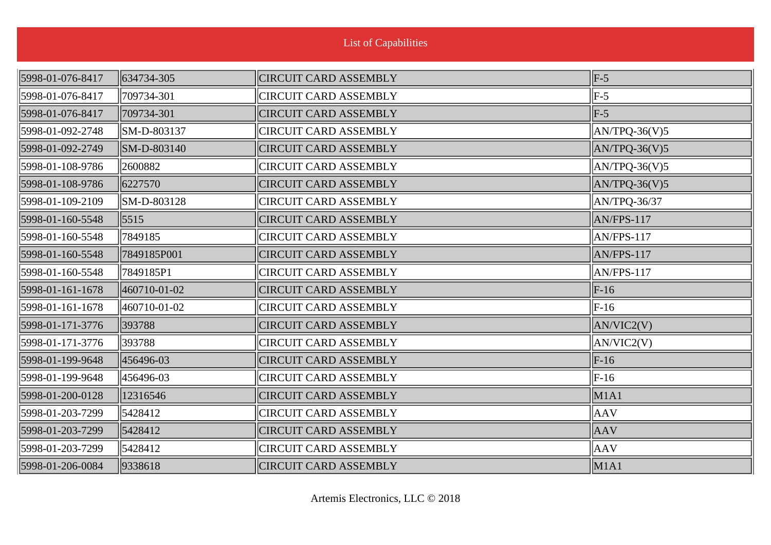| List of Capabilities |              |                              |                 |
|----------------------|--------------|------------------------------|-----------------|
| 5998-01-076-8417     | 634734-305   | <b>CIRCUIT CARD ASSEMBLY</b> | $\vert$ F-5     |
| 5998-01-076-8417     | 709734-301   | <b>CIRCUIT CARD ASSEMBLY</b> | $F-5$           |
| 5998-01-076-8417     | 709734-301   | <b>CIRCUIT CARD ASSEMBLY</b> | $F-5$           |
| 5998-01-092-2748     | SM-D-803137  | <b>CIRCUIT CARD ASSEMBLY</b> | $AN/TPQ-36(V)5$ |
| 5998-01-092-2749     | SM-D-803140  | <b>CIRCUIT CARD ASSEMBLY</b> | $AN/TPQ-36(V)5$ |
| 5998-01-108-9786     | 2600882      | <b>CIRCUIT CARD ASSEMBLY</b> | $AN/TPQ-36(V)5$ |
| 5998-01-108-9786     | 6227570      | <b>CIRCUIT CARD ASSEMBLY</b> | $AN/TPQ-36(V)5$ |
| 5998-01-109-2109     | SM-D-803128  | <b>CIRCUIT CARD ASSEMBLY</b> | AN/TPQ-36/37    |
| 5998-01-160-5548     | 5515         | <b>CIRCUIT CARD ASSEMBLY</b> | $AN/FPS-117$    |
| 5998-01-160-5548     | 7849185      | <b>CIRCUIT CARD ASSEMBLY</b> | AN/FPS-117      |
| 5998-01-160-5548     | 7849185P001  | <b>CIRCUIT CARD ASSEMBLY</b> | $AN/FPS-117$    |
| 5998-01-160-5548     | 7849185P1    | <b>CIRCUIT CARD ASSEMBLY</b> | AN/FPS-117      |
| 5998-01-161-1678     | 460710-01-02 | <b>CIRCUIT CARD ASSEMBLY</b> | $F-16$          |
| 5998-01-161-1678     | 460710-01-02 | <b>CIRCUIT CARD ASSEMBLY</b> | $F-16$          |
| 5998-01-171-3776     | 393788       | <b>CIRCUIT CARD ASSEMBLY</b> | AN/VIC2(V)      |
| 5998-01-171-3776     | 393788       | <b>CIRCUIT CARD ASSEMBLY</b> | AN/VIC2(V)      |
| 5998-01-199-9648     | 456496-03    | <b>CIRCUIT CARD ASSEMBLY</b> | $F-16$          |
| 5998-01-199-9648     | 456496-03    | <b>CIRCUIT CARD ASSEMBLY</b> | $F-16$          |
| 5998-01-200-0128     | 12316546     | <b>CIRCUIT CARD ASSEMBLY</b> | M1A1            |
| 5998-01-203-7299     | 5428412      | <b>CIRCUIT CARD ASSEMBLY</b> | AAV             |
| 5998-01-203-7299     | 5428412      | <b>CIRCUIT CARD ASSEMBLY</b> | <b>AAV</b>      |
| 5998-01-203-7299     | 5428412      | <b>CIRCUIT CARD ASSEMBLY</b> | <b>AAV</b>      |
| 5998-01-206-0084     | 9338618      | <b>CIRCUIT CARD ASSEMBLY</b> | $\vert$ M1A1    |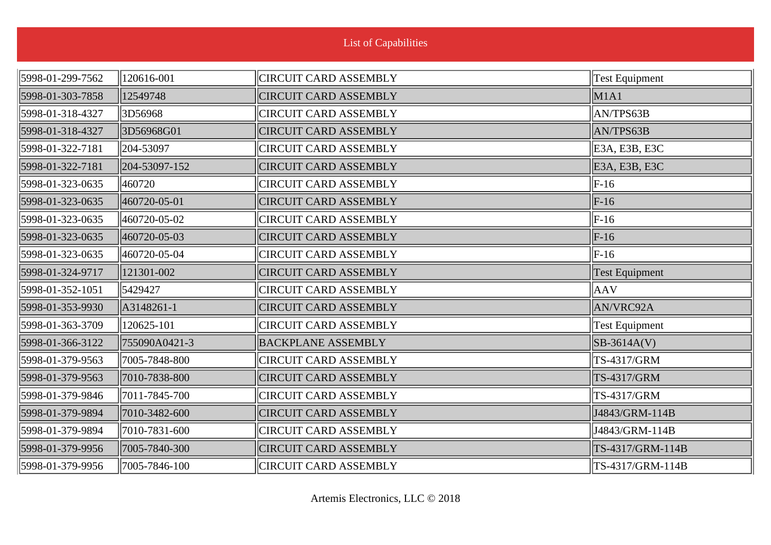| <b>List of Capabilities</b> |               |                              |                       |
|-----------------------------|---------------|------------------------------|-----------------------|
| 5998-01-299-7562            | 120616-001    | <b>CIRCUIT CARD ASSEMBLY</b> | <b>Test Equipment</b> |
| 5998-01-303-7858            | 12549748      | <b>CIRCUIT CARD ASSEMBLY</b> | M1A1                  |
| 5998-01-318-4327            | 3D56968       | <b>CIRCUIT CARD ASSEMBLY</b> | AN/TPS63B             |
| 5998-01-318-4327            | 3D56968G01    | <b>CIRCUIT CARD ASSEMBLY</b> | AN/TPS63B             |
| 5998-01-322-7181            | 204-53097     | <b>CIRCUIT CARD ASSEMBLY</b> | E3A, E3B, E3C         |
| 5998-01-322-7181            | 204-53097-152 | <b>CIRCUIT CARD ASSEMBLY</b> | E3A, E3B, E3C         |
| 5998-01-323-0635            | 460720        | <b>CIRCUIT CARD ASSEMBLY</b> | $F-16$                |
| 5998-01-323-0635            | 460720-05-01  | <b>CIRCUIT CARD ASSEMBLY</b> | $F-16$                |
| 5998-01-323-0635            | 460720-05-02  | <b>CIRCUIT CARD ASSEMBLY</b> | $F-16$                |
| 5998-01-323-0635            | 460720-05-03  | <b>CIRCUIT CARD ASSEMBLY</b> | $F-16$                |
| 5998-01-323-0635            | 460720-05-04  | <b>CIRCUIT CARD ASSEMBLY</b> | $F-16$                |
| 5998-01-324-9717            | 121301-002    | <b>CIRCUIT CARD ASSEMBLY</b> | <b>Test Equipment</b> |
| 5998-01-352-1051            | 5429427       | <b>CIRCUIT CARD ASSEMBLY</b> | AAV                   |
| 5998-01-353-9930            | A3148261-1    | <b>CIRCUIT CARD ASSEMBLY</b> | AN/VRC92A             |
| 5998-01-363-3709            | 120625-101    | <b>CIRCUIT CARD ASSEMBLY</b> | <b>Test Equipment</b> |
| 5998-01-366-3122            | 755090A0421-3 | <b>BACKPLANE ASSEMBLY</b>    | $SB-3614A(V)$         |
| 5998-01-379-9563            | 7005-7848-800 | <b>CIRCUIT CARD ASSEMBLY</b> | TS-4317/GRM           |
| 5998-01-379-9563            | 7010-7838-800 | <b>CIRCUIT CARD ASSEMBLY</b> | TS-4317/GRM           |
| 5998-01-379-9846            | 7011-7845-700 | <b>CIRCUIT CARD ASSEMBLY</b> | TS-4317/GRM           |
| 5998-01-379-9894            | 7010-3482-600 | <b>CIRCUIT CARD ASSEMBLY</b> | J4843/GRM-114B        |
| 5998-01-379-9894            | 7010-7831-600 | <b>CIRCUIT CARD ASSEMBLY</b> | J4843/GRM-114B        |
| 5998-01-379-9956            | 7005-7840-300 | <b>CIRCUIT CARD ASSEMBLY</b> | TS-4317/GRM-114B      |
| 5998-01-379-9956            | 7005-7846-100 | <b>CIRCUIT CARD ASSEMBLY</b> | TS-4317/GRM-114B      |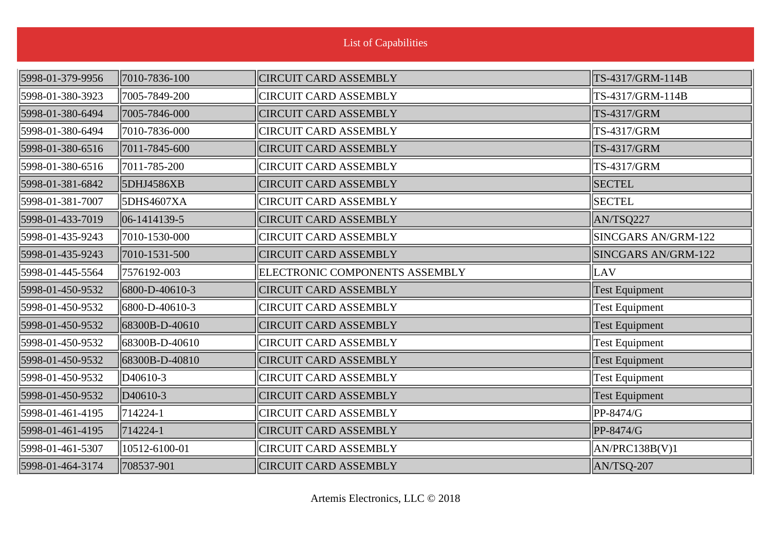| <b>List of Capabilities</b> |                      |                                |                            |
|-----------------------------|----------------------|--------------------------------|----------------------------|
| 5998-01-379-9956            | 7010-7836-100        | <b>CIRCUIT CARD ASSEMBLY</b>   | TS-4317/GRM-114B           |
| 5998-01-380-3923            | 7005-7849-200        | <b>CIRCUIT CARD ASSEMBLY</b>   | TS-4317/GRM-114B           |
| 5998-01-380-6494            | 7005-7846-000        | <b>CIRCUIT CARD ASSEMBLY</b>   | TS-4317/GRM                |
| 5998-01-380-6494            | 7010-7836-000        | <b>CIRCUIT CARD ASSEMBLY</b>   | TS-4317/GRM                |
| 5998-01-380-6516            | 7011-7845-600        | <b>CIRCUIT CARD ASSEMBLY</b>   | TS-4317/GRM                |
| 5998-01-380-6516            | 7011-785-200         | <b>CIRCUIT CARD ASSEMBLY</b>   | TS-4317/GRM                |
| 5998-01-381-6842            | 5DHJ4586XB           | <b>CIRCUIT CARD ASSEMBLY</b>   | <b>SECTEL</b>              |
| 5998-01-381-7007            | 5DHS4607XA           | <b>CIRCUIT CARD ASSEMBLY</b>   | <b>SECTEL</b>              |
| 5998-01-433-7019            | $ 06-1414139-5$      | <b>CIRCUIT CARD ASSEMBLY</b>   | AN/TSQ227                  |
| 5998-01-435-9243            | 7010-1530-000        | <b>CIRCUIT CARD ASSEMBLY</b>   | <b>SINCGARS AN/GRM-122</b> |
| 5998-01-435-9243            | 7010-1531-500        | <b>CIRCUIT CARD ASSEMBLY</b>   | <b>SINCGARS AN/GRM-122</b> |
| 5998-01-445-5564            | 7576192-003          | ELECTRONIC COMPONENTS ASSEMBLY | LAV                        |
| 5998-01-450-9532            | 6800-D-40610-3       | <b>CIRCUIT CARD ASSEMBLY</b>   | Test Equipment             |
| 5998-01-450-9532            | 6800-D-40610-3       | <b>CIRCUIT CARD ASSEMBLY</b>   | <b>Test Equipment</b>      |
| 5998-01-450-9532            | 68300B-D-40610       | <b>CIRCUIT CARD ASSEMBLY</b>   | <b>Test Equipment</b>      |
| 5998-01-450-9532            | 68300B-D-40610       | <b>CIRCUIT CARD ASSEMBLY</b>   | <b>Test Equipment</b>      |
| 5998-01-450-9532            | 68300B-D-40810       | <b>CIRCUIT CARD ASSEMBLY</b>   | <b>Test Equipment</b>      |
| 5998-01-450-9532            | D <sub>40610-3</sub> | <b>CIRCUIT CARD ASSEMBLY</b>   | <b>Test Equipment</b>      |
| 5998-01-450-9532            | D <sub>40610-3</sub> | <b>CIRCUIT CARD ASSEMBLY</b>   | <b>Test Equipment</b>      |
| 5998-01-461-4195            | $ 714224-1$          | <b>CIRCUIT CARD ASSEMBLY</b>   | PP-8474/G                  |
| 5998-01-461-4195            | $714224 - 1$         | <b>CIRCUIT CARD ASSEMBLY</b>   | PP-8474/G                  |
| 5998-01-461-5307            | 10512-6100-01        | <b>CIRCUIT CARD ASSEMBLY</b>   | AN/PRC138B(V)1             |
| 5998-01-464-3174            | 708537-901           | <b>CIRCUIT CARD ASSEMBLY</b>   | $AN/TSQ-207$               |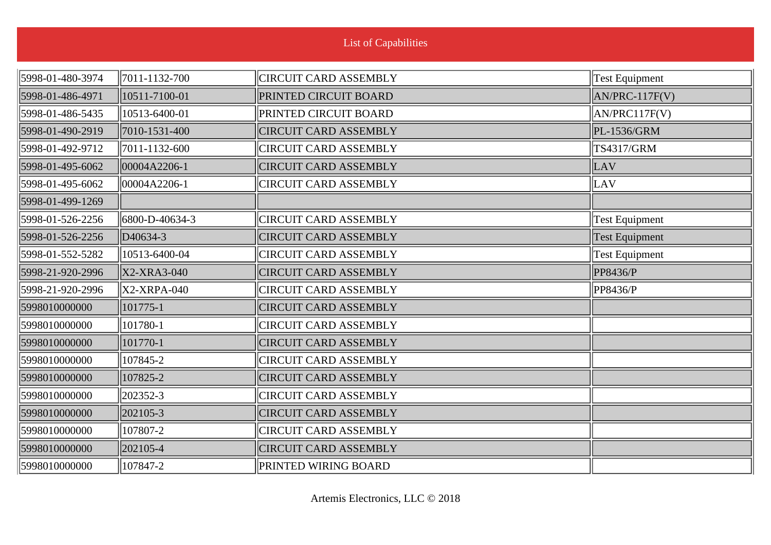| <b>List of Capabilities</b> |                      |                              |                       |
|-----------------------------|----------------------|------------------------------|-----------------------|
| 5998-01-480-3974            | 7011-1132-700        | <b>CIRCUIT CARD ASSEMBLY</b> | <b>Test Equipment</b> |
| 5998-01-486-4971            | 10511-7100-01        | PRINTED CIRCUIT BOARD        | AN/PRC-117F(V)        |
| 5998-01-486-5435            | 10513-6400-01        | <b>PRINTED CIRCUIT BOARD</b> | AN/PRC117F(V)         |
| 5998-01-490-2919            | 7010-1531-400        | <b>CIRCUIT CARD ASSEMBLY</b> | PL-1536/GRM           |
| 5998-01-492-9712            | 7011-1132-600        | <b>CIRCUIT CARD ASSEMBLY</b> | <b>TS4317/GRM</b>     |
| 5998-01-495-6062            | 00004A2206-1         | <b>CIRCUIT CARD ASSEMBLY</b> | LAV                   |
| 5998-01-495-6062            | 00004A2206-1         | <b>CIRCUIT CARD ASSEMBLY</b> | LAV                   |
| 5998-01-499-1269            |                      |                              |                       |
| 5998-01-526-2256            | 6800-D-40634-3       | <b>CIRCUIT CARD ASSEMBLY</b> | <b>Test Equipment</b> |
| 5998-01-526-2256            | D <sub>40634-3</sub> | <b>CIRCUIT CARD ASSEMBLY</b> | <b>Test Equipment</b> |
| 5998-01-552-5282            | 10513-6400-04        | <b>CIRCUIT CARD ASSEMBLY</b> | <b>Test Equipment</b> |
| 5998-21-920-2996            | X2-XRA3-040          | <b>CIRCUIT CARD ASSEMBLY</b> | PP8436/P              |
| 5998-21-920-2996            | X2-XRPA-040          | <b>CIRCUIT CARD ASSEMBLY</b> | PP8436/P              |
| 5998010000000               | 101775-1             | <b>CIRCUIT CARD ASSEMBLY</b> |                       |
| 5998010000000               | 101780-1             | <b>CIRCUIT CARD ASSEMBLY</b> |                       |
| 5998010000000               | 101770-1             | <b>CIRCUIT CARD ASSEMBLY</b> |                       |
| 5998010000000               | 107845-2             | <b>CIRCUIT CARD ASSEMBLY</b> |                       |
| 5998010000000               | 107825-2             | <b>CIRCUIT CARD ASSEMBLY</b> |                       |
| 5998010000000               | 202352-3             | <b>CIRCUIT CARD ASSEMBLY</b> |                       |
| 5998010000000               | 202105-3             | <b>CIRCUIT CARD ASSEMBLY</b> |                       |
| 5998010000000               | 107807-2             | <b>CIRCUIT CARD ASSEMBLY</b> |                       |
| 5998010000000               | 202105-4             | <b>CIRCUIT CARD ASSEMBLY</b> |                       |
| 5998010000000               | 107847-2             | <b>PRINTED WIRING BOARD</b>  |                       |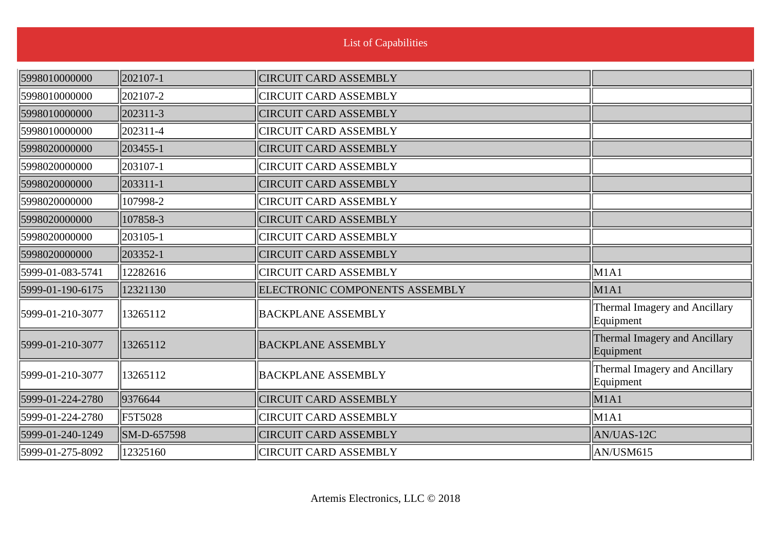| 5998010000000    | 202107-1             | <b>CIRCUIT CARD ASSEMBLY</b>   |                                            |
|------------------|----------------------|--------------------------------|--------------------------------------------|
| 5998010000000    | $\parallel$ 202107-2 | <b>CIRCUIT CARD ASSEMBLY</b>   |                                            |
| 5998010000000    | 202311-3             | <b>CIRCUIT CARD ASSEMBLY</b>   |                                            |
| 5998010000000    | $\ 202311-4\ $       | <b>CIRCUIT CARD ASSEMBLY</b>   |                                            |
| 5998020000000    | 203455-1             | <b>CIRCUIT CARD ASSEMBLY</b>   |                                            |
| 5998020000000    | $\ 203107 - 1$       | <b>CIRCUIT CARD ASSEMBLY</b>   |                                            |
| 5998020000000    | 203311-1             | <b>CIRCUIT CARD ASSEMBLY</b>   |                                            |
| 5998020000000    | 107998-2             | <b>CIRCUIT CARD ASSEMBLY</b>   |                                            |
| 5998020000000    | 107858-3             | <b>CIRCUIT CARD ASSEMBLY</b>   |                                            |
| 5998020000000    | $ 203105-1$          | <b>CIRCUIT CARD ASSEMBLY</b>   |                                            |
| 5998020000000    | 203352-1             | <b>CIRCUIT CARD ASSEMBLY</b>   |                                            |
| 5999-01-083-5741 | 12282616             | <b>CIRCUIT CARD ASSEMBLY</b>   | M1A1                                       |
| 5999-01-190-6175 | 12321130             | ELECTRONIC COMPONENTS ASSEMBLY | M1A1                                       |
| 5999-01-210-3077 | 13265112             | <b>BACKPLANE ASSEMBLY</b>      | Thermal Imagery and Ancillary<br>Equipment |
| 5999-01-210-3077 | 13265112             | <b>BACKPLANE ASSEMBLY</b>      | Thermal Imagery and Ancillary<br>Equipment |
| 5999-01-210-3077 | 13265112             | <b>BACKPLANE ASSEMBLY</b>      | Thermal Imagery and Ancillary<br>Equipment |
| 5999-01-224-2780 | 9376644              | <b>CIRCUIT CARD ASSEMBLY</b>   | M <sub>1</sub> A <sub>1</sub>              |
| 5999-01-224-2780 | <b>F5T5028</b>       | <b>CIRCUIT CARD ASSEMBLY</b>   | M1A1                                       |
| 5999-01-240-1249 | SM-D-657598          | <b>CIRCUIT CARD ASSEMBLY</b>   | AN/UAS-12C                                 |
| 5999-01-275-8092 | 12325160             | <b>CIRCUIT CARD ASSEMBLY</b>   | $\vert$ AN/USM615                          |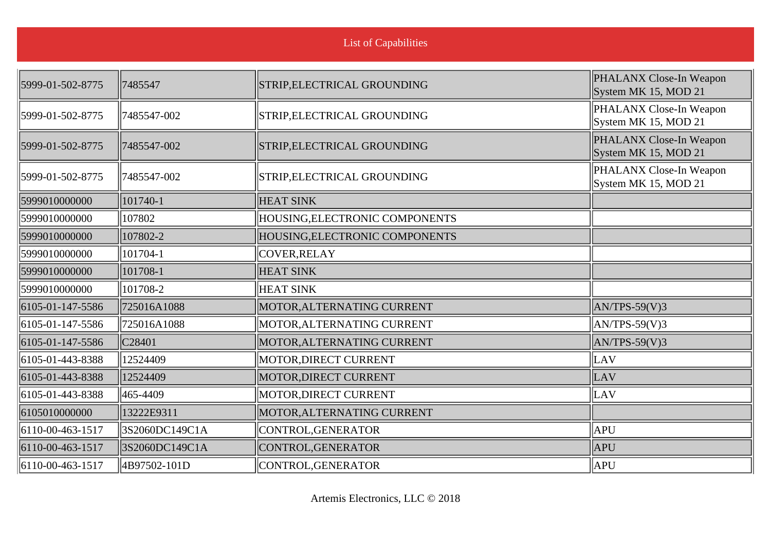| List of Capabilities |  |
|----------------------|--|
|                      |  |

| 5999-01-502-8775             | 7485547        | STRIP, ELECTRICAL GROUNDING    | PHALANX Close-In Weapon<br>System MK 15, MOD 21 |
|------------------------------|----------------|--------------------------------|-------------------------------------------------|
| 5999-01-502-8775             | 7485547-002    | STRIP, ELECTRICAL GROUNDING    | PHALANX Close-In Weapon<br>System MK 15, MOD 21 |
| 5999-01-502-8775             | 7485547-002    | STRIP, ELECTRICAL GROUNDING    | PHALANX Close-In Weapon<br>System MK 15, MOD 21 |
| 5999-01-502-8775             | 7485547-002    | STRIP, ELECTRICAL GROUNDING    | PHALANX Close-In Weapon<br>System MK 15, MOD 21 |
| 5999010000000                | 101740-1       | <b>HEAT SINK</b>               |                                                 |
| 5999010000000                | 107802         | HOUSING, ELECTRONIC COMPONENTS |                                                 |
| 5999010000000                | 107802-2       | HOUSING, ELECTRONIC COMPONENTS |                                                 |
| 5999010000000                | 101704-1       | COVER, RELAY                   |                                                 |
| 5999010000000                | 101708-1       | <b>HEAT SINK</b>               |                                                 |
| 5999010000000                | 101708-2       | <b>HEAT SINK</b>               |                                                 |
| 6105-01-147-5586             | 725016A1088    | MOTOR, ALTERNATING CURRENT     | $AN/TPS-59(V)3$                                 |
| 6105-01-147-5586             | 725016A1088    | MOTOR, ALTERNATING CURRENT     | $AN/TPS-59(V)3$                                 |
| 6105-01-147-5586             | C28401         | MOTOR, ALTERNATING CURRENT     | $AN/TPS-59(V)3$                                 |
| 6105-01-443-8388             | 12524409       | MOTOR, DIRECT CURRENT          | LAV                                             |
| 6105-01-443-8388             | 12524409       | MOTOR, DIRECT CURRENT          | LAV                                             |
| 6105-01-443-8388             | 465-4409       | MOTOR, DIRECT CURRENT          | LAV                                             |
| 6105010000000                | 13222E9311     | MOTOR, ALTERNATING CURRENT     |                                                 |
| 6110-00-463-1517             | 3S2060DC149C1A | CONTROL, GENERATOR             | APU                                             |
| 6110-00-463-1517             | 3S2060DC149C1A | CONTROL, GENERATOR             | <b>APU</b>                                      |
| $\parallel$ 6110-00-463-1517 | 4B97502-101D   | CONTROL, GENERATOR             | APU                                             |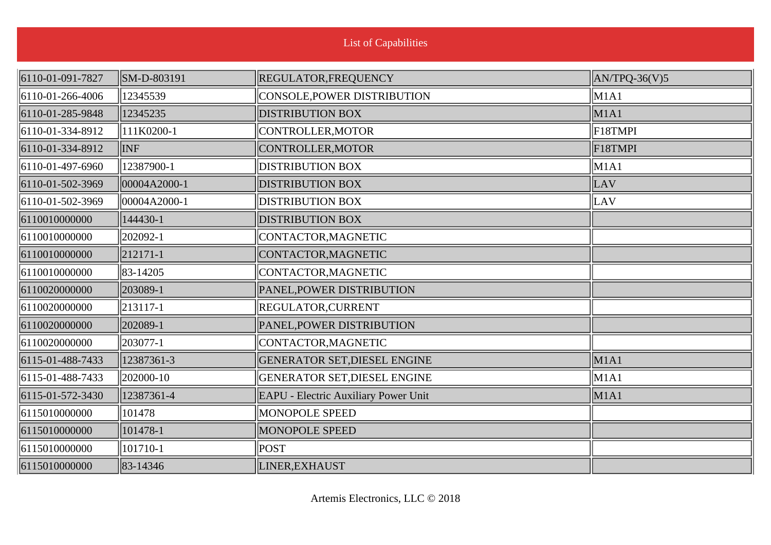| <b>List of Capabilities</b> |              |                                             |                 |
|-----------------------------|--------------|---------------------------------------------|-----------------|
| 6110-01-091-7827            | SM-D-803191  | REGULATOR, FREQUENCY                        | $AN/TPQ-36(V)5$ |
| 6110-01-266-4006            | 12345539     | CONSOLE, POWER DISTRIBUTION                 | $\vert$ M1A1    |
| 6110-01-285-9848            | 12345235     | <b>DISTRIBUTION BOX</b>                     | M1A1            |
| 6110-01-334-8912            | 111K0200-1   | CONTROLLER, MOTOR                           | $ $ F18TMPI     |
| 6110-01-334-8912            | <b>INF</b>   | CONTROLLER, MOTOR                           | F18TMPI         |
| 6110-01-497-6960            | 12387900-1   | <b>DISTRIBUTION BOX</b>                     | M1A1            |
| 6110-01-502-3969            | 00004A2000-1 | <b>DISTRIBUTION BOX</b>                     | LAV             |
| 6110-01-502-3969            | 00004A2000-1 | <b>DISTRIBUTION BOX</b>                     | LAV             |
| 6110010000000               | 144430-1     | <b>DISTRIBUTION BOX</b>                     |                 |
| 6110010000000               | 202092-1     | CONTACTOR, MAGNETIC                         |                 |
| 6110010000000               | 212171-1     | CONTACTOR, MAGNETIC                         |                 |
| 6110010000000               | 83-14205     | CONTACTOR, MAGNETIC                         |                 |
| 6110020000000               | 203089-1     | PANEL, POWER DISTRIBUTION                   |                 |
| 6110020000000               | 213117-1     | REGULATOR, CURRENT                          |                 |
| 6110020000000               | 202089-1     | PANEL, POWER DISTRIBUTION                   |                 |
| 6110020000000               | 203077-1     | CONTACTOR, MAGNETIC                         |                 |
| 6115-01-488-7433            | 12387361-3   | <b>GENERATOR SET, DIESEL ENGINE</b>         | M1A1            |
| 6115-01-488-7433            | 202000-10    | <b>GENERATOR SET, DIESEL ENGINE</b>         | M1A1            |
| 6115-01-572-3430            | 12387361-4   | <b>EAPU - Electric Auxiliary Power Unit</b> | M1A1            |
| 6115010000000               | 101478       | <b>MONOPOLE SPEED</b>                       |                 |
| 6115010000000               | 101478-1     | <b>MONOPOLE SPEED</b>                       |                 |
| 6115010000000               | 101710-1     | <b>POST</b>                                 |                 |
| 6115010000000               | 83-14346     | LINER, EXHAUST                              |                 |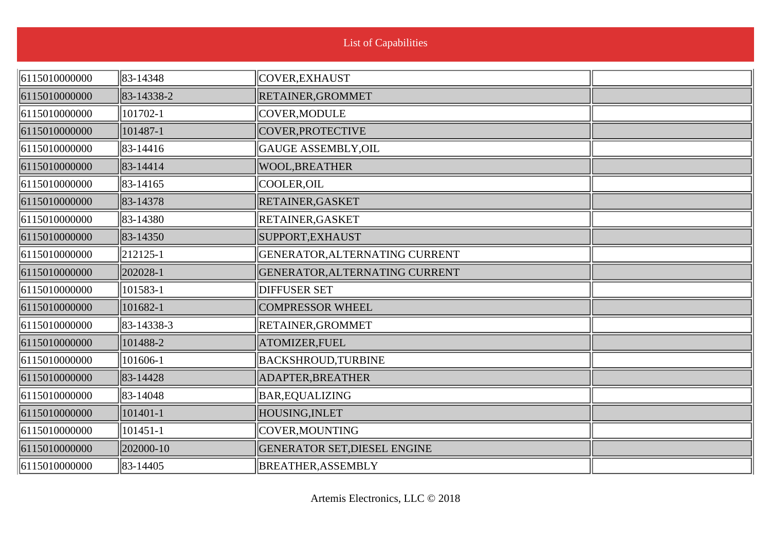| <b>List of Capabilities</b> |  |
|-----------------------------|--|
|                             |  |

| 6115010000000 | 83-14348   | COVER, EXHAUST                      |  |
|---------------|------------|-------------------------------------|--|
| 6115010000000 | 83-14338-2 | RETAINER, GROMMET                   |  |
| 6115010000000 | 101702-1   | COVER, MODULE                       |  |
| 6115010000000 | 101487-1   | COVER, PROTECTIVE                   |  |
| 6115010000000 | 83-14416   | GAUGE ASSEMBLY, OIL                 |  |
| 6115010000000 | 83-14414   | <b>WOOL, BREATHER</b>               |  |
| 6115010000000 | 83-14165   | COOLER, OIL                         |  |
| 6115010000000 | 83-14378   | RETAINER, GASKET                    |  |
| 6115010000000 | 83-14380   | RETAINER, GASKET                    |  |
| 6115010000000 | 83-14350   | SUPPORT, EXHAUST                    |  |
| 6115010000000 | 212125-1   | GENERATOR, ALTERNATING CURRENT      |  |
| 6115010000000 | 202028-1   | GENERATOR, ALTERNATING CURRENT      |  |
| 6115010000000 | 101583-1   | <b>DIFFUSER SET</b>                 |  |
| 6115010000000 | 101682-1   | <b>COMPRESSOR WHEEL</b>             |  |
| 6115010000000 | 83-14338-3 | RETAINER, GROMMET                   |  |
| 6115010000000 | 101488-2   | ATOMIZER, FUEL                      |  |
| 6115010000000 | 101606-1   | <b>BACKSHROUD, TURBINE</b>          |  |
| 6115010000000 | 83-14428   | ADAPTER, BREATHER                   |  |
| 6115010000000 | 83-14048   | <b>BAR, EQUALIZING</b>              |  |
| 6115010000000 | 101401-1   | HOUSING, INLET                      |  |
| 6115010000000 | 101451-1   | COVER, MOUNTING                     |  |
| 6115010000000 | 202000-10  | <b>GENERATOR SET, DIESEL ENGINE</b> |  |
| 6115010000000 | 83-14405   | <b>BREATHER, ASSEMBLY</b>           |  |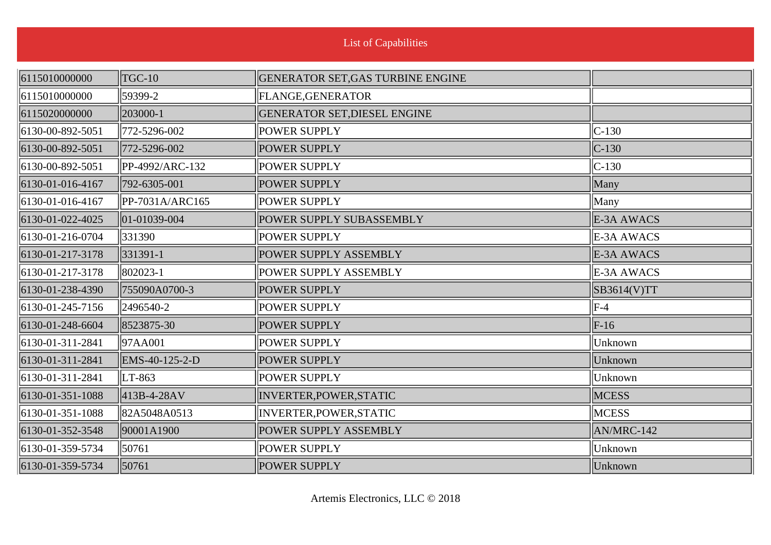| 6115010000000    | <b>TGC-10</b>            | GENERATOR SET, GAS TURBINE ENGINE |              |
|------------------|--------------------------|-----------------------------------|--------------|
| 6115010000000    | 59399-2                  | <b>FLANGE, GENERATOR</b>          |              |
| 6115020000000    | 203000-1                 | GENERATOR SET, DIESEL ENGINE      |              |
| 6130-00-892-5051 | 772-5296-002             | <b>POWER SUPPLY</b>               | $C-130$      |
| 6130-00-892-5051 | 772-5296-002             | <b>POWER SUPPLY</b>               | $C-130$      |
| 6130-00-892-5051 | PP-4992/ARC-132          | <b>POWER SUPPLY</b>               | $C-130$      |
| 6130-01-016-4167 | 792-6305-001             | <b>POWER SUPPLY</b>               | Many         |
| 6130-01-016-4167 | PP-7031A/ARC165          | <b>POWER SUPPLY</b>               | Many         |
| 6130-01-022-4025 | $\parallel$ 01-01039-004 | POWER SUPPLY SUBASSEMBLY          | E-3A AWACS   |
| 6130-01-216-0704 | 331390                   | <b>POWER SUPPLY</b>               | E-3A AWACS   |
| 6130-01-217-3178 | 331391-1                 | POWER SUPPLY ASSEMBLY             | E-3A AWACS   |
| 6130-01-217-3178 | 802023-1                 | <b>POWER SUPPLY ASSEMBLY</b>      | E-3A AWACS   |
| 6130-01-238-4390 | 755090A0700-3            | <b>POWER SUPPLY</b>               | SB3614(V)TT  |
| 6130-01-245-7156 | 2496540-2                | <b>POWER SUPPLY</b>               | $ F-4 $      |
| 6130-01-248-6604 | 8523875-30               | <b>POWER SUPPLY</b>               | $F-16$       |
| 6130-01-311-2841 | 97AA001                  | <b>POWER SUPPLY</b>               | Unknown      |
| 6130-01-311-2841 | EMS-40-125-2-D           | <b>POWER SUPPLY</b>               | Unknown      |
| 6130-01-311-2841 | $ LT-863 $               | <b>POWER SUPPLY</b>               | Unknown      |
| 6130-01-351-1088 | 413B-4-28AV              | INVERTER, POWER, STATIC           | <b>MCESS</b> |
| 6130-01-351-1088 | 82A5048A0513             | INVERTER, POWER, STATIC           | <b>MCESS</b> |
| 6130-01-352-3548 | 90001A1900               | POWER SUPPLY ASSEMBLY             | AN/MRC-142   |
| 6130-01-359-5734 | 50761                    | <b>POWER SUPPLY</b>               | Unknown      |
| 6130-01-359-5734 | 50761                    | <b>POWER SUPPLY</b>               | Unknown      |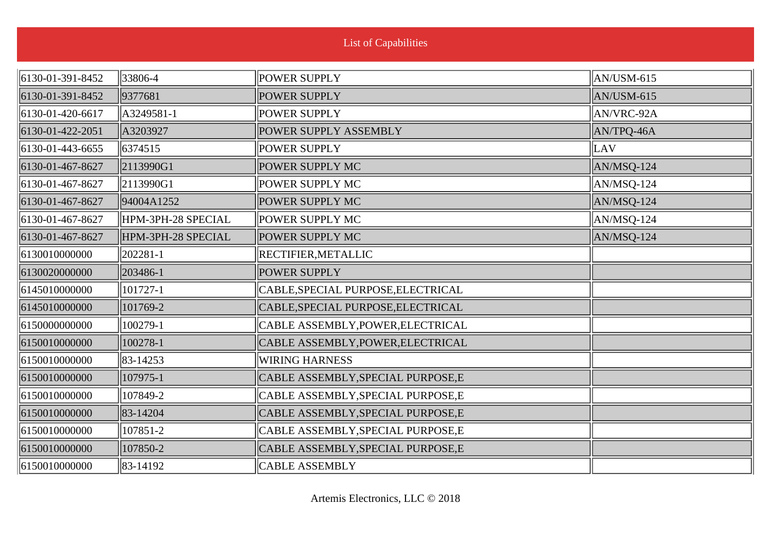| 33806-4            | POWER SUPPLY                       | $\vert$ AN/USM-615 |
|--------------------|------------------------------------|--------------------|
| 9377681            | <b>POWER SUPPLY</b>                | $AN/USM-615$       |
| A3249581-1         | POWER SUPPLY                       | $\vert$ AN/VRC-92A |
| A3203927           | POWER SUPPLY ASSEMBLY              | AN/TPQ-46A         |
| 6374515            | POWER SUPPLY                       | LAV                |
| 2113990G1          | POWER SUPPLY MC                    | $AN/MSQ-124$       |
| 2113990G1          | POWER SUPPLY MC                    | $ AN/MSQ-124 $     |
| 94004A1252         | POWER SUPPLY MC                    | $AN/MSQ-124$       |
| HPM-3PH-28 SPECIAL | POWER SUPPLY MC                    | $\vert$ AN/MSQ-124 |
| HPM-3PH-28 SPECIAL | POWER SUPPLY MC                    | AN/MSQ-124         |
| 202281-1           | <b>RECTIFIER, METALLIC</b>         |                    |
| 203486-1           | POWER SUPPLY                       |                    |
| 101727-1           | CABLE, SPECIAL PURPOSE, ELECTRICAL |                    |
| 101769-2           | CABLE, SPECIAL PURPOSE, ELECTRICAL |                    |
| 100279-1           | CABLE ASSEMBLY, POWER, ELECTRICAL  |                    |
| 100278-1           | CABLE ASSEMBLY, POWER, ELECTRICAL  |                    |
| 83-14253           | <b>WIRING HARNESS</b>              |                    |
| 107975-1           | CABLE ASSEMBLY, SPECIAL PURPOSE, E |                    |
| 107849-2           | CABLE ASSEMBLY, SPECIAL PURPOSE, E |                    |
| 83-14204           | CABLE ASSEMBLY, SPECIAL PURPOSE, E |                    |
| 107851-2           | CABLE ASSEMBLY, SPECIAL PURPOSE, E |                    |
| 107850-2           | CABLE ASSEMBLY, SPECIAL PURPOSE, E |                    |
| 83-14192           | <b>CABLE ASSEMBLY</b>              |                    |
|                    |                                    |                    |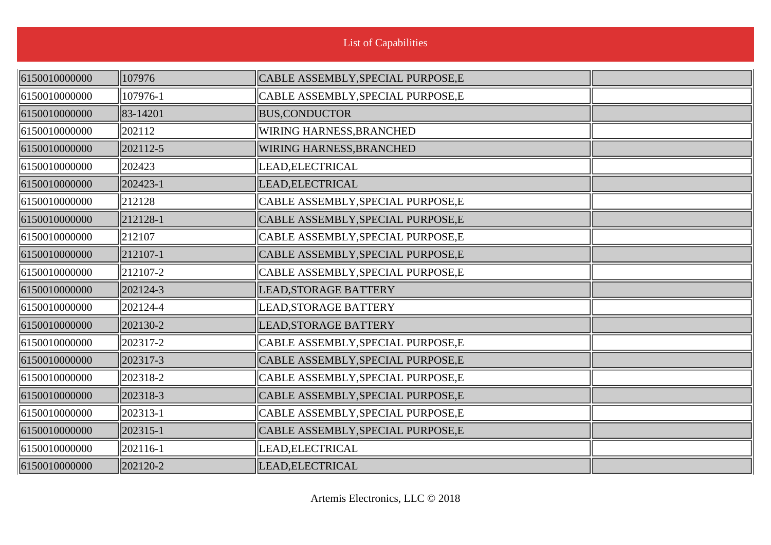| 6150010000000 | 107976        | CABLE ASSEMBLY, SPECIAL PURPOSE, E |  |
|---------------|---------------|------------------------------------|--|
| 6150010000000 | 107976-1      | CABLE ASSEMBLY, SPECIAL PURPOSE, E |  |
| 6150010000000 | 83-14201      | <b>BUS, CONDUCTOR</b>              |  |
| 6150010000000 | 202112        | WIRING HARNESS, BRANCHED           |  |
| 6150010000000 | 202112-5      | <b>WIRING HARNESS, BRANCHED</b>    |  |
| 6150010000000 | 202423        | LEAD, ELECTRICAL                   |  |
| 6150010000000 | 202423-1      | LEAD, ELECTRICAL                   |  |
| 6150010000000 | 212128        | CABLE ASSEMBLY, SPECIAL PURPOSE, E |  |
| 6150010000000 | 212128-1      | CABLE ASSEMBLY, SPECIAL PURPOSE, E |  |
| 6150010000000 | 212107        | CABLE ASSEMBLY, SPECIAL PURPOSE, E |  |
| 6150010000000 | 212107-1      | CABLE ASSEMBLY, SPECIAL PURPOSE, E |  |
| 6150010000000 | $ 212107 - 2$ | CABLE ASSEMBLY, SPECIAL PURPOSE, E |  |
| 6150010000000 | 202124-3      | LEAD, STORAGE BATTERY              |  |
| 6150010000000 | 202124-4      | LEAD, STORAGE BATTERY              |  |
| 6150010000000 | 202130-2      | LEAD, STORAGE BATTERY              |  |
| 6150010000000 | 202317-2      | CABLE ASSEMBLY, SPECIAL PURPOSE, E |  |
| 6150010000000 | 202317-3      | CABLE ASSEMBLY, SPECIAL PURPOSE, E |  |
| 6150010000000 | 202318-2      | CABLE ASSEMBLY, SPECIAL PURPOSE, E |  |
| 6150010000000 | 202318-3      | CABLE ASSEMBLY, SPECIAL PURPOSE, E |  |
| 6150010000000 | 202313-1      | CABLE ASSEMBLY, SPECIAL PURPOSE, E |  |
| 6150010000000 | 202315-1      | CABLE ASSEMBLY, SPECIAL PURPOSE, E |  |
| 6150010000000 | 202116-1      | LEAD, ELECTRICAL                   |  |
| 6150010000000 | 202120-2      | LEAD, ELECTRICAL                   |  |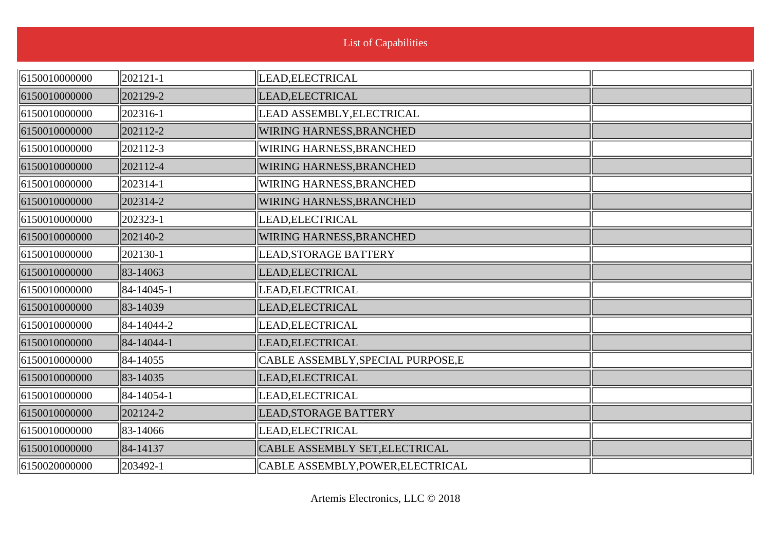n.

| 6150010000000 | 202121-1   | LEAD, ELECTRICAL                   |  |
|---------------|------------|------------------------------------|--|
| 6150010000000 | 202129-2   | LEAD, ELECTRICAL                   |  |
| 6150010000000 | 202316-1   | LEAD ASSEMBLY, ELECTRICAL          |  |
| 6150010000000 | 202112-2   | WIRING HARNESS, BRANCHED           |  |
| 6150010000000 | 202112-3   | WIRING HARNESS, BRANCHED           |  |
| 6150010000000 | 202112-4   | WIRING HARNESS, BRANCHED           |  |
| 6150010000000 | 202314-1   | WIRING HARNESS, BRANCHED           |  |
| 6150010000000 | 202314-2   | WIRING HARNESS, BRANCHED           |  |
| 6150010000000 | 202323-1   | LEAD, ELECTRICAL                   |  |
| 6150010000000 | 202140-2   | WIRING HARNESS, BRANCHED           |  |
| 6150010000000 | 202130-1   | LEAD, STORAGE BATTERY              |  |
| 6150010000000 | 83-14063   | LEAD, ELECTRICAL                   |  |
| 6150010000000 | 84-14045-1 | LEAD, ELECTRICAL                   |  |
| 6150010000000 | 83-14039   | LEAD, ELECTRICAL                   |  |
| 6150010000000 | 84-14044-2 | LEAD, ELECTRICAL                   |  |
| 6150010000000 | 84-14044-1 | LEAD, ELECTRICAL                   |  |
| 6150010000000 | 84-14055   | CABLE ASSEMBLY, SPECIAL PURPOSE, E |  |
| 6150010000000 | 83-14035   | LEAD, ELECTRICAL                   |  |
| 6150010000000 | 84-14054-1 | LEAD, ELECTRICAL                   |  |
| 6150010000000 | 202124-2   | LEAD, STORAGE BATTERY              |  |
| 6150010000000 | 83-14066   | LEAD, ELECTRICAL                   |  |
| 6150010000000 | 84-14137   | CABLE ASSEMBLY SET, ELECTRICAL     |  |
| 6150020000000 | 203492-1   | CABLE ASSEMBLY, POWER, ELECTRICAL  |  |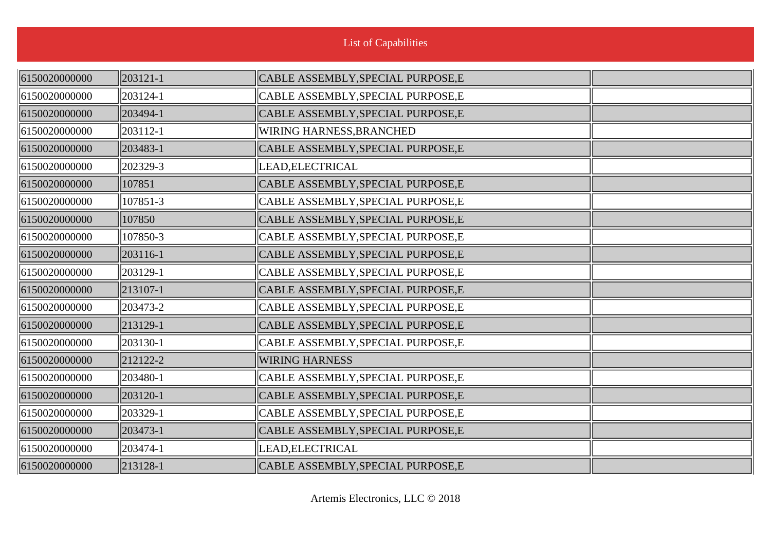| 6150020000000 | 203121-1 | CABLE ASSEMBLY, SPECIAL PURPOSE, E |  |
|---------------|----------|------------------------------------|--|
| 6150020000000 | 203124-1 | CABLE ASSEMBLY, SPECIAL PURPOSE, E |  |
| 6150020000000 | 203494-1 | CABLE ASSEMBLY, SPECIAL PURPOSE, E |  |
| 6150020000000 | 203112-1 | WIRING HARNESS, BRANCHED           |  |
| 6150020000000 | 203483-1 | CABLE ASSEMBLY, SPECIAL PURPOSE, E |  |
| 6150020000000 | 202329-3 | LEAD, ELECTRICAL                   |  |
| 6150020000000 | 107851   | CABLE ASSEMBLY, SPECIAL PURPOSE, E |  |
| 6150020000000 | 107851-3 | CABLE ASSEMBLY, SPECIAL PURPOSE, E |  |
| 6150020000000 | 107850   | CABLE ASSEMBLY, SPECIAL PURPOSE, E |  |
| 6150020000000 | 107850-3 | CABLE ASSEMBLY, SPECIAL PURPOSE, E |  |
| 6150020000000 | 203116-1 | CABLE ASSEMBLY, SPECIAL PURPOSE, E |  |
| 6150020000000 | 203129-1 | CABLE ASSEMBLY, SPECIAL PURPOSE, E |  |
| 6150020000000 | 213107-1 | CABLE ASSEMBLY, SPECIAL PURPOSE, E |  |
| 6150020000000 | 203473-2 | CABLE ASSEMBLY, SPECIAL PURPOSE, E |  |
| 6150020000000 | 213129-1 | CABLE ASSEMBLY, SPECIAL PURPOSE, E |  |
| 6150020000000 | 203130-1 | CABLE ASSEMBLY, SPECIAL PURPOSE, E |  |
| 6150020000000 | 212122-2 | <b>WIRING HARNESS</b>              |  |
| 6150020000000 | 203480-1 | CABLE ASSEMBLY, SPECIAL PURPOSE, E |  |
| 6150020000000 | 203120-1 | CABLE ASSEMBLY, SPECIAL PURPOSE, E |  |
| 6150020000000 | 203329-1 | CABLE ASSEMBLY, SPECIAL PURPOSE, E |  |
| 6150020000000 | 203473-1 | CABLE ASSEMBLY, SPECIAL PURPOSE, E |  |
| 6150020000000 | 203474-1 | LEAD, ELECTRICAL                   |  |
| 6150020000000 | 213128-1 | CABLE ASSEMBLY, SPECIAL PURPOSE, E |  |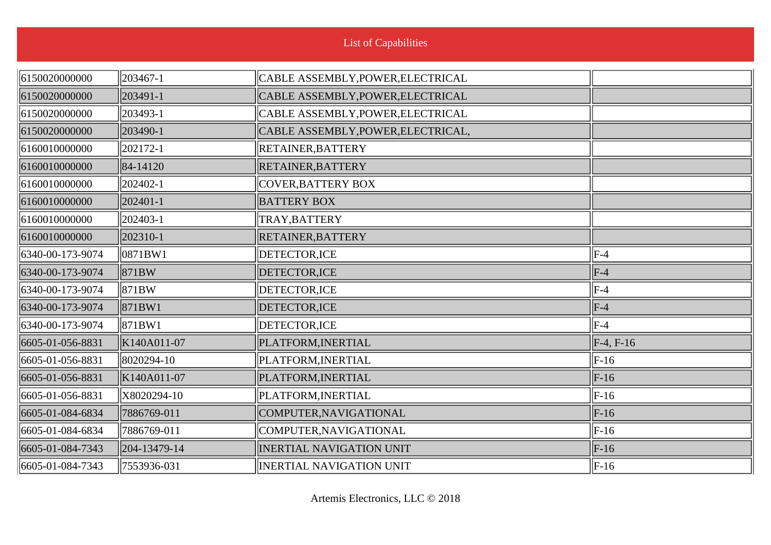|  | List of Capabilities |  |
|--|----------------------|--|
|  |                      |  |

| 6150020000000    | 203467-1     | CABLE ASSEMBLY, POWER, ELECTRICAL  |             |
|------------------|--------------|------------------------------------|-------------|
| 6150020000000    | 203491-1     | CABLE ASSEMBLY, POWER, ELECTRICAL  |             |
| 6150020000000    | 203493-1     | CABLE ASSEMBLY, POWER, ELECTRICAL  |             |
| 6150020000000    | 203490-1     | CABLE ASSEMBLY, POWER, ELECTRICAL, |             |
| 6160010000000    | 202172-1     | RETAINER, BATTERY                  |             |
| 6160010000000    | 84-14120     | <b>RETAINER, BATTERY</b>           |             |
| 6160010000000    | 202402-1     | <b>COVER, BATTERY BOX</b>          |             |
| 6160010000000    | 202401-1     | <b>BATTERY BOX</b>                 |             |
| 6160010000000    | 202403-1     | TRAY, BATTERY                      |             |
| 6160010000000    | 202310-1     | RETAINER, BATTERY                  |             |
| 6340-00-173-9074 | 0871BW1      | DETECTOR, ICE                      | $ F-4 $     |
| 6340-00-173-9074 | 871BW        | DETECTOR, ICE                      | $ F-4$      |
| 6340-00-173-9074 | 871BW        | DETECTOR, ICE                      | $ F-4$      |
| 6340-00-173-9074 | 871BW1       | DETECTOR, ICE                      | $F-4$       |
| 6340-00-173-9074 | 871BW1       | DETECTOR, ICE                      | $ F-4 $     |
| 6605-01-056-8831 | K140A011-07  | PLATFORM, INERTIAL                 | $F-4, F-16$ |
| 6605-01-056-8831 | 8020294-10   | PLATFORM, INERTIAL                 | $F-16$      |
| 6605-01-056-8831 | K140A011-07  | PLATFORM, INERTIAL                 | $F-16$      |
| 6605-01-056-8831 | X8020294-10  | PLATFORM, INERTIAL                 | $ F-16$     |
| 6605-01-084-6834 | 7886769-011  | COMPUTER, NAVIGATIONAL             | $F-16$      |
| 6605-01-084-6834 | 7886769-011  | COMPUTER, NAVIGATIONAL             | $F-16$      |
| 6605-01-084-7343 | 204-13479-14 | <b>INERTIAL NAVIGATION UNIT</b>    | $F-16$      |
| 6605-01-084-7343 | 7553936-031  | <b>INERTIAL NAVIGATION UNIT</b>    | $ F-16 $    |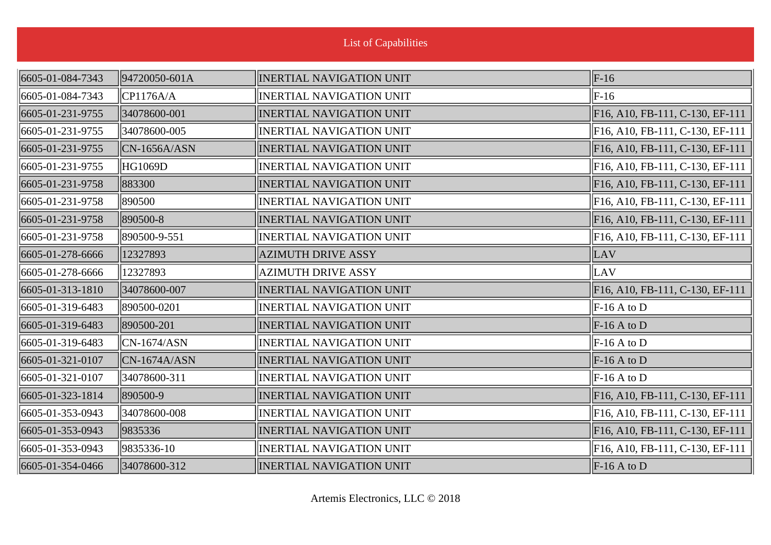| <b>List of Capabilities</b> |                |                                 |                                 |
|-----------------------------|----------------|---------------------------------|---------------------------------|
| 6605-01-084-7343            | 94720050-601A  | <b>INERTIAL NAVIGATION UNIT</b> | $\ $ F-16                       |
| 6605-01-084-7343            | CP1176A/A      | <b>INERTIAL NAVIGATION UNIT</b> | $F-16$                          |
| 6605-01-231-9755            | 34078600-001   | <b>INERTIAL NAVIGATION UNIT</b> | F16, A10, FB-111, C-130, EF-111 |
| 6605-01-231-9755            | 34078600-005   | <b>INERTIAL NAVIGATION UNIT</b> | F16, A10, FB-111, C-130, EF-111 |
| 6605-01-231-9755            | $CN-1656A/ASN$ | <b>INERTIAL NAVIGATION UNIT</b> | F16, A10, FB-111, C-130, EF-111 |
| 6605-01-231-9755            | <b>HG1069D</b> | <b>INERTIAL NAVIGATION UNIT</b> | F16, A10, FB-111, C-130, EF-111 |
| 6605-01-231-9758            | 883300         | <b>INERTIAL NAVIGATION UNIT</b> | F16, A10, FB-111, C-130, EF-111 |
| 6605-01-231-9758            | 890500         | <b>INERTIAL NAVIGATION UNIT</b> | F16, A10, FB-111, C-130, EF-111 |
| 6605-01-231-9758            | 890500-8       | <b>INERTIAL NAVIGATION UNIT</b> | F16, A10, FB-111, C-130, EF-111 |
| 6605-01-231-9758            | 890500-9-551   | <b>INERTIAL NAVIGATION UNIT</b> | F16, A10, FB-111, C-130, EF-111 |
| 6605-01-278-6666            | 12327893       | <b>AZIMUTH DRIVE ASSY</b>       | LAV                             |
| 6605-01-278-6666            | 12327893       | <b>AZIMUTH DRIVE ASSY</b>       | LAV                             |
| 6605-01-313-1810            | 34078600-007   | <b>INERTIAL NAVIGATION UNIT</b> | F16, A10, FB-111, C-130, EF-111 |
| 6605-01-319-6483            | 890500-0201    | <b>INERTIAL NAVIGATION UNIT</b> | $F-16A$ to D                    |
| 6605-01-319-6483            | 890500-201     | <b>INERTIAL NAVIGATION UNIT</b> | $F-16A$ to D                    |
| 6605-01-319-6483            | $CN-1674/ASN$  | <b>INERTIAL NAVIGATION UNIT</b> | $\vert$ F-16 A to D             |
| 6605-01-321-0107            | $CN-1674A/ASN$ | <b>INERTIAL NAVIGATION UNIT</b> | $F-16A$ to D                    |
| 6605-01-321-0107            | 34078600-311   | <b>INERTIAL NAVIGATION UNIT</b> | $F-16A$ to D                    |
| 6605-01-323-1814            | 890500-9       | <b>INERTIAL NAVIGATION UNIT</b> | F16, A10, FB-111, C-130, EF-111 |
| 6605-01-353-0943            | 34078600-008   | <b>INERTIAL NAVIGATION UNIT</b> | F16, A10, FB-111, C-130, EF-111 |
| 6605-01-353-0943            | 9835336        | <b>INERTIAL NAVIGATION UNIT</b> | F16, A10, FB-111, C-130, EF-111 |
| 6605-01-353-0943            | 9835336-10     | <b>INERTIAL NAVIGATION UNIT</b> | F16, A10, FB-111, C-130, EF-111 |
| 6605-01-354-0466            | 34078600-312   | <b>INERTIAL NAVIGATION UNIT</b> | $\vert$ F-16 A to D             |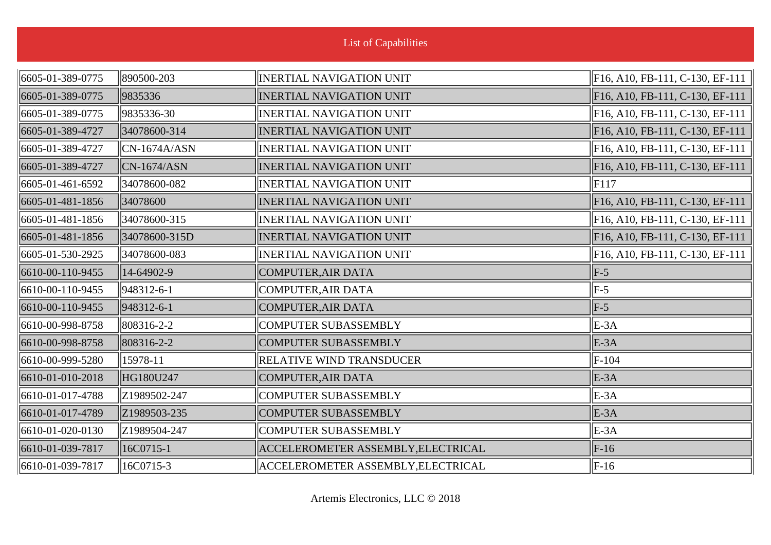| <b>List of Capabilities</b> |                 |                                    |                                 |
|-----------------------------|-----------------|------------------------------------|---------------------------------|
| 6605-01-389-0775            | 890500-203      | <b>INERTIAL NAVIGATION UNIT</b>    | F16, A10, FB-111, C-130, EF-111 |
| 6605-01-389-0775            | 9835336         | <b>INERTIAL NAVIGATION UNIT</b>    | F16, A10, FB-111, C-130, EF-111 |
| 6605-01-389-0775            | 9835336-30      | <b>INERTIAL NAVIGATION UNIT</b>    | F16, A10, FB-111, C-130, EF-111 |
| 6605-01-389-4727            | 34078600-314    | <b>INERTIAL NAVIGATION UNIT</b>    | F16, A10, FB-111, C-130, EF-111 |
| 6605-01-389-4727            | $ CN-1674A/ASN$ | <b>INERTIAL NAVIGATION UNIT</b>    | F16, A10, FB-111, C-130, EF-111 |
| 6605-01-389-4727            | $CN-1674/ASN$   | <b>INERTIAL NAVIGATION UNIT</b>    | F16, A10, FB-111, C-130, EF-111 |
| 6605-01-461-6592            | 34078600-082    | <b>INERTIAL NAVIGATION UNIT</b>    | F117                            |
| 6605-01-481-1856            | 34078600        | <b>INERTIAL NAVIGATION UNIT</b>    | F16, A10, FB-111, C-130, EF-111 |
| 6605-01-481-1856            | 34078600-315    | <b>INERTIAL NAVIGATION UNIT</b>    | F16, A10, FB-111, C-130, EF-111 |
| 6605-01-481-1856            | 34078600-315D   | <b>INERTIAL NAVIGATION UNIT</b>    | F16, A10, FB-111, C-130, EF-111 |
| 6605-01-530-2925            | 34078600-083    | <b>INERTIAL NAVIGATION UNIT</b>    | F16, A10, FB-111, C-130, EF-111 |
| 6610-00-110-9455            | 14-64902-9      | COMPUTER, AIR DATA                 | $F-5$                           |
| 6610-00-110-9455            | 948312-6-1      | COMPUTER, AIR DATA                 | $\parallel$ F-5                 |
| 6610-00-110-9455            | 948312-6-1      | COMPUTER, AIR DATA                 | $F-5$                           |
| 6610-00-998-8758            | 808316-2-2      | <b>COMPUTER SUBASSEMBLY</b>        | $E-3A$                          |
| 6610-00-998-8758            | 808316-2-2      | <b>COMPUTER SUBASSEMBLY</b>        | $E-3A$                          |
| 6610-00-999-5280            | 15978-11        | <b>RELATIVE WIND TRANSDUCER</b>    | $F-104$                         |
| 6610-01-010-2018            | HG180U247       | COMPUTER, AIR DATA                 | $E-3A$                          |
| 6610-01-017-4788            | Z1989502-247    | COMPUTER SUBASSEMBLY               | $E-3A$                          |
| 6610-01-017-4789            | Z1989503-235    | <b>COMPUTER SUBASSEMBLY</b>        | $E-3A$                          |
| 6610-01-020-0130            | Z1989504-247    | COMPUTER SUBASSEMBLY               | $E-3A$                          |
| 6610-01-039-7817            | 16C0715-1       | ACCELEROMETER ASSEMBLY, ELECTRICAL | $F-16$                          |
| 6610-01-039-7817            | 16C0715-3       | ACCELEROMETER ASSEMBLY, ELECTRICAL | $\ F-16\ $                      |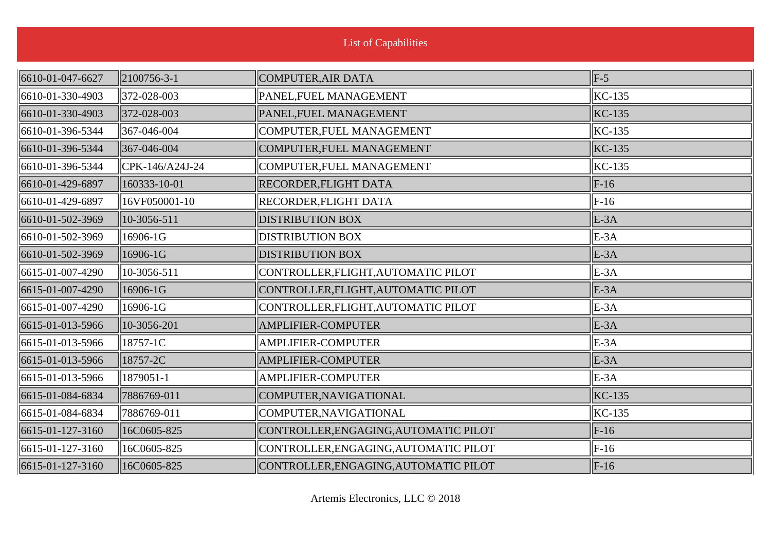| 6610-01-047-6627 | $\parallel$ 2100756-3-1 | COMPUTER, AIR DATA                    | $\vert$ F-5  |
|------------------|-------------------------|---------------------------------------|--------------|
| 6610-01-330-4903 | 372-028-003             | PANEL, FUEL MANAGEMENT                | $KC-135$     |
| 6610-01-330-4903 | 372-028-003             | PANEL, FUEL MANAGEMENT                | $KC-135$     |
| 6610-01-396-5344 | 367-046-004             | COMPUTER, FUEL MANAGEMENT             | $KC-135$     |
| 6610-01-396-5344 | 367-046-004             | COMPUTER, FUEL MANAGEMENT             | $KC-135$     |
| 6610-01-396-5344 | $ CPK-146/A24J-24$      | COMPUTER, FUEL MANAGEMENT             | $KC-135$     |
| 6610-01-429-6897 | 160333-10-01            | <b>RECORDER, FLIGHT DATA</b>          | $F-16$       |
| 6610-01-429-6897 | 16VF050001-10           | <b>RECORDER, FLIGHT DATA</b>          | $ F-16 $     |
| 6610-01-502-3969 | $ 10-3056-511$          | <b>DISTRIBUTION BOX</b>               | $E-3A$       |
| 6610-01-502-3969 | 16906-1G                | <b>DISTRIBUTION BOX</b>               | $E-3A$       |
| 6610-01-502-3969 | 16906-1G                | <b>DISTRIBUTION BOX</b>               | $E-3A$       |
| 6615-01-007-4290 | 10-3056-511             | CONTROLLER, FLIGHT, AUTOMATIC PILOT   | $E-3A$       |
| 6615-01-007-4290 | 16906-1G                | CONTROLLER, FLIGHT, AUTOMATIC PILOT   | $E-3A$       |
| 6615-01-007-4290 | 16906-1G                | CONTROLLER, FLIGHT, AUTOMATIC PILOT   | $E-3A$       |
| 6615-01-013-5966 | 10-3056-201             | <b>AMPLIFIER-COMPUTER</b>             | $E-3A$       |
| 6615-01-013-5966 | 18757-1C                | <b>AMPLIFIER-COMPUTER</b>             | $E-3A$       |
| 6615-01-013-5966 | 18757-2C                | <b>AMPLIFIER-COMPUTER</b>             | $E-3A$       |
| 6615-01-013-5966 | 1879051-1               | <b>AMPLIFIER-COMPUTER</b>             | $E-3A$       |
| 6615-01-084-6834 | 7886769-011             | COMPUTER, NAVIGATIONAL                | $KC-135$     |
| 6615-01-084-6834 | 7886769-011             | COMPUTER, NAVIGATIONAL                | $KC-135$     |
| 6615-01-127-3160 | 16C0605-825             | CONTROLLER, ENGAGING, AUTOMATIC PILOT | $F-16$       |
| 6615-01-127-3160 | 16C0605-825             | CONTROLLER, ENGAGING, AUTOMATIC PILOT | $ F-16 $     |
| 6615-01-127-3160 | 16C0605-825             | CONTROLLER, ENGAGING, AUTOMATIC PILOT | $\vert$ F-16 |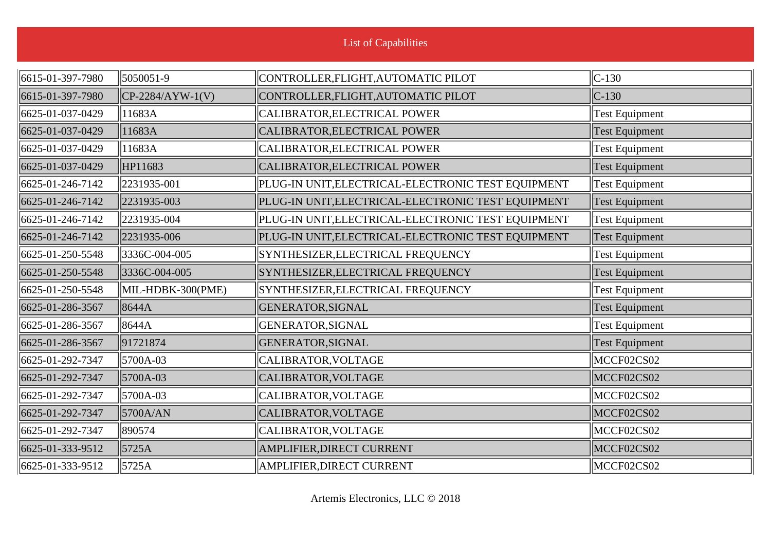| 6615-01-397-7980 | 5050051-9           | CONTROLLER, FLIGHT, AUTOMATIC PILOT                | $C-130$               |
|------------------|---------------------|----------------------------------------------------|-----------------------|
| 6615-01-397-7980 | $CP-2284/AYW-1(V)$  | CONTROLLER, FLIGHT, AUTOMATIC PILOT                | $C-130$               |
| 6625-01-037-0429 | 11683A              | CALIBRATOR, ELECTRICAL POWER                       | <b>Test Equipment</b> |
| 6625-01-037-0429 | 11683A              | CALIBRATOR, ELECTRICAL POWER                       | <b>Test Equipment</b> |
| 6625-01-037-0429 | 11683A              | CALIBRATOR, ELECTRICAL POWER                       | <b>Test Equipment</b> |
| 6625-01-037-0429 | HP11683             | CALIBRATOR, ELECTRICAL POWER                       | Test Equipment        |
| 6625-01-246-7142 | $\ 2231935 - 001\ $ | PLUG-IN UNIT, ELECTRICAL-ELECTRONIC TEST EQUIPMENT | <b>Test Equipment</b> |
| 6625-01-246-7142 | 2231935-003         | PLUG-IN UNIT, ELECTRICAL-ELECTRONIC TEST EQUIPMENT | Test Equipment        |
| 6625-01-246-7142 | 2231935-004         | PLUG-IN UNIT, ELECTRICAL-ELECTRONIC TEST EQUIPMENT | <b>Test Equipment</b> |
| 6625-01-246-7142 | 2231935-006         | PLUG-IN UNIT, ELECTRICAL-ELECTRONIC TEST EQUIPMENT | <b>Test Equipment</b> |
| 6625-01-250-5548 | 3336C-004-005       | SYNTHESIZER, ELECTRICAL FREQUENCY                  | <b>Test Equipment</b> |
| 6625-01-250-5548 | 3336C-004-005       | SYNTHESIZER, ELECTRICAL FREQUENCY                  | Test Equipment        |
| 6625-01-250-5548 | MIL-HDBK-300(PME)   | SYNTHESIZER, ELECTRICAL FREQUENCY                  | <b>Test Equipment</b> |
| 6625-01-286-3567 | 8644A               | GENERATOR, SIGNAL                                  | <b>Test Equipment</b> |
| 6625-01-286-3567 | 8644A               | GENERATOR, SIGNAL                                  | <b>Test Equipment</b> |
| 6625-01-286-3567 | 91721874            | GENERATOR, SIGNAL                                  | <b>Test Equipment</b> |
| 6625-01-292-7347 | 5700A-03            | CALIBRATOR, VOLTAGE                                | MCCF02CS02            |
| 6625-01-292-7347 | 5700A-03            | CALIBRATOR, VOLTAGE                                | MCCF02CS02            |
| 6625-01-292-7347 | 5700A-03            | CALIBRATOR, VOLTAGE                                | MCCF02CS02            |
| 6625-01-292-7347 | 5700A/AN            | CALIBRATOR, VOLTAGE                                | MCCF02CS02            |
| 6625-01-292-7347 | 890574              | CALIBRATOR, VOLTAGE                                | MCCF02CS02            |
| 6625-01-333-9512 | 5725A               | AMPLIFIER, DIRECT CURRENT                          | MCCF02CS02            |
| 6625-01-333-9512 | $\parallel$ 5725A   | AMPLIFIER, DIRECT CURRENT                          | MCCF02CS02            |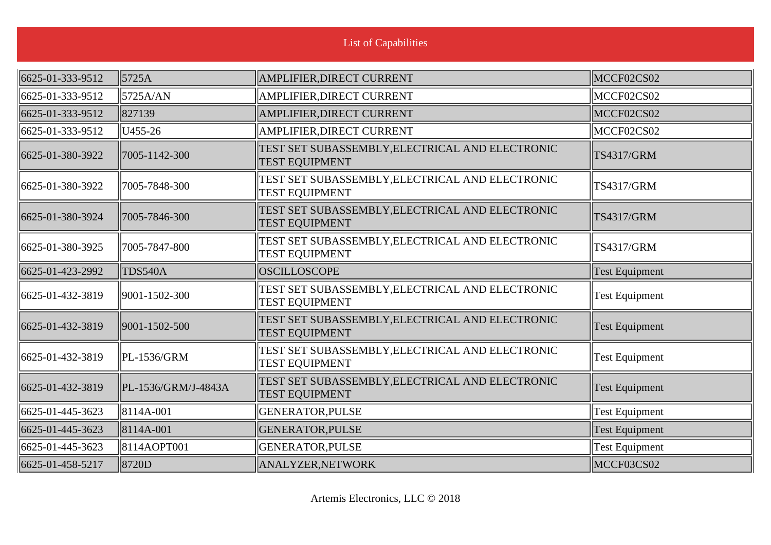| 6625-01-333-9512 | 5725A               | AMPLIFIER, DIRECT CURRENT                                                | MCCF02CS02            |
|------------------|---------------------|--------------------------------------------------------------------------|-----------------------|
| 6625-01-333-9512 | 5725A/AN            | AMPLIFIER, DIRECT CURRENT                                                | MCCF02CS02            |
| 6625-01-333-9512 | 827139              | AMPLIFIER, DIRECT CURRENT                                                | MCCF02CS02            |
| 6625-01-333-9512 | U455-26             | AMPLIFIER, DIRECT CURRENT                                                | MCCF02CS02            |
| 6625-01-380-3922 | 7005-1142-300       | TEST SET SUBASSEMBLY, ELECTRICAL AND ELECTRONIC<br><b>TEST EQUIPMENT</b> | <b>TS4317/GRM</b>     |
| 6625-01-380-3922 | 7005-7848-300       | TEST SET SUBASSEMBLY, ELECTRICAL AND ELECTRONIC<br><b>TEST EQUIPMENT</b> | <b>TS4317/GRM</b>     |
| 6625-01-380-3924 | 7005-7846-300       | TEST SET SUBASSEMBLY, ELECTRICAL AND ELECTRONIC<br><b>TEST EQUIPMENT</b> | <b>TS4317/GRM</b>     |
| 6625-01-380-3925 | 7005-7847-800       | TEST SET SUBASSEMBLY, ELECTRICAL AND ELECTRONIC<br><b>TEST EQUIPMENT</b> | <b>TS4317/GRM</b>     |
| 6625-01-423-2992 | TDS540A             | <b>OSCILLOSCOPE</b>                                                      | <b>Test Equipment</b> |
| 6625-01-432-3819 | 9001-1502-300       | TEST SET SUBASSEMBLY, ELECTRICAL AND ELECTRONIC<br><b>TEST EQUIPMENT</b> | <b>Test Equipment</b> |
| 6625-01-432-3819 | 9001-1502-500       | TEST SET SUBASSEMBLY, ELECTRICAL AND ELECTRONIC<br><b>TEST EQUIPMENT</b> | Test Equipment        |
| 6625-01-432-3819 | $ PL-1536/GRM$      | TEST SET SUBASSEMBLY, ELECTRICAL AND ELECTRONIC<br><b>TEST EQUIPMENT</b> | <b>Test Equipment</b> |
| 6625-01-432-3819 | PL-1536/GRM/J-4843A | TEST SET SUBASSEMBLY, ELECTRICAL AND ELECTRONIC<br><b>TEST EQUIPMENT</b> | <b>Test Equipment</b> |
| 6625-01-445-3623 | $ 8114A-001$        | GENERATOR, PULSE                                                         | <b>Test Equipment</b> |
| 6625-01-445-3623 | 8114A-001           | <b>GENERATOR, PULSE</b>                                                  | <b>Test Equipment</b> |
| 6625-01-445-3623 | 8114AOPT001         | <b>GENERATOR, PULSE</b>                                                  | <b>Test Equipment</b> |
| 6625-01-458-5217 | 8720D               | <b>ANALYZER, NETWORK</b>                                                 | MCCF03CS02            |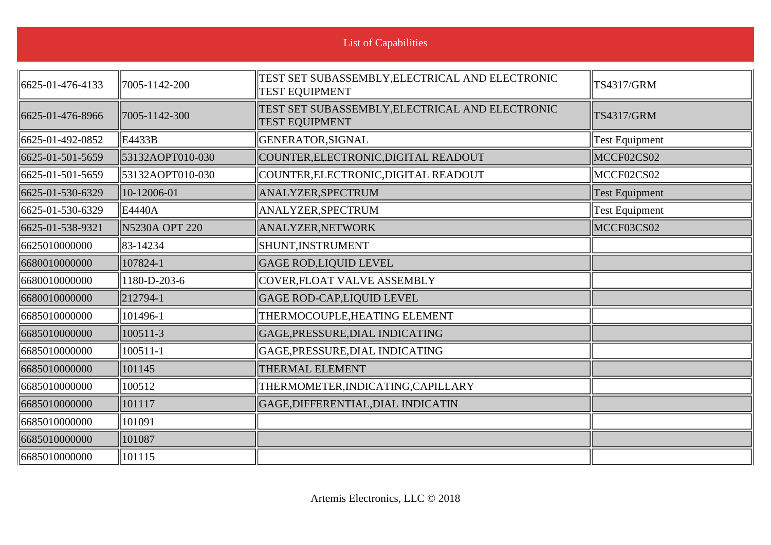| <b>List of Capabilities</b> |                           |                                                                          |                       |
|-----------------------------|---------------------------|--------------------------------------------------------------------------|-----------------------|
| 6625-01-476-4133            | $\parallel$ 7005-1142-200 | TEST SET SUBASSEMBLY, ELECTRICAL AND ELECTRONIC<br><b>TEST EQUIPMENT</b> | <b>TS4317/GRM</b>     |
| 6625-01-476-8966            | 7005-1142-300             | TEST SET SUBASSEMBLY, ELECTRICAL AND ELECTRONIC<br><b>TEST EQUIPMENT</b> | <b>TS4317/GRM</b>     |
| 6625-01-492-0852            | $\parallel$ E4433B        | GENERATOR, SIGNAL                                                        | <b>Test Equipment</b> |
| 6625-01-501-5659            | 53132AOPT010-030          | COUNTER, ELECTRONIC, DIGITAL READOUT                                     | MCCF02CS02            |
| 6625-01-501-5659            | 53132AOPT010-030          | COUNTER, ELECTRONIC, DIGITAL READOUT                                     | MCCF02CS02            |
| 6625-01-530-6329            | 10-12006-01               | ANALYZER, SPECTRUM                                                       | <b>Test Equipment</b> |
| 6625-01-530-6329            | E4440A                    | ANALYZER, SPECTRUM                                                       | <b>Test Equipment</b> |
| 6625-01-538-9321            | <b>N5230A OPT 220</b>     | ANALYZER, NETWORK                                                        | MCCF03CS02            |
| 6625010000000               | 83-14234                  | SHUNT, INSTRUMENT                                                        |                       |
| 6680010000000               | 107824-1                  | <b>GAGE ROD,LIQUID LEVEL</b>                                             |                       |
| 6680010000000               | 1180-D-203-6              | COVER, FLOAT VALVE ASSEMBLY                                              |                       |
| 6680010000000               | $ 212794-1 $              | <b>GAGE ROD-CAP,LIQUID LEVEL</b>                                         |                       |
| 6685010000000               | 101496-1                  | THERMOCOUPLE, HEATING ELEMENT                                            |                       |
| 6685010000000               | 100511-3                  | GAGE, PRESSURE, DIAL INDICATING                                          |                       |
| 6685010000000               | $100511 - 1$              | GAGE, PRESSURE, DIAL INDICATING                                          |                       |
| 6685010000000               | 101145                    | THERMAL ELEMENT                                                          |                       |
| 6685010000000               | 100512                    | THERMOMETER, INDICATING, CAPILLARY                                       |                       |
| 6685010000000               | 101117                    | GAGE, DIFFERENTIAL, DIAL INDICATIN                                       |                       |
| 6685010000000               | 101091                    |                                                                          |                       |
| 6685010000000               | 101087                    |                                                                          |                       |
| 6685010000000               | 101115                    |                                                                          |                       |